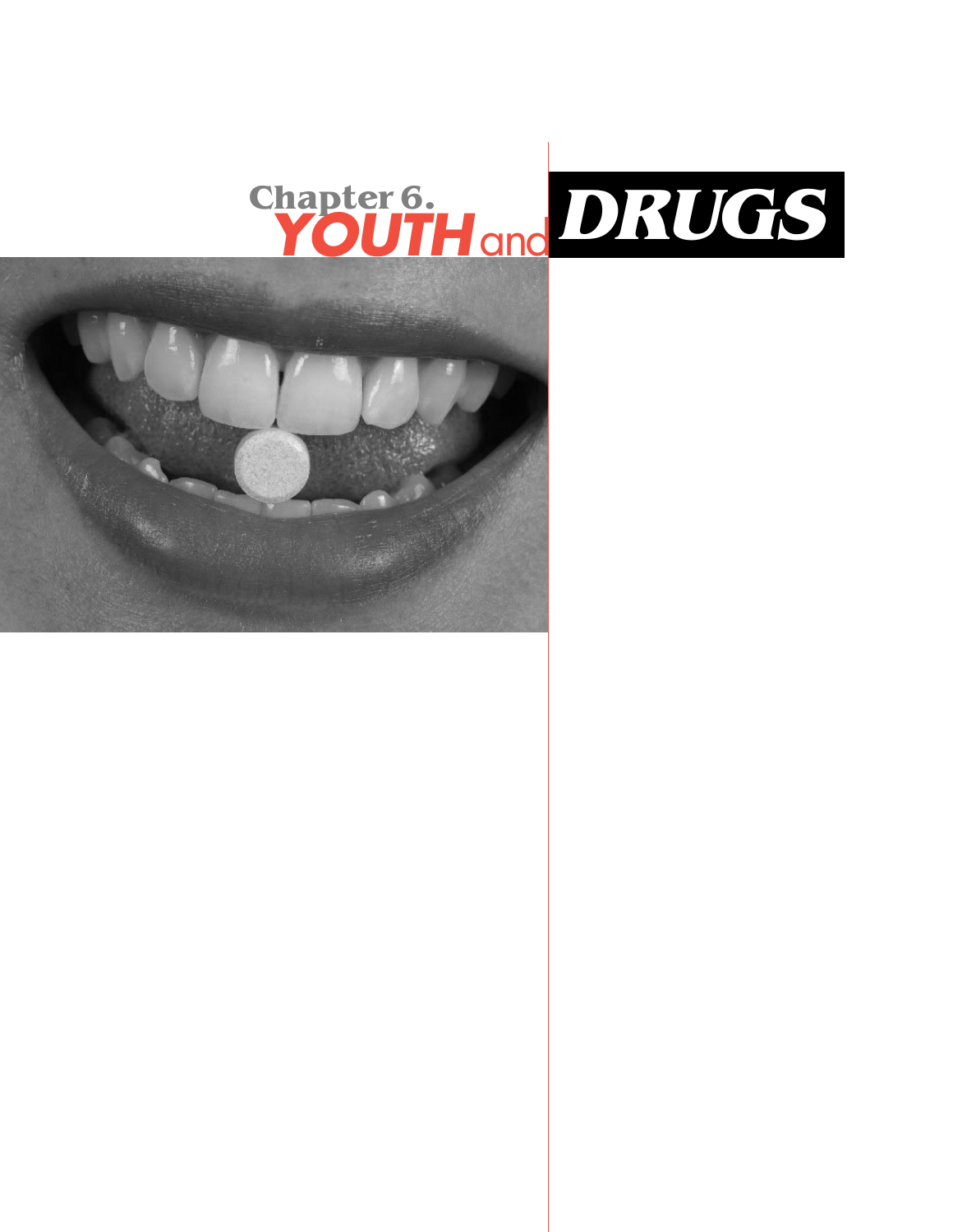

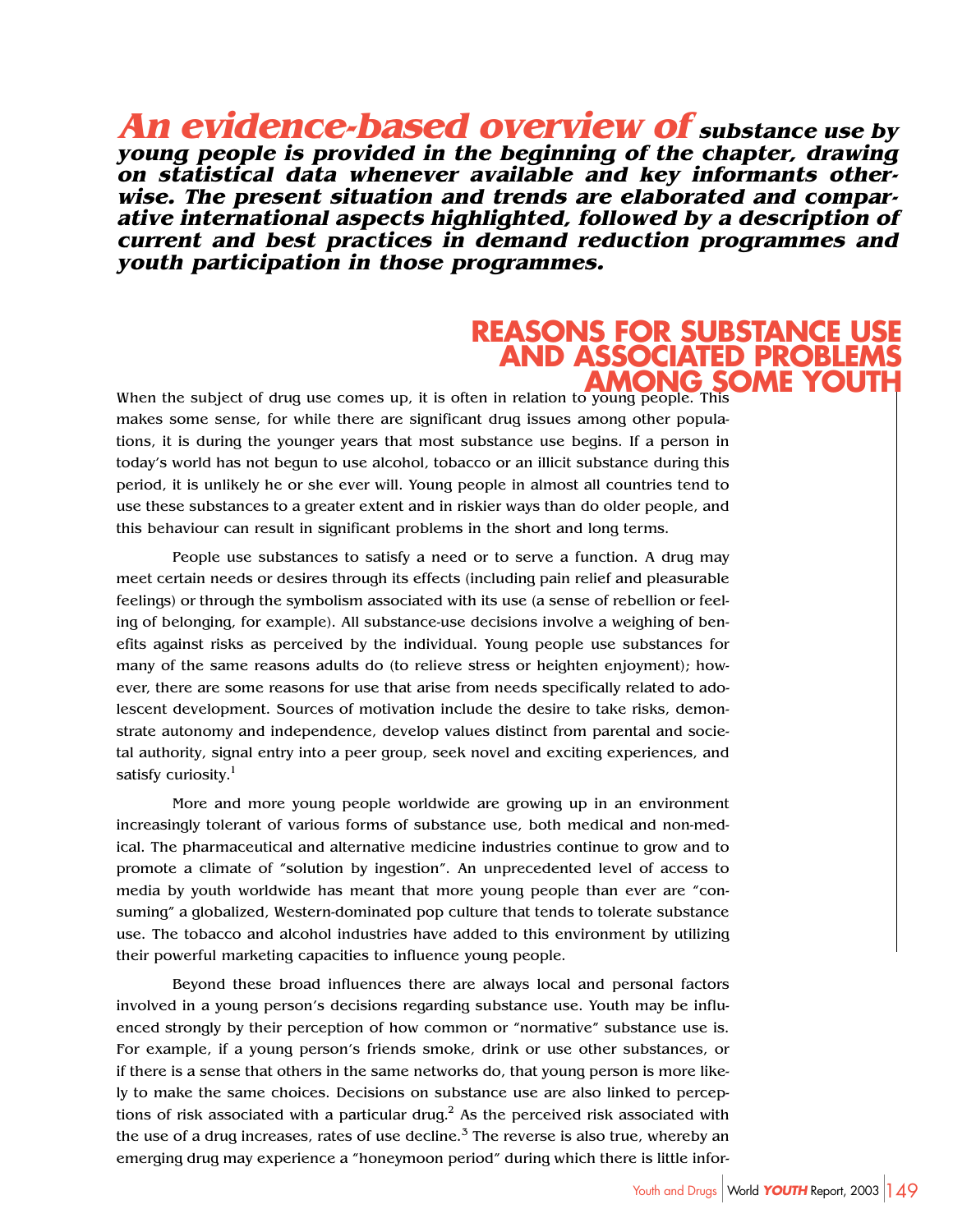**An evidence-based overview of substance use by young people is provided in the beginning of the chapter, drawing on statistical data whenever available and key informants otherwise. The present situation and trends are elaborated and comparative international aspects highlighted, followed by a description of current and best practices in demand reduction programmes and youth participation in those programmes.**

#### **REASONS FOR SUBSTANCE L AND ASSOCIATED PROBLEMS AMONG SO**

When the subject of drug use comes up, it is often in relation to young people. This makes some sense, for while there are significant drug issues among other populations, it is during the younger years that most substance use begins. If a person in today's world has not begun to use alcohol, tobacco or an illicit substance during this period, it is unlikely he or she ever will. Young people in almost all countries tend to use these substances to a greater extent and in riskier ways than do older people, and this behaviour can result in significant problems in the short and long terms.

People use substances to satisfy a need or to serve a function. A drug may meet certain needs or desires through its effects (including pain relief and pleasurable feelings) or through the symbolism associated with its use (a sense of rebellion or feeling of belonging, for example). All substance-use decisions involve a weighing of benefits against risks as perceived by the individual. Young people use substances for many of the same reasons adults do (to relieve stress or heighten enjoyment); however, there are some reasons for use that arise from needs specifically related to adolescent development. Sources of motivation include the desire to take risks, demonstrate autonomy and independence, develop values distinct from parental and societal authority, signal entry into a peer group, seek novel and exciting experiences, and satisfy curiosity.<sup>1</sup>

More and more young people worldwide are growing up in an environment increasingly tolerant of various forms of substance use, both medical and non-medical. The pharmaceutical and alternative medicine industries continue to grow and to promote a climate of "solution by ingestion". An unprecedented level of access to media by youth worldwide has meant that more young people than ever are "consuming" a globalized, Western-dominated pop culture that tends to tolerate substance use. The tobacco and alcohol industries have added to this environment by utilizing their powerful marketing capacities to influence young people.

Beyond these broad influences there are always local and personal factors involved in a young person's decisions regarding substance use. Youth may be influenced strongly by their perception of how common or "normative" substance use is. For example, if a young person's friends smoke, drink or use other substances, or if there is a sense that others in the same networks do, that young person is more likely to make the same choices. Decisions on substance use are also linked to perceptions of risk associated with a particular drug.<sup>2</sup> As the perceived risk associated with the use of a drug increases, rates of use decline. $3$  The reverse is also true, whereby an emerging drug may experience a "honeymoon period" during which there is little infor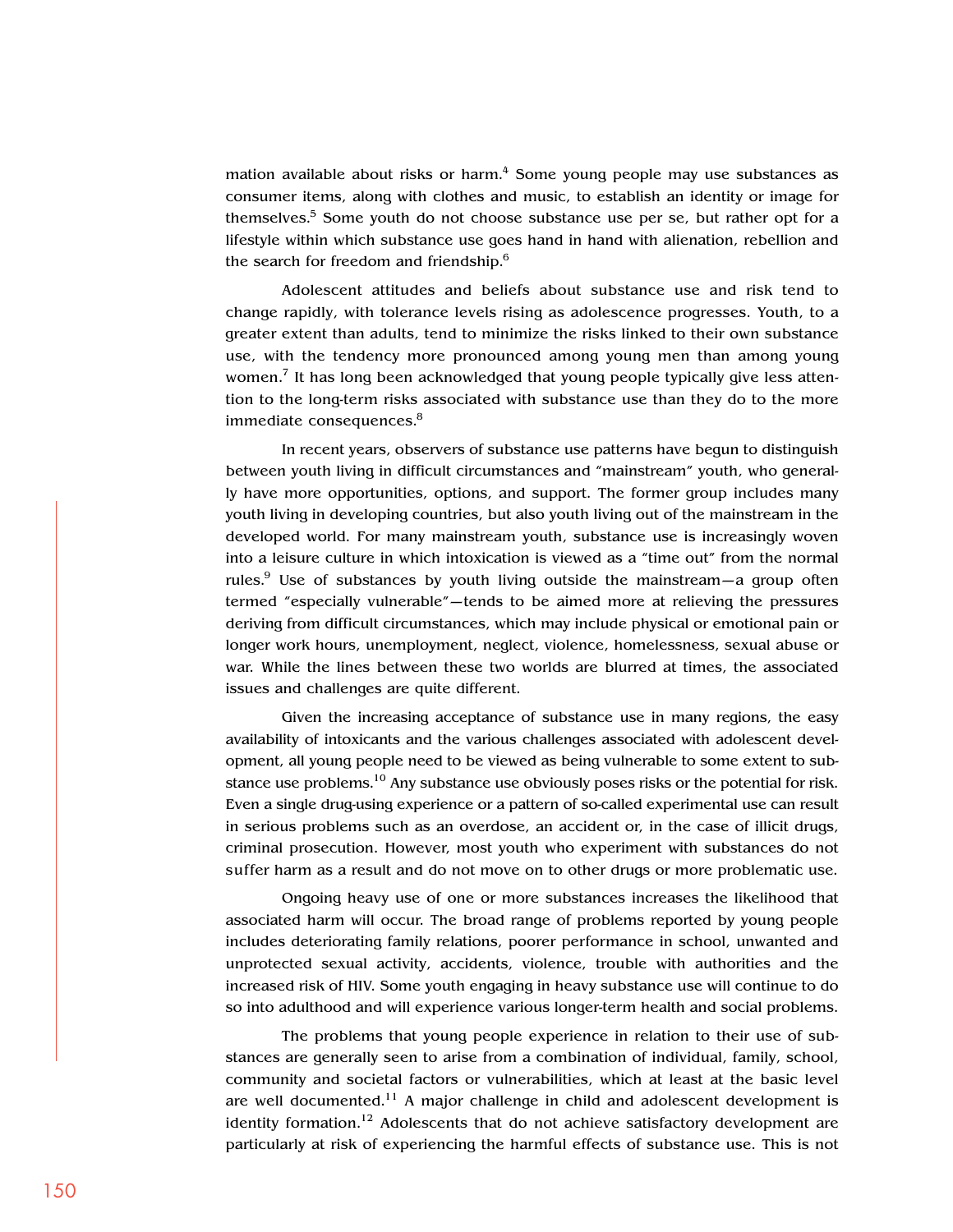mation available about risks or harm.<sup>4</sup> Some young people may use substances as consumer items, along with clothes and music, to establish an identity or image for themselves.<sup>5</sup> Some youth do not choose substance use per se, but rather opt for a lifestyle within which substance use goes hand in hand with alienation, rebellion and the search for freedom and friendship.<sup>6</sup>

Adolescent attitudes and beliefs about substance use and risk tend to change rapidly, with tolerance levels rising as adolescence progresses. Youth, to a greater extent than adults, tend to minimize the risks linked to their own substance use, with the tendency more pronounced among young men than among young women.<sup>7</sup> It has long been acknowledged that young people typically give less attention to the long-term risks associated with substance use than they do to the more immediate consequences.<sup>8</sup>

In recent years, observers of substance use patterns have begun to distinguish between youth living in difficult circumstances and "mainstream" youth, who generally have more opportunities, options, and support. The former group includes many youth living in developing countries, but also youth living out of the mainstream in the developed world. For many mainstream youth, substance use is increasingly woven into a leisure culture in which intoxication is viewed as a "time out" from the normal rules.<sup>9</sup> Use of substances by youth living outside the mainstream—a group often termed "especially vulnerable"—tends to be aimed more at relieving the pressures deriving from difficult circumstances, which may include physical or emotional pain or longer work hours, unemployment, neglect, violence, homelessness, sexual abuse or war. While the lines between these two worlds are blurred at times, the associated issues and challenges are quite different.

Given the increasing acceptance of substance use in many regions, the easy availability of intoxicants and the various challenges associated with adolescent development, all young people need to be viewed as being vulnerable to some extent to substance use problems.<sup>10</sup> Any substance use obviously poses risks or the potential for risk. Even a single drug-using experience or a pattern of so-called experimental use can result in serious problems such as an overdose, an accident or, in the case of illicit drugs, criminal prosecution. However, most youth who experiment with substances do not suffer harm as a result and do not move on to other drugs or more problematic use.

Ongoing heavy use of one or more substances increases the likelihood that associated harm will occur. The broad range of problems reported by young people includes deteriorating family relations, poorer performance in school, unwanted and unprotected sexual activity, accidents, violence, trouble with authorities and the increased risk of HIV. Some youth engaging in heavy substance use will continue to do so into adulthood and will experience various longer-term health and social problems.

The problems that young people experience in relation to their use of substances are generally seen to arise from a combination of individual, family, school, community and societal factors or vulnerabilities, which at least at the basic level are well documented.<sup>11</sup> A major challenge in child and adolescent development is identity formation.<sup>12</sup> Adolescents that do not achieve satisfactory development are particularly at risk of experiencing the harmful effects of substance use. This is not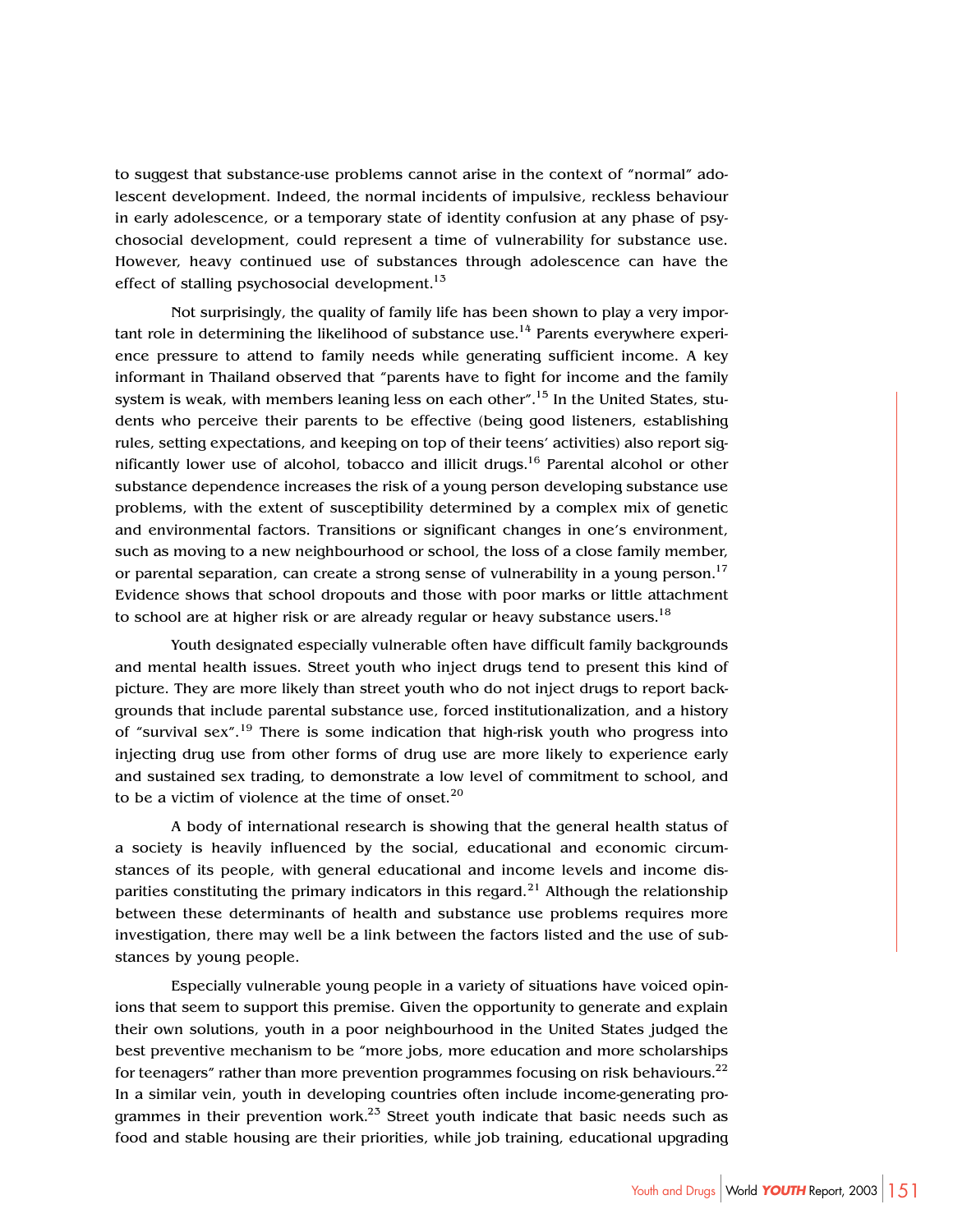to suggest that substance-use problems cannot arise in the context of "normal" adolescent development. Indeed, the normal incidents of impulsive, reckless behaviour in early adolescence, or a temporary state of identity confusion at any phase of psychosocial development, could represent a time of vulnerability for substance use. However, heavy continued use of substances through adolescence can have the effect of stalling psychosocial development.<sup>13</sup>

Not surprisingly, the quality of family life has been shown to play a very important role in determining the likelihood of substance use.<sup>14</sup> Parents everywhere experience pressure to attend to family needs while generating sufficient income. A key informant in Thailand observed that "parents have to fight for income and the family system is weak, with members leaning less on each other".<sup>15</sup> In the United States, students who perceive their parents to be effective (being good listeners, establishing rules, setting expectations, and keeping on top of their teens' activities) also report significantly lower use of alcohol, tobacco and illicit drugs.<sup>16</sup> Parental alcohol or other substance dependence increases the risk of a young person developing substance use problems, with the extent of susceptibility determined by a complex mix of genetic and environmental factors. Transitions or significant changes in one's environment, such as moving to a new neighbourhood or school, the loss of a close family member, or parental separation, can create a strong sense of vulnerability in a young person.<sup>17</sup> Evidence shows that school dropouts and those with poor marks or little attachment to school are at higher risk or are already regular or heavy substance users.<sup>18</sup>

Youth designated especially vulnerable often have difficult family backgrounds and mental health issues. Street youth who inject drugs tend to present this kind of picture. They are more likely than street youth who do not inject drugs to report backgrounds that include parental substance use, forced institutionalization, and a history of "survival sex".19 There is some indication that high-risk youth who progress into injecting drug use from other forms of drug use are more likely to experience early and sustained sex trading, to demonstrate a low level of commitment to school, and to be a victim of violence at the time of onset. $20$ 

A body of international research is showing that the general health status of a society is heavily influenced by the social, educational and economic circumstances of its people, with general educational and income levels and income disparities constituting the primary indicators in this regard.<sup>21</sup> Although the relationship between these determinants of health and substance use problems requires more investigation, there may well be a link between the factors listed and the use of substances by young people.

Especially vulnerable young people in a variety of situations have voiced opinions that seem to support this premise. Given the opportunity to generate and explain their own solutions, youth in a poor neighbourhood in the United States judged the best preventive mechanism to be "more jobs, more education and more scholarships for teenagers" rather than more prevention programmes focusing on risk behaviours.<sup>22</sup> In a similar vein, youth in developing countries often include income-generating programmes in their prevention work. $^{25}$  Street youth indicate that basic needs such as food and stable housing are their priorities, while job training, educational upgrading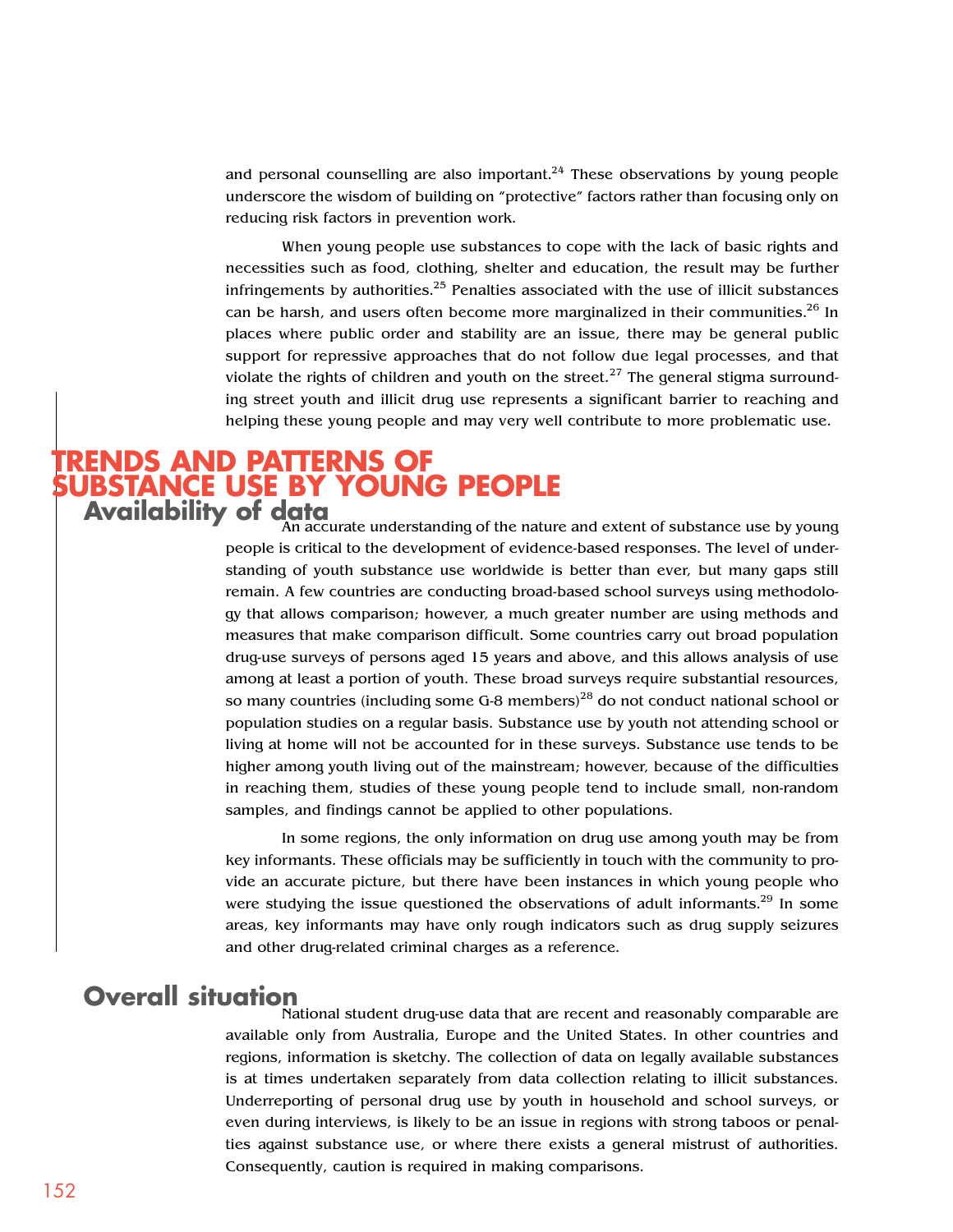and personal counselling are also important.<sup>24</sup> These observations by young people underscore the wisdom of building on "protective" factors rather than focusing only on reducing risk factors in prevention work.

When young people use substances to cope with the lack of basic rights and necessities such as food, clothing, shelter and education, the result may be further infringements by authorities. $25$  Penalties associated with the use of illicit substances can be harsh, and users often become more marginalized in their communities.<sup>26</sup> In places where public order and stability are an issue, there may be general public support for repressive approaches that do not follow due legal processes, and that violate the rights of children and youth on the street.<sup>27</sup> The general stigma surrounding street youth and illicit drug use represents a significant barrier to reaching and helping these young people and may very well contribute to more problematic use.

#### **TRENDS AND PATTERNS OF SUBSTANCE USE BY YOUNG PEOPLE Availability of data**

An accurate understanding of the nature and extent of substance use by young people is critical to the development of evidence-based responses. The level of understanding of youth substance use worldwide is better than ever, but many gaps still remain. A few countries are conducting broad-based school surveys using methodology that allows comparison; however, a much greater number are using methods and measures that make comparison difficult. Some countries carry out broad population drug-use surveys of persons aged 15 years and above, and this allows analysis of use among at least a portion of youth. These broad surveys require substantial resources, so many countries (including some G-8 members)<sup>28</sup> do not conduct national school or population studies on a regular basis. Substance use by youth not attending school or living at home will not be accounted for in these surveys. Substance use tends to be higher among youth living out of the mainstream; however, because of the difficulties in reaching them, studies of these young people tend to include small, non-random samples, and findings cannot be applied to other populations.

In some regions, the only information on drug use among youth may be from key informants. These officials may be sufficiently in touch with the community to provide an accurate picture, but there have been instances in which young people who were studying the issue questioned the observations of adult informants.<sup>29</sup> In some areas, key informants may have only rough indicators such as drug supply seizures and other drug-related criminal charges as a reference.

## **Overall situation**

National student drug-use data that are recent and reasonably comparable are available only from Australia, Europe and the United States. In other countries and regions, information is sketchy. The collection of data on legally available substances is at times undertaken separately from data collection relating to illicit substances. Underreporting of personal drug use by youth in household and school surveys, or even during interviews, is likely to be an issue in regions with strong taboos or penalties against substance use, or where there exists a general mistrust of authorities. Consequently, caution is required in making comparisons.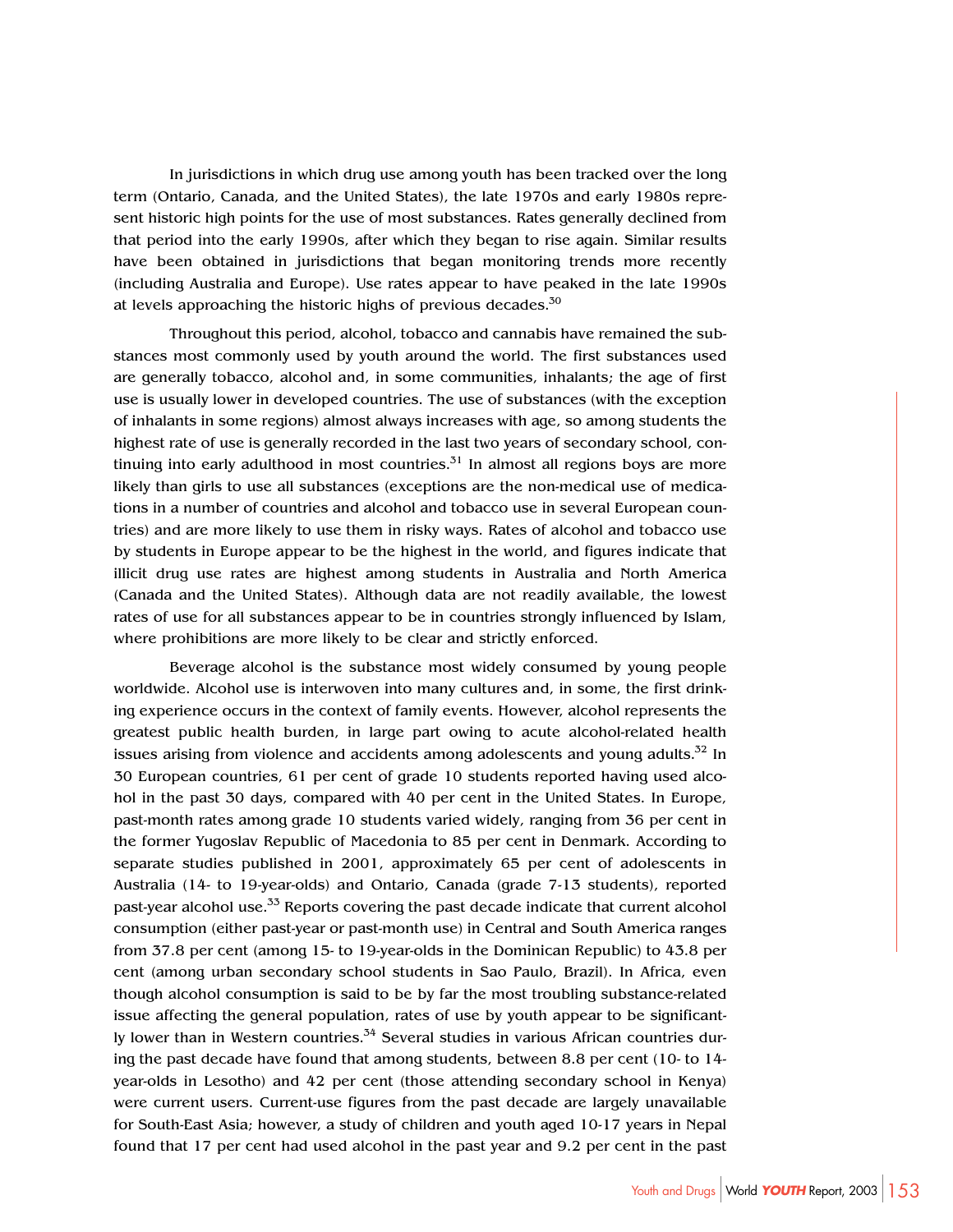In jurisdictions in which drug use among youth has been tracked over the long term (Ontario, Canada, and the United States), the late 1970s and early 1980s represent historic high points for the use of most substances. Rates generally declined from that period into the early 1990s, after which they began to rise again. Similar results have been obtained in jurisdictions that began monitoring trends more recently (including Australia and Europe). Use rates appear to have peaked in the late 1990s at levels approaching the historic highs of previous decades. $30$ 

Throughout this period, alcohol, tobacco and cannabis have remained the substances most commonly used by youth around the world. The first substances used are generally tobacco, alcohol and, in some communities, inhalants; the age of first use is usually lower in developed countries. The use of substances (with the exception of inhalants in some regions) almost always increases with age, so among students the highest rate of use is generally recorded in the last two years of secondary school, continuing into early adulthood in most countries. $31$  In almost all regions boys are more likely than girls to use all substances (exceptions are the non-medical use of medications in a number of countries and alcohol and tobacco use in several European countries) and are more likely to use them in risky ways. Rates of alcohol and tobacco use by students in Europe appear to be the highest in the world, and figures indicate that illicit drug use rates are highest among students in Australia and North America (Canada and the United States). Although data are not readily available, the lowest rates of use for all substances appear to be in countries strongly influenced by Islam, where prohibitions are more likely to be clear and strictly enforced.

Beverage alcohol is the substance most widely consumed by young people worldwide. Alcohol use is interwoven into many cultures and, in some, the first drinking experience occurs in the context of family events. However, alcohol represents the greatest public health burden, in large part owing to acute alcohol-related health issues arising from violence and accidents among adolescents and young adults. $32$  In 30 European countries, 61 per cent of grade 10 students reported having used alcohol in the past 30 days, compared with 40 per cent in the United States. In Europe, past-month rates among grade 10 students varied widely, ranging from 36 per cent in the former Yugoslav Republic of Macedonia to 85 per cent in Denmark. According to separate studies published in 2001, approximately 65 per cent of adolescents in Australia (14- to 19-year-olds) and Ontario, Canada (grade 7-13 students), reported past-year alcohol use.<sup>33</sup> Reports covering the past decade indicate that current alcohol consumption (either past-year or past-month use) in Central and South America ranges from 37.8 per cent (among 15- to 19-year-olds in the Dominican Republic) to 43.8 per cent (among urban secondary school students in Sao Paulo, Brazil). In Africa, even though alcohol consumption is said to be by far the most troubling substance-related issue affecting the general population, rates of use by youth appear to be significantly lower than in Western countries.<sup>34</sup> Several studies in various African countries during the past decade have found that among students, between 8.8 per cent (10- to 14 year-olds in Lesotho) and 42 per cent (those attending secondary school in Kenya) were current users. Current-use figures from the past decade are largely unavailable for South-East Asia; however, a study of children and youth aged 10-17 years in Nepal found that 17 per cent had used alcohol in the past year and 9.2 per cent in the past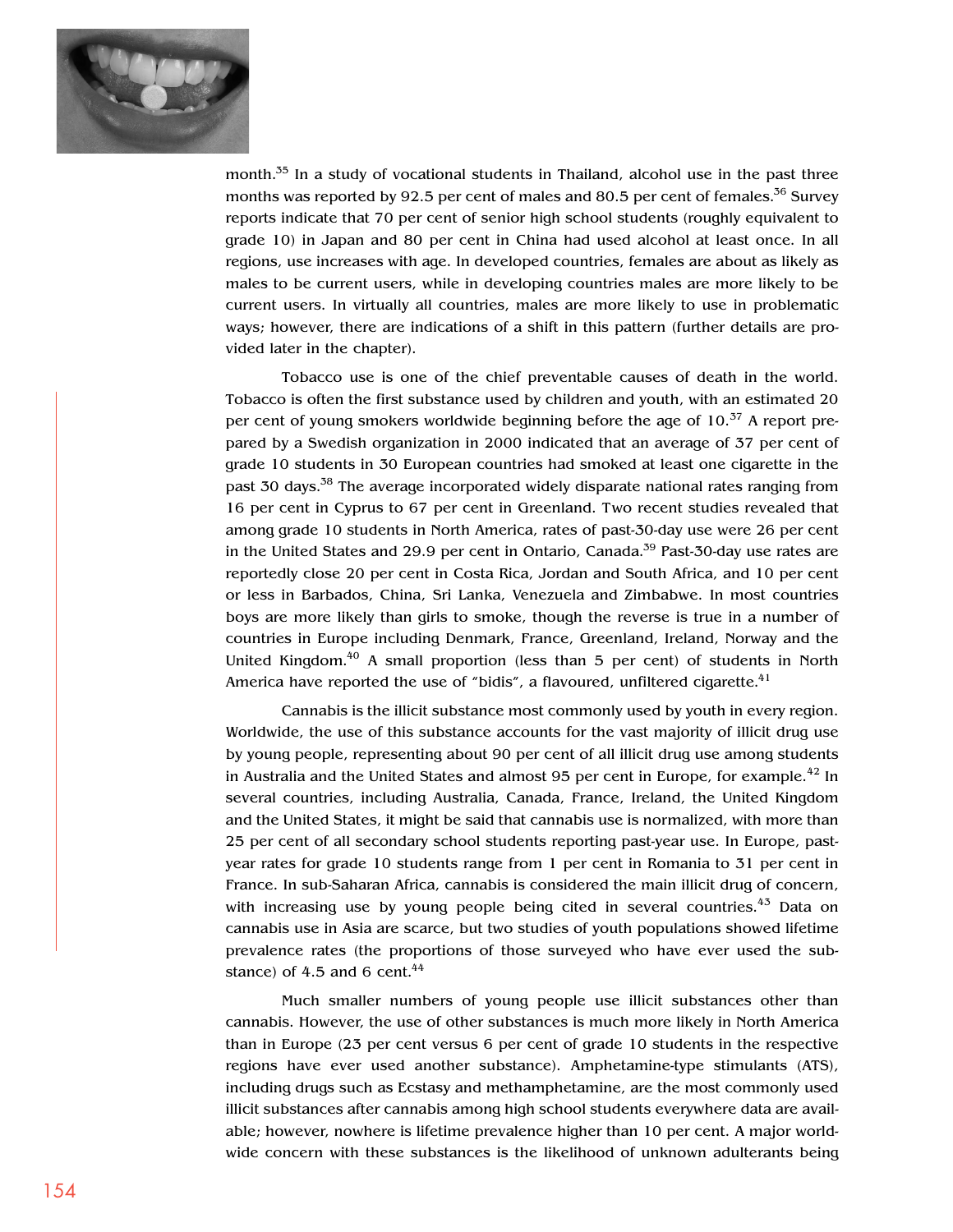

month.<sup>35</sup> In a study of vocational students in Thailand, alcohol use in the past three months was reported by 92.5 per cent of males and 80.5 per cent of females.<sup>36</sup> Survey reports indicate that 70 per cent of senior high school students (roughly equivalent to grade 10) in Japan and 80 per cent in China had used alcohol at least once. In all regions, use increases with age. In developed countries, females are about as likely as males to be current users, while in developing countries males are more likely to be current users. In virtually all countries, males are more likely to use in problematic ways; however, there are indications of a shift in this pattern (further details are provided later in the chapter).

Tobacco use is one of the chief preventable causes of death in the world. Tobacco is often the first substance used by children and youth, with an estimated 20 per cent of young smokers worldwide beginning before the age of  $10^{37}$  A report prepared by a Swedish organization in 2000 indicated that an average of 37 per cent of grade 10 students in 30 European countries had smoked at least one cigarette in the past 30 days.<sup>38</sup> The average incorporated widely disparate national rates ranging from 16 per cent in Cyprus to 67 per cent in Greenland. Two recent studies revealed that among grade 10 students in North America, rates of past-30-day use were 26 per cent in the United States and 29.9 per cent in Ontario, Canada.<sup>39</sup> Past-30-day use rates are reportedly close 20 per cent in Costa Rica, Jordan and South Africa, and 10 per cent or less in Barbados, China, Sri Lanka, Venezuela and Zimbabwe. In most countries boys are more likely than girls to smoke, though the reverse is true in a number of countries in Europe including Denmark, France, Greenland, Ireland, Norway and the United Kingdom.<sup>40</sup> A small proportion (less than 5 per cent) of students in North America have reported the use of "bidis", a flavoured, unfiltered cigarette. $41$ 

Cannabis is the illicit substance most commonly used by youth in every region. Worldwide, the use of this substance accounts for the vast majority of illicit drug use by young people, representing about 90 per cent of all illicit drug use among students in Australia and the United States and almost 95 per cent in Europe, for example.<sup>42</sup> In several countries, including Australia, Canada, France, Ireland, the United Kingdom and the United States, it might be said that cannabis use is normalized, with more than 25 per cent of all secondary school students reporting past-year use. In Europe, pastyear rates for grade 10 students range from 1 per cent in Romania to 31 per cent in France. In sub-Saharan Africa, cannabis is considered the main illicit drug of concern, with increasing use by young people being cited in several countries. $43$  Data on cannabis use in Asia are scarce, but two studies of youth populations showed lifetime prevalence rates (the proportions of those surveyed who have ever used the substance) of 4.5 and 6 cent. $44$ 

Much smaller numbers of young people use illicit substances other than cannabis. However, the use of other substances is much more likely in North America than in Europe (23 per cent versus 6 per cent of grade 10 students in the respective regions have ever used another substance). Amphetamine-type stimulants (ATS), including drugs such as Ecstasy and methamphetamine, are the most commonly used illicit substances after cannabis among high school students everywhere data are available; however, nowhere is lifetime prevalence higher than 10 per cent. A major worldwide concern with these substances is the likelihood of unknown adulterants being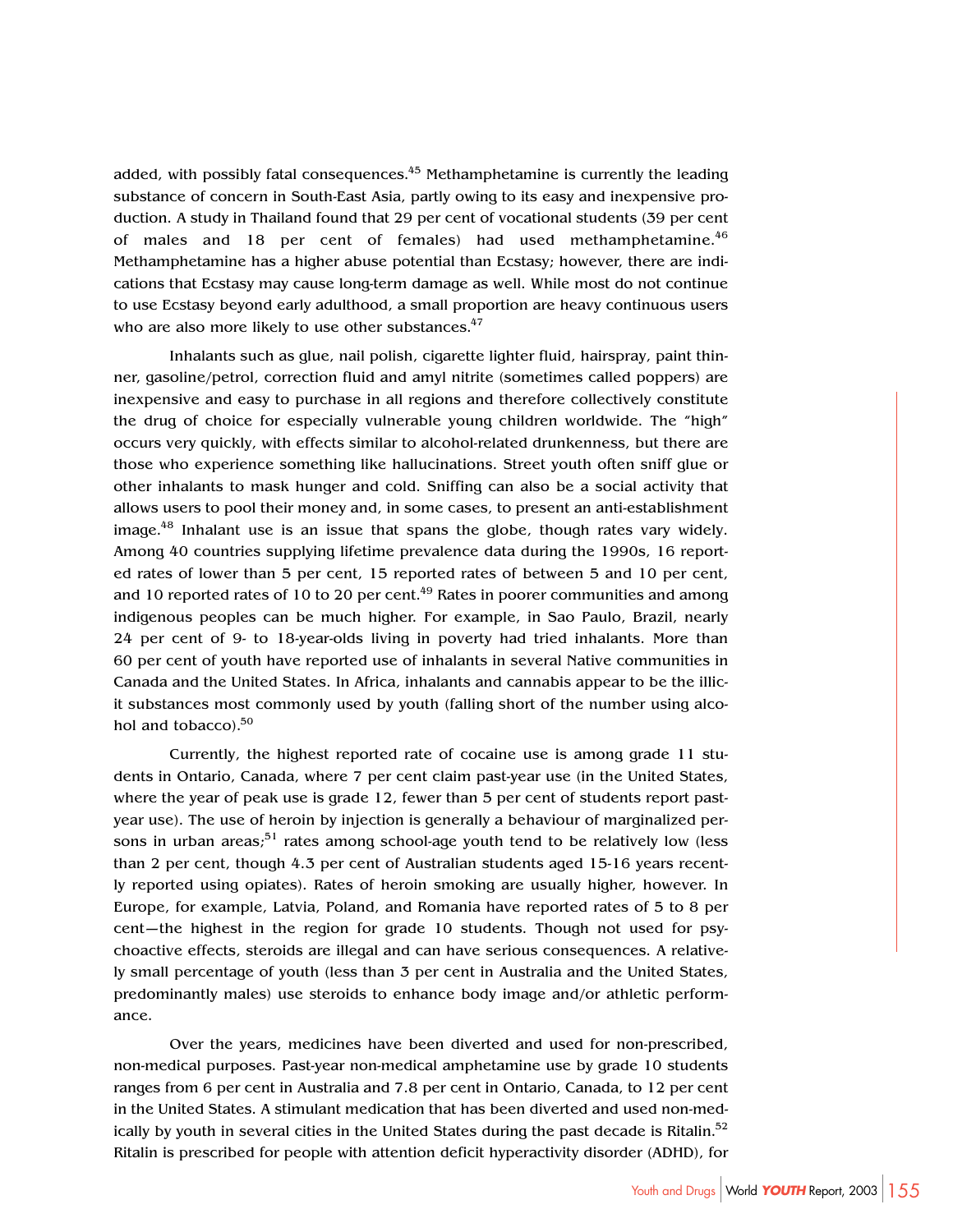added, with possibly fatal consequences.<sup>45</sup> Methamphetamine is currently the leading substance of concern in South-East Asia, partly owing to its easy and inexpensive production. A study in Thailand found that 29 per cent of vocational students (39 per cent of males and 18 per cent of females) had used methamphetamine.<sup>46</sup> Methamphetamine has a higher abuse potential than Ecstasy; however, there are indications that Ecstasy may cause long-term damage as well. While most do not continue to use Ecstasy beyond early adulthood, a small proportion are heavy continuous users who are also more likely to use other substances.<sup>47</sup>

Inhalants such as glue, nail polish, cigarette lighter fluid, hairspray, paint thinner, gasoline/petrol, correction fluid and amyl nitrite (sometimes called poppers) are inexpensive and easy to purchase in all regions and therefore collectively constitute the drug of choice for especially vulnerable young children worldwide. The "high" occurs very quickly, with effects similar to alcohol-related drunkenness, but there are those who experience something like hallucinations. Street youth often sniff glue or other inhalants to mask hunger and cold. Sniffing can also be a social activity that allows users to pool their money and, in some cases, to present an anti-establishment image.<sup>48</sup> Inhalant use is an issue that spans the globe, though rates vary widely. Among 40 countries supplying lifetime prevalence data during the 1990s, 16 reported rates of lower than 5 per cent, 15 reported rates of between 5 and 10 per cent, and 10 reported rates of 10 to 20 per cent.<sup>49</sup> Rates in poorer communities and among indigenous peoples can be much higher. For example, in Sao Paulo, Brazil, nearly 24 per cent of 9- to 18-year-olds living in poverty had tried inhalants. More than 60 per cent of youth have reported use of inhalants in several Native communities in Canada and the United States. In Africa, inhalants and cannabis appear to be the illicit substances most commonly used by youth (falling short of the number using alcohol and tobacco). $50$ 

Currently, the highest reported rate of cocaine use is among grade 11 students in Ontario, Canada, where 7 per cent claim past-year use (in the United States, where the year of peak use is grade 12, fewer than 5 per cent of students report pastyear use). The use of heroin by injection is generally a behaviour of marginalized persons in urban areas;<sup>51</sup> rates among school-age youth tend to be relatively low (less than 2 per cent, though 4.3 per cent of Australian students aged 15-16 years recently reported using opiates). Rates of heroin smoking are usually higher, however. In Europe, for example, Latvia, Poland, and Romania have reported rates of 5 to 8 per cent—the highest in the region for grade 10 students. Though not used for psychoactive effects, steroids are illegal and can have serious consequences. A relatively small percentage of youth (less than 3 per cent in Australia and the United States, predominantly males) use steroids to enhance body image and/or athletic performance.

Over the years, medicines have been diverted and used for non-prescribed, non-medical purposes. Past-year non-medical amphetamine use by grade 10 students ranges from 6 per cent in Australia and 7.8 per cent in Ontario, Canada, to 12 per cent in the United States. A stimulant medication that has been diverted and used non-medically by youth in several cities in the United States during the past decade is Ritalin. $52$ Ritalin is prescribed for people with attention deficit hyperactivity disorder (ADHD), for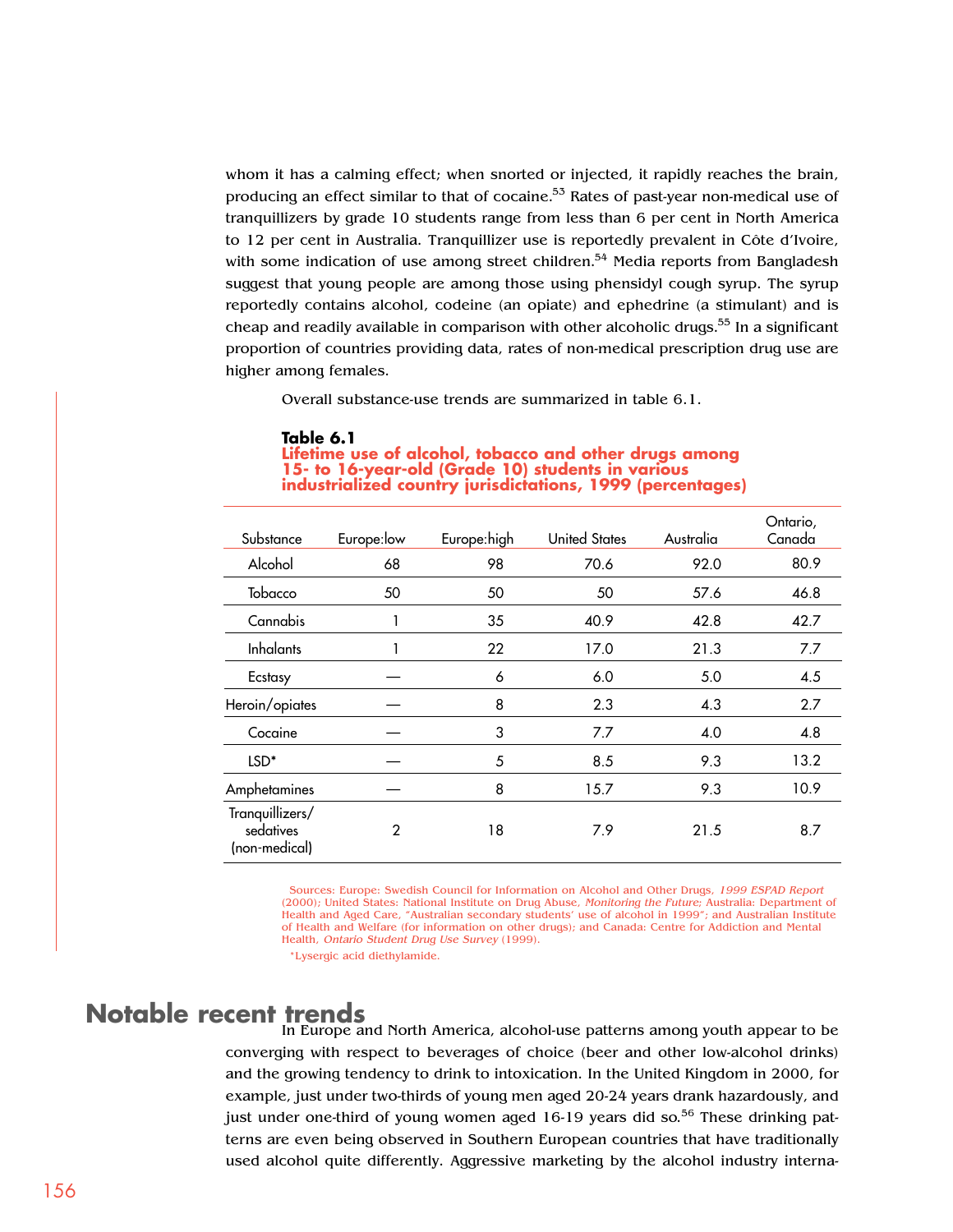whom it has a calming effect; when snorted or injected, it rapidly reaches the brain, producing an effect similar to that of cocaine.<sup>53</sup> Rates of past-year non-medical use of tranquillizers by grade 10 students range from less than 6 per cent in North America to 12 per cent in Australia. Tranquillizer use is reportedly prevalent in Côte d'Ivoire, with some indication of use among street children.<sup>54</sup> Media reports from Bangladesh suggest that young people are among those using phensidyl cough syrup. The syrup reportedly contains alcohol, codeine (an opiate) and ephedrine (a stimulant) and is cheap and readily available in comparison with other alcoholic drugs.<sup>55</sup> In a significant proportion of countries providing data, rates of non-medical prescription drug use are higher among females.

Overall substance-use trends are summarized in table 6.1.

#### **Table 6.1**

| Substance                                     | Europe: low | Europe:high | <b>United States</b> | Australia | Ontario,<br>Canada |
|-----------------------------------------------|-------------|-------------|----------------------|-----------|--------------------|
| Alcohol                                       | 68          | 98          | 70.6                 | 92.0      | 80.9               |
| Tobacco                                       | 50          | 50          | 50                   | 57.6      | 46.8               |
| Cannabis                                      |             | 35          | 40.9                 | 42.8      | 42.7               |
| <b>Inhalants</b>                              |             | 22          | 17.0                 | 21.3      | 7.7                |
| Ecstasy                                       |             | 6           | 6.0                  | 5.0       | 4.5                |
| Heroin/opiates                                |             | 8           | 2.3                  | 4.3       | 2.7                |
| Cocaine                                       |             | 3           | 7.7                  | 4.0       | 4.8                |
| LSD <sup>*</sup>                              |             | 5           | 8.5                  | 9.3       | 13.2               |
| Amphetamines                                  |             | 8           | 15.7                 | 9.3       | 10.9               |
| Tranquillizers/<br>sedatives<br>(non-medical) | 2           | 18          | 7.9                  | 21.5      | 8.7                |

**Lifetime use of alcohol, tobacco and other drugs among 15- to 16-year-old (Grade 10) students in various industrialized country jurisdictations, 1999 (percentages)**

Sources: Europe: Swedish Council for Information on Alcohol and Other Drugs, 1999 ESPAD Report (2000); United States: National Institute on Drug Abuse, Monitoring the Future; Australia: Department of Health and Aged Care, "Australian secondary students' use of alcohol in 1999"; and Australian Institute of Health and Welfare (for information on other drugs); and Canada: Centre for Addiction and Mental Health, Ontario Student Drug Use Survey (1999).

\*Lysergic acid diethylamide.

#### **Notable recent trends**

In Europe and North America, alcohol-use patterns among youth appear to be converging with respect to beverages of choice (beer and other low-alcohol drinks) and the growing tendency to drink to intoxication. In the United Kingdom in 2000, for example, just under two-thirds of young men aged 20-24 years drank hazardously, and just under one-third of young women aged  $16-19$  years did so.<sup>56</sup> These drinking patterns are even being observed in Southern European countries that have traditionally used alcohol quite differently. Aggressive marketing by the alcohol industry interna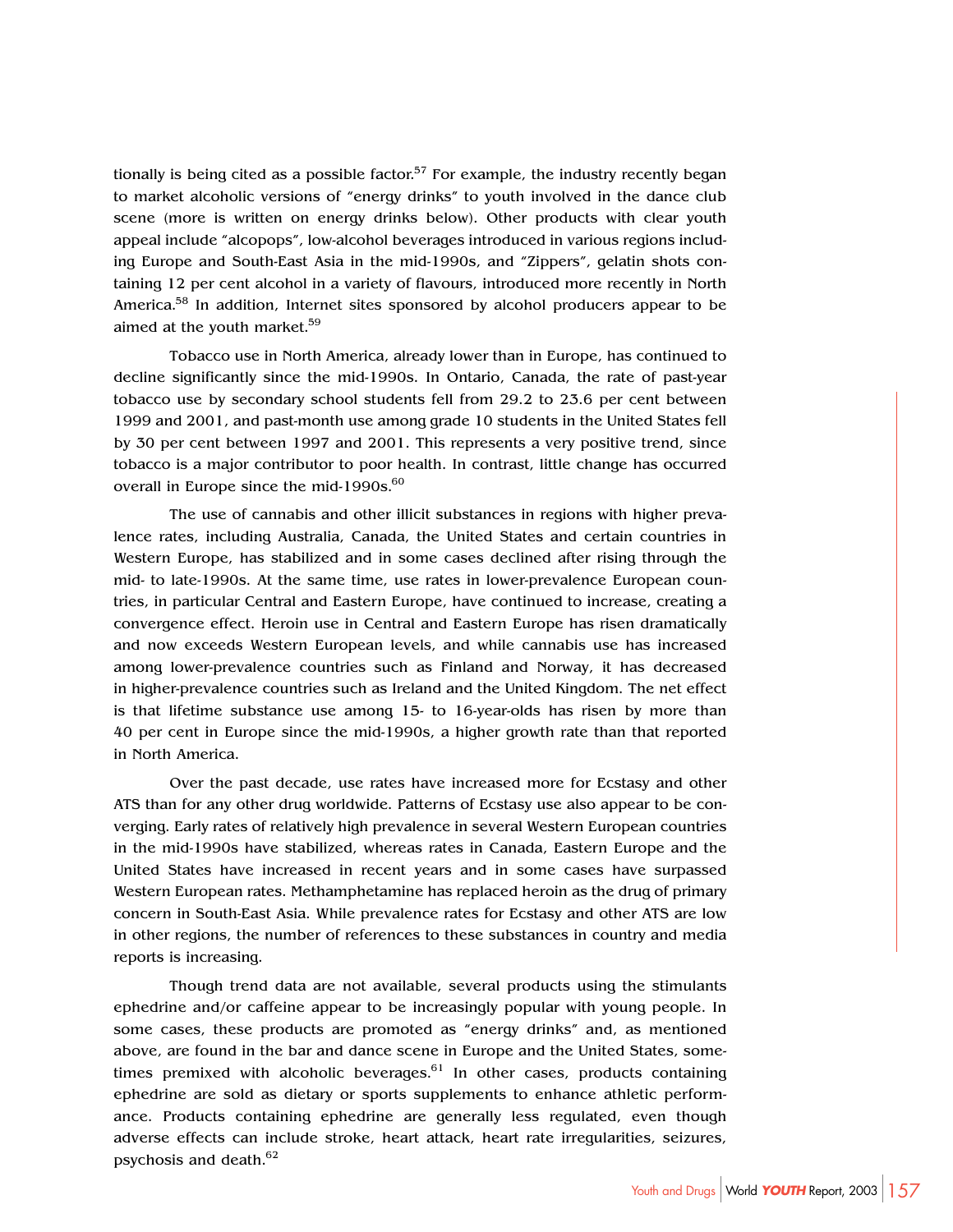tionally is being cited as a possible factor.<sup>57</sup> For example, the industry recently began to market alcoholic versions of "energy drinks" to youth involved in the dance club scene (more is written on energy drinks below). Other products with clear youth appeal include "alcopops", low-alcohol beverages introduced in various regions including Europe and South-East Asia in the mid-1990s, and "Zippers", gelatin shots containing 12 per cent alcohol in a variety of flavours, introduced more recently in North America.<sup>58</sup> In addition, Internet sites sponsored by alcohol producers appear to be aimed at the youth market.<sup>59</sup>

Tobacco use in North America, already lower than in Europe, has continued to decline significantly since the mid-1990s. In Ontario, Canada, the rate of past-year tobacco use by secondary school students fell from 29.2 to 23.6 per cent between 1999 and 2001, and past-month use among grade 10 students in the United States fell by 30 per cent between 1997 and 2001. This represents a very positive trend, since tobacco is a major contributor to poor health. In contrast, little change has occurred overall in Europe since the mid-1990s.<sup>60</sup>

The use of cannabis and other illicit substances in regions with higher prevalence rates, including Australia, Canada, the United States and certain countries in Western Europe, has stabilized and in some cases declined after rising through the mid- to late-1990s. At the same time, use rates in lower-prevalence European countries, in particular Central and Eastern Europe, have continued to increase, creating a convergence effect. Heroin use in Central and Eastern Europe has risen dramatically and now exceeds Western European levels, and while cannabis use has increased among lower-prevalence countries such as Finland and Norway, it has decreased in higher-prevalence countries such as Ireland and the United Kingdom. The net effect is that lifetime substance use among 15- to 16-year-olds has risen by more than 40 per cent in Europe since the mid-1990s, a higher growth rate than that reported in North America.

Over the past decade, use rates have increased more for Ecstasy and other ATS than for any other drug worldwide. Patterns of Ecstasy use also appear to be converging. Early rates of relatively high prevalence in several Western European countries in the mid-1990s have stabilized, whereas rates in Canada, Eastern Europe and the United States have increased in recent years and in some cases have surpassed Western European rates. Methamphetamine has replaced heroin as the drug of primary concern in South-East Asia. While prevalence rates for Ecstasy and other ATS are low in other regions, the number of references to these substances in country and media reports is increasing.

Though trend data are not available, several products using the stimulants ephedrine and/or caffeine appear to be increasingly popular with young people. In some cases, these products are promoted as "energy drinks" and, as mentioned above, are found in the bar and dance scene in Europe and the United States, sometimes premixed with alcoholic beverages. $61$  In other cases, products containing ephedrine are sold as dietary or sports supplements to enhance athletic performance. Products containing ephedrine are generally less regulated, even though adverse effects can include stroke, heart attack, heart rate irregularities, seizures, psychosis and death.62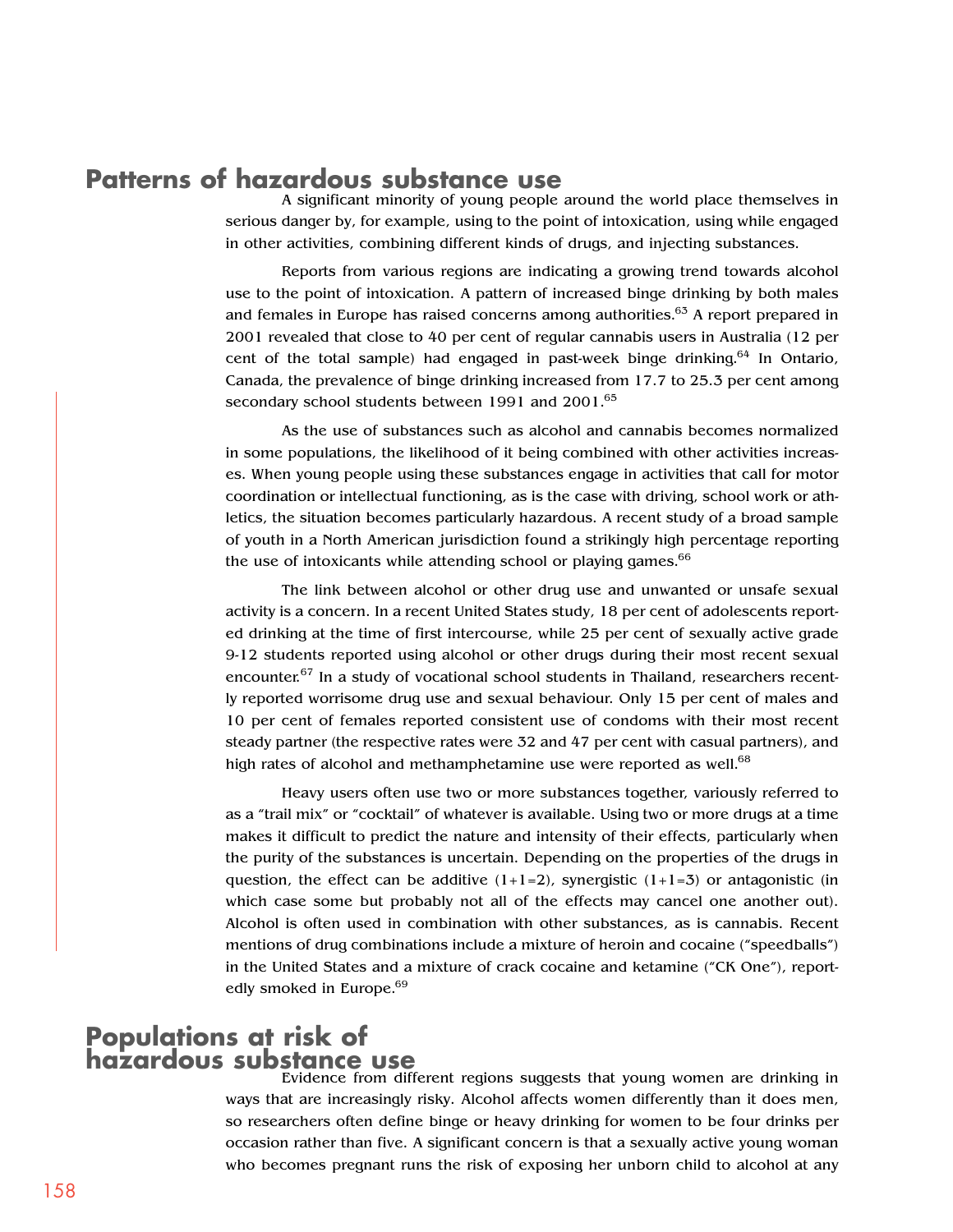## **Patterns of hazardous substance use**

A significant minority of young people around the world place themselves in serious danger by, for example, using to the point of intoxication, using while engaged in other activities, combining different kinds of drugs, and injecting substances.

Reports from various regions are indicating a growing trend towards alcohol use to the point of intoxication. A pattern of increased binge drinking by both males and females in Europe has raised concerns among authorities. $63$  A report prepared in 2001 revealed that close to 40 per cent of regular cannabis users in Australia (12 per cent of the total sample) had engaged in past-week binge drinking.<sup>64</sup> In Ontario, Canada, the prevalence of binge drinking increased from 17.7 to 25.3 per cent among secondary school students between 1991 and 2001.<sup>65</sup>

As the use of substances such as alcohol and cannabis becomes normalized in some populations, the likelihood of it being combined with other activities increases. When young people using these substances engage in activities that call for motor coordination or intellectual functioning, as is the case with driving, school work or athletics, the situation becomes particularly hazardous. A recent study of a broad sample of youth in a North American jurisdiction found a strikingly high percentage reporting the use of intoxicants while attending school or playing games. $66$ 

The link between alcohol or other drug use and unwanted or unsafe sexual activity is a concern. In a recent United States study, 18 per cent of adolescents reported drinking at the time of first intercourse, while 25 per cent of sexually active grade 9-12 students reported using alcohol or other drugs during their most recent sexual encounter.<sup>67</sup> In a study of vocational school students in Thailand, researchers recently reported worrisome drug use and sexual behaviour. Only 15 per cent of males and 10 per cent of females reported consistent use of condoms with their most recent steady partner (the respective rates were 32 and 47 per cent with casual partners), and high rates of alcohol and methamphetamine use were reported as well. $68$ 

Heavy users often use two or more substances together, variously referred to as a "trail mix" or "cocktail" of whatever is available. Using two or more drugs at a time makes it difficult to predict the nature and intensity of their effects, particularly when the purity of the substances is uncertain. Depending on the properties of the drugs in question, the effect can be additive  $(1+1=2)$ , synergistic  $(1+1=3)$  or antagonistic (in which case some but probably not all of the effects may cancel one another out). Alcohol is often used in combination with other substances, as is cannabis. Recent mentions of drug combinations include a mixture of heroin and cocaine ("speedballs") in the United States and a mixture of crack cocaine and ketamine ("CK One"), reportedly smoked in Europe.<sup>69</sup>

#### **Populations at risk of hazardous substance use**

Evidence from different regions suggests that young women are drinking in ways that are increasingly risky. Alcohol affects women differently than it does men, so researchers often define binge or heavy drinking for women to be four drinks per occasion rather than five. A significant concern is that a sexually active young woman who becomes pregnant runs the risk of exposing her unborn child to alcohol at any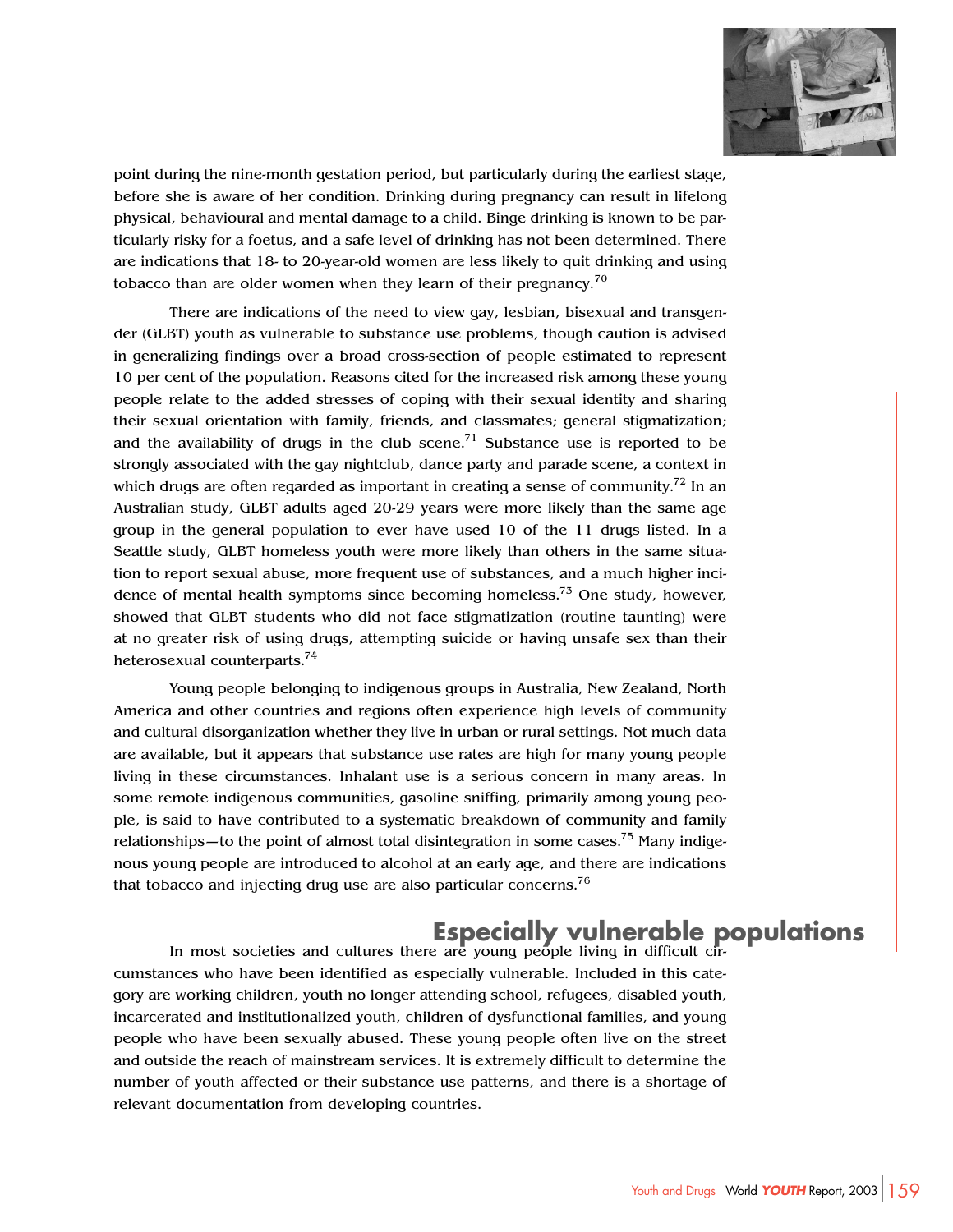

point during the nine-month gestation period, but particularly during the earliest stage, before she is aware of her condition. Drinking during pregnancy can result in lifelong physical, behavioural and mental damage to a child. Binge drinking is known to be particularly risky for a foetus, and a safe level of drinking has not been determined. There are indications that 18- to 20-year-old women are less likely to quit drinking and using tobacco than are older women when they learn of their pregnancy.<sup>70</sup>

There are indications of the need to view gay, lesbian, bisexual and transgender (GLBT) youth as vulnerable to substance use problems, though caution is advised in generalizing findings over a broad cross-section of people estimated to represent 10 per cent of the population. Reasons cited for the increased risk among these young people relate to the added stresses of coping with their sexual identity and sharing their sexual orientation with family, friends, and classmates; general stigmatization; and the availability of drugs in the club scene.<sup>71</sup> Substance use is reported to be strongly associated with the gay nightclub, dance party and parade scene, a context in which drugs are often regarded as important in creating a sense of community.<sup>72</sup> In an Australian study, GLBT adults aged 20-29 years were more likely than the same age group in the general population to ever have used 10 of the 11 drugs listed. In a Seattle study, GLBT homeless youth were more likely than others in the same situation to report sexual abuse, more frequent use of substances, and a much higher incidence of mental health symptoms since becoming homeless.<sup>73</sup> One study, however, showed that GLBT students who did not face stigmatization (routine taunting) were at no greater risk of using drugs, attempting suicide or having unsafe sex than their heterosexual counterparts.74

Young people belonging to indigenous groups in Australia, New Zealand, North America and other countries and regions often experience high levels of community and cultural disorganization whether they live in urban or rural settings. Not much data are available, but it appears that substance use rates are high for many young people living in these circumstances. Inhalant use is a serious concern in many areas. In some remote indigenous communities, gasoline sniffing, primarily among young people, is said to have contributed to a systematic breakdown of community and family relationships—to the point of almost total disintegration in some cases.<sup>75</sup> Many indigenous young people are introduced to alcohol at an early age, and there are indications that tobacco and injecting drug use are also particular concerns.<sup>76</sup>

## **Especially vulnerable populations**

In most societies and cultures there are young people living in difficult circumstances who have been identified as especially vulnerable. Included in this category are working children, youth no longer attending school, refugees, disabled youth, incarcerated and institutionalized youth, children of dysfunctional families, and young people who have been sexually abused. These young people often live on the street and outside the reach of mainstream services. It is extremely difficult to determine the number of youth affected or their substance use patterns, and there is a shortage of relevant documentation from developing countries.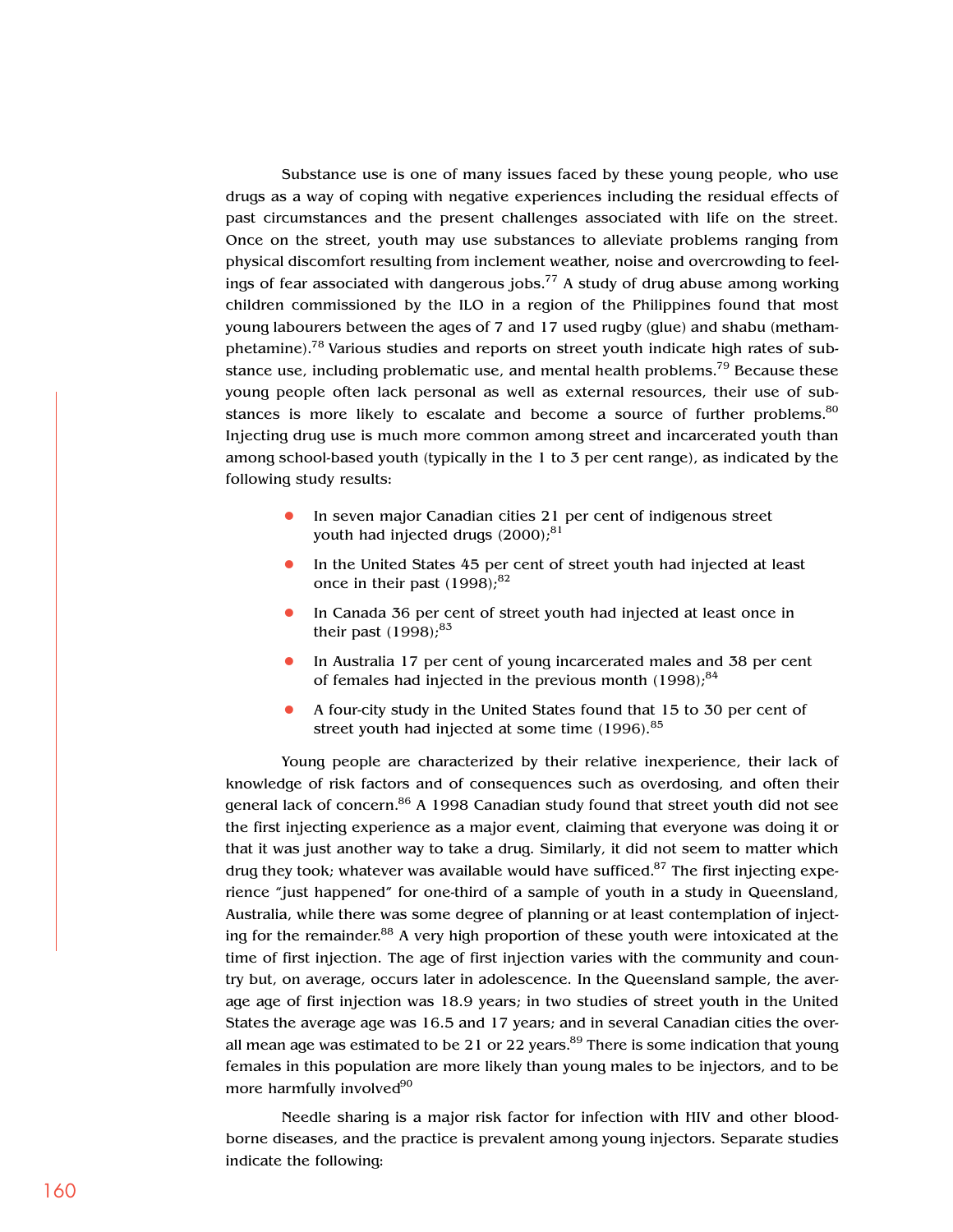Substance use is one of many issues faced by these young people, who use drugs as a way of coping with negative experiences including the residual effects of past circumstances and the present challenges associated with life on the street. Once on the street, youth may use substances to alleviate problems ranging from physical discomfort resulting from inclement weather, noise and overcrowding to feelings of fear associated with dangerous jobs.<sup>77</sup> A study of drug abuse among working children commissioned by the ILO in a region of the Philippines found that most young labourers between the ages of 7 and 17 used rugby (glue) and shabu (methamphetamine).78 Various studies and reports on street youth indicate high rates of substance use, including problematic use, and mental health problems.<sup>79</sup> Because these young people often lack personal as well as external resources, their use of substances is more likely to escalate and become a source of further problems. $80$ Injecting drug use is much more common among street and incarcerated youth than among school-based youth (typically in the 1 to 3 per cent range), as indicated by the following study results:

- **•** In seven major Canadian cities 21 per cent of indigenous street youth had injected drugs (2000);<sup>81</sup>
- **•** In the United States 45 per cent of street youth had injected at least once in their past  $(1998)^{82}$
- **•** In Canada 36 per cent of street youth had injected at least once in their past  $(1998)$ ;<sup>83</sup>
- **•** In Australia 17 per cent of young incarcerated males and 38 per cent of females had injected in the previous month  $(1998)$ ;<sup>84</sup>
- **•** A four-city study in the United States found that 15 to 30 per cent of street youth had injected at some time  $(1996)^{85}$

Young people are characterized by their relative inexperience, their lack of knowledge of risk factors and of consequences such as overdosing, and often their general lack of concern.<sup>86</sup> A 1998 Canadian study found that street youth did not see the first injecting experience as a major event, claiming that everyone was doing it or that it was just another way to take a drug. Similarly, it did not seem to matter which drug they took; whatever was available would have sufficed.<sup>87</sup> The first injecting experience "just happened" for one-third of a sample of youth in a study in Queensland, Australia, while there was some degree of planning or at least contemplation of injecting for the remainder.<sup>88</sup> A very high proportion of these youth were intoxicated at the time of first injection. The age of first injection varies with the community and country but, on average, occurs later in adolescence. In the Queensland sample, the average age of first injection was 18.9 years; in two studies of street youth in the United States the average age was 16.5 and 17 years; and in several Canadian cities the overall mean age was estimated to be 21 or 22 years.<sup>89</sup> There is some indication that young females in this population are more likely than young males to be injectors, and to be more harmfully involved<sup>90</sup>

Needle sharing is a major risk factor for infection with HIV and other bloodborne diseases, and the practice is prevalent among young injectors. Separate studies indicate the following: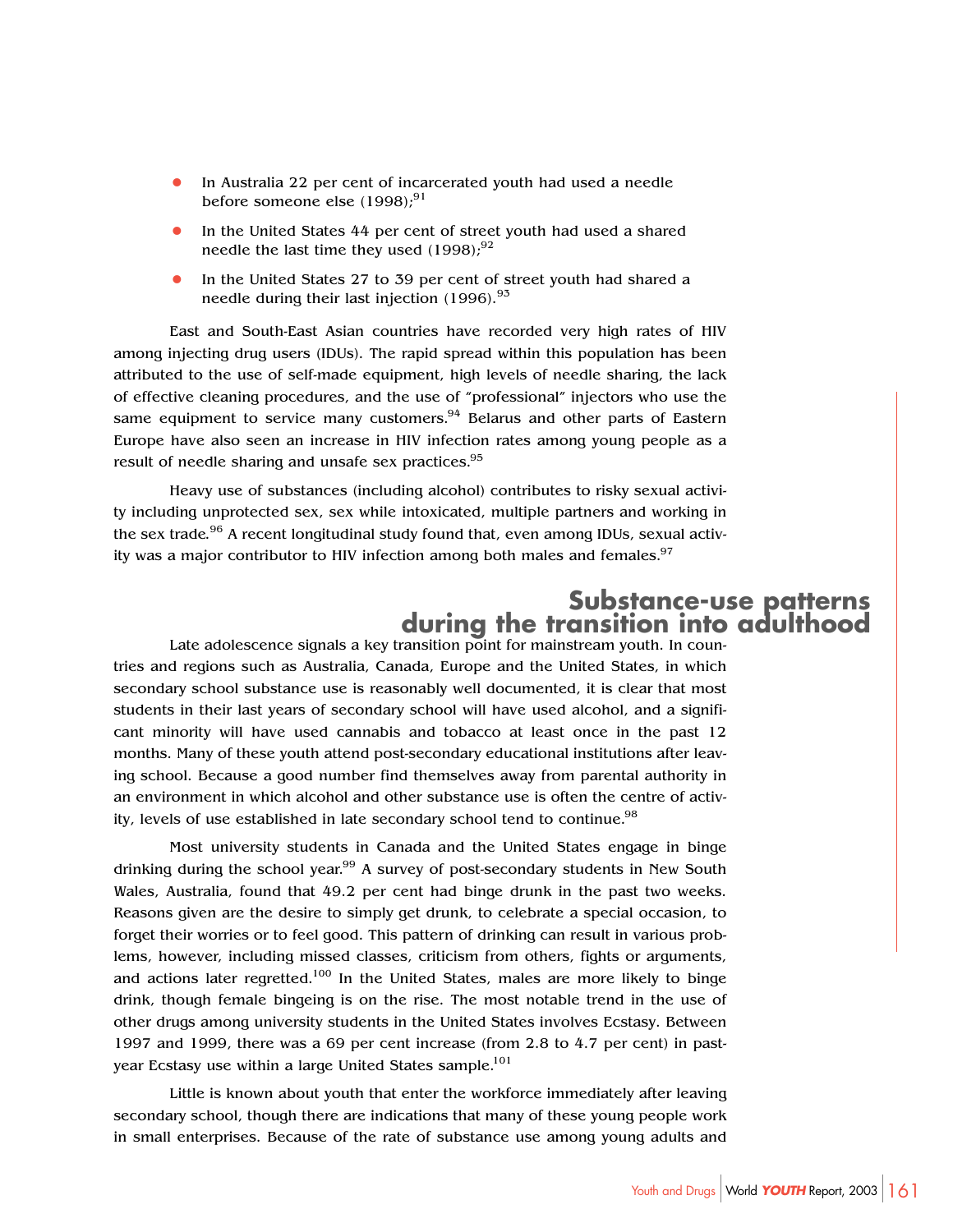- **•** In Australia 22 per cent of incarcerated youth had used a needle before someone else (1998);<sup>91</sup>
- **•** In the United States 44 per cent of street youth had used a shared needle the last time they used  $(1998)$ ;<sup>92</sup>
- **•** In the United States 27 to 39 per cent of street youth had shared a needle during their last injection (1996).<sup>93</sup>

East and South-East Asian countries have recorded very high rates of HIV among injecting drug users (IDUs). The rapid spread within this population has been attributed to the use of self-made equipment, high levels of needle sharing, the lack of effective cleaning procedures, and the use of "professional" injectors who use the same equipment to service many customers. $94$  Belarus and other parts of Eastern Europe have also seen an increase in HIV infection rates among young people as a result of needle sharing and unsafe sex practices.<sup>95</sup>

Heavy use of substances (including alcohol) contributes to risky sexual activity including unprotected sex, sex while intoxicated, multiple partners and working in the sex trade.<sup>96</sup> A recent longitudinal study found that, even among IDUs, sexual activity was a major contributor to HIV infection among both males and females.<sup>97</sup>

# **Substance-use patterns during the transition into adulthood**

Late adolescence signals a key transition point for mainstream youth. In countries and regions such as Australia, Canada, Europe and the United States, in which secondary school substance use is reasonably well documented, it is clear that most students in their last years of secondary school will have used alcohol, and a significant minority will have used cannabis and tobacco at least once in the past 12 months. Many of these youth attend post-secondary educational institutions after leaving school. Because a good number find themselves away from parental authority in an environment in which alcohol and other substance use is often the centre of activity, levels of use established in late secondary school tend to continue.<sup>98</sup>

Most university students in Canada and the United States engage in binge drinking during the school year.99 A survey of post-secondary students in New South Wales, Australia, found that 49.2 per cent had binge drunk in the past two weeks. Reasons given are the desire to simply get drunk, to celebrate a special occasion, to forget their worries or to feel good. This pattern of drinking can result in various problems, however, including missed classes, criticism from others, fights or arguments, and actions later regretted.<sup>100</sup> In the United States, males are more likely to binge drink, though female bingeing is on the rise. The most notable trend in the use of other drugs among university students in the United States involves Ecstasy. Between 1997 and 1999, there was a 69 per cent increase (from 2.8 to 4.7 per cent) in pastyear Ecstasy use within a large United States sample.<sup>101</sup>

Little is known about youth that enter the workforce immediately after leaving secondary school, though there are indications that many of these young people work in small enterprises. Because of the rate of substance use among young adults and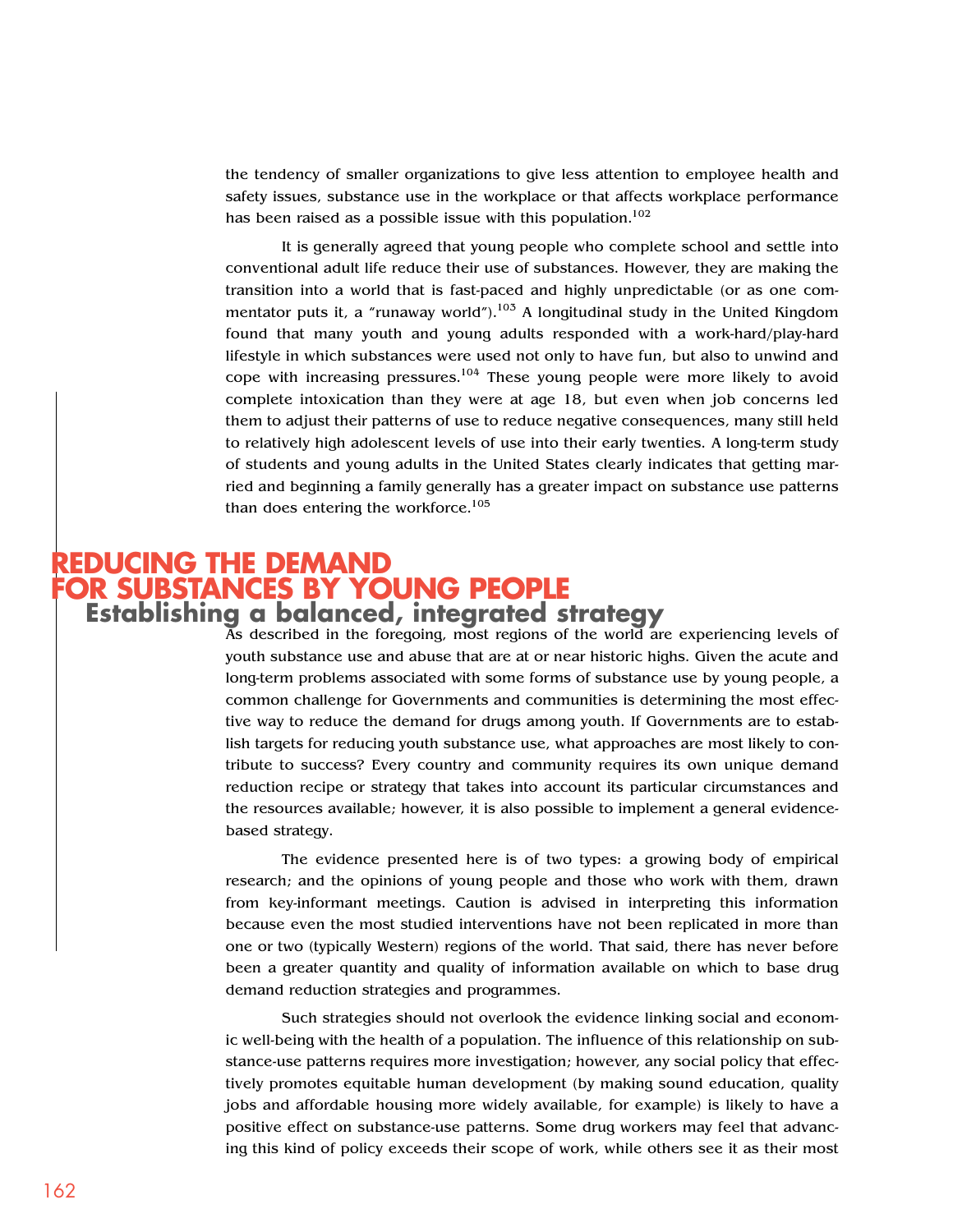the tendency of smaller organizations to give less attention to employee health and safety issues, substance use in the workplace or that affects workplace performance has been raised as a possible issue with this population.<sup>102</sup>

It is generally agreed that young people who complete school and settle into conventional adult life reduce their use of substances. However, they are making the transition into a world that is fast-paced and highly unpredictable (or as one commentator puts it, a "runaway world").<sup>103</sup> A longitudinal study in the United Kingdom found that many youth and young adults responded with a work-hard/play-hard lifestyle in which substances were used not only to have fun, but also to unwind and cope with increasing pressures.<sup>104</sup> These young people were more likely to avoid complete intoxication than they were at age 18, but even when job concerns led them to adjust their patterns of use to reduce negative consequences, many still held to relatively high adolescent levels of use into their early twenties. A long-term study of students and young adults in the United States clearly indicates that getting married and beginning a family generally has a greater impact on substance use patterns than does entering the workforce. $105$ 

#### **REDUCING THE DEMAND FOR SUBSTANCES BY YOUNG PEOPLE Establishing a balanced, integrated strategy**

As described in the foregoing, most regions of the world are experiencing levels of youth substance use and abuse that are at or near historic highs. Given the acute and long-term problems associated with some forms of substance use by young people, a common challenge for Governments and communities is determining the most effective way to reduce the demand for drugs among youth. If Governments are to establish targets for reducing youth substance use, what approaches are most likely to contribute to success? Every country and community requires its own unique demand reduction recipe or strategy that takes into account its particular circumstances and the resources available; however, it is also possible to implement a general evidencebased strategy.

The evidence presented here is of two types: a growing body of empirical research; and the opinions of young people and those who work with them, drawn from key-informant meetings. Caution is advised in interpreting this information because even the most studied interventions have not been replicated in more than one or two (typically Western) regions of the world. That said, there has never before been a greater quantity and quality of information available on which to base drug demand reduction strategies and programmes.

Such strategies should not overlook the evidence linking social and economic well-being with the health of a population. The influence of this relationship on substance-use patterns requires more investigation; however, any social policy that effectively promotes equitable human development (by making sound education, quality jobs and affordable housing more widely available, for example) is likely to have a positive effect on substance-use patterns. Some drug workers may feel that advancing this kind of policy exceeds their scope of work, while others see it as their most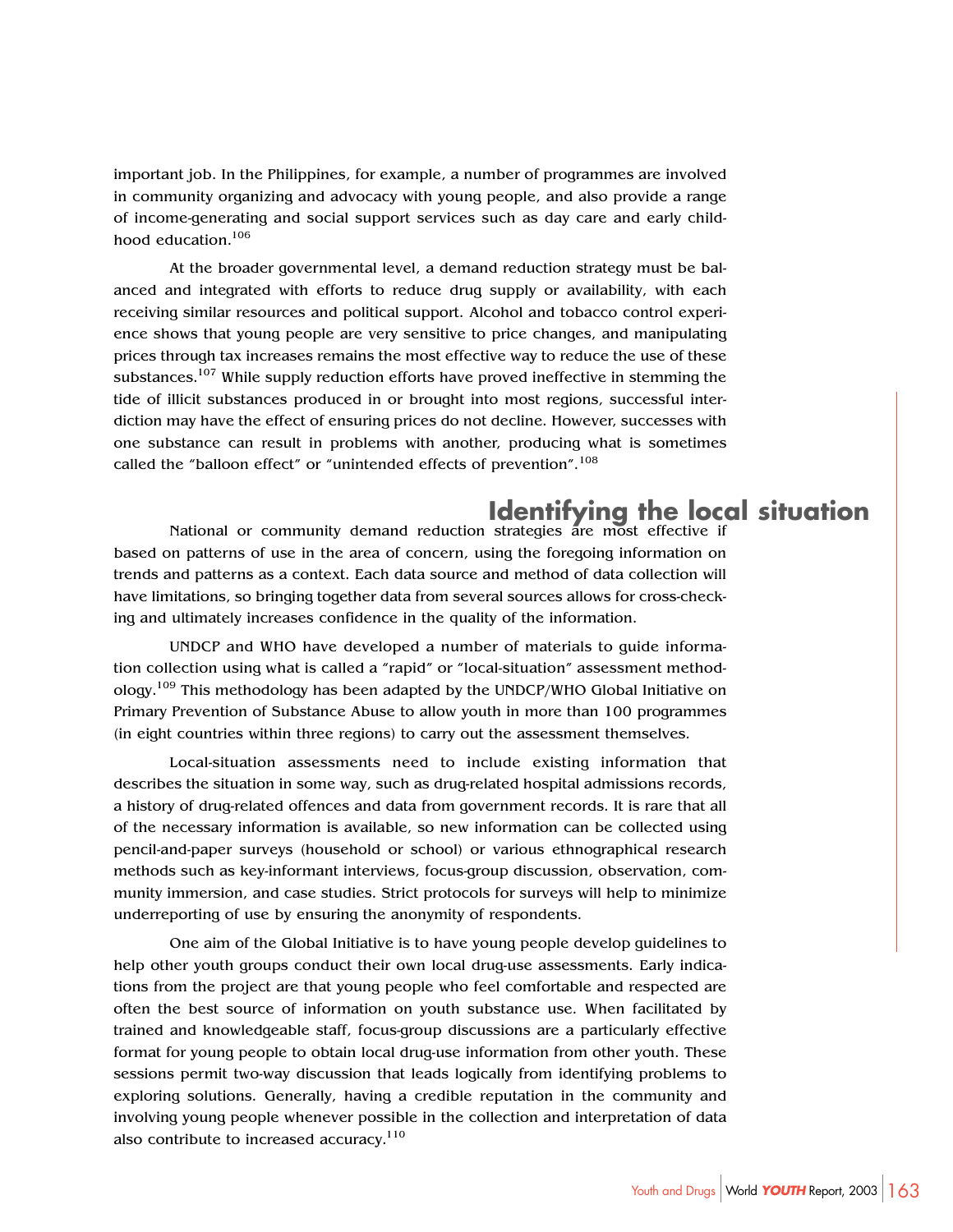important job. In the Philippines, for example, a number of programmes are involved in community organizing and advocacy with young people, and also provide a range of income-generating and social support services such as day care and early childhood education.106

At the broader governmental level, a demand reduction strategy must be balanced and integrated with efforts to reduce drug supply or availability, with each receiving similar resources and political support. Alcohol and tobacco control experience shows that young people are very sensitive to price changes, and manipulating prices through tax increases remains the most effective way to reduce the use of these substances.<sup>107</sup> While supply reduction efforts have proved ineffective in stemming the tide of illicit substances produced in or brought into most regions, successful interdiction may have the effect of ensuring prices do not decline. However, successes with one substance can result in problems with another, producing what is sometimes called the "balloon effect" or "unintended effects of prevention".<sup>108</sup>

# **Identifying the local situation**

National or community demand reduction strategies are most effective if based on patterns of use in the area of concern, using the foregoing information on trends and patterns as a context. Each data source and method of data collection will have limitations, so bringing together data from several sources allows for cross-checking and ultimately increases confidence in the quality of the information.

UNDCP and WHO have developed a number of materials to guide information collection using what is called a "rapid" or "local-situation" assessment methodology.109 This methodology has been adapted by the UNDCP/WHO Global Initiative on Primary Prevention of Substance Abuse to allow youth in more than 100 programmes (in eight countries within three regions) to carry out the assessment themselves.

Local-situation assessments need to include existing information that describes the situation in some way, such as drug-related hospital admissions records, a history of drug-related offences and data from government records. It is rare that all of the necessary information is available, so new information can be collected using pencil-and-paper surveys (household or school) or various ethnographical research methods such as key-informant interviews, focus-group discussion, observation, community immersion, and case studies. Strict protocols for surveys will help to minimize underreporting of use by ensuring the anonymity of respondents.

One aim of the Global Initiative is to have young people develop guidelines to help other youth groups conduct their own local drug-use assessments. Early indications from the project are that young people who feel comfortable and respected are often the best source of information on youth substance use. When facilitated by trained and knowledgeable staff, focus-group discussions are a particularly effective format for young people to obtain local drug-use information from other youth. These sessions permit two-way discussion that leads logically from identifying problems to exploring solutions. Generally, having a credible reputation in the community and involving young people whenever possible in the collection and interpretation of data also contribute to increased accuracy. $110$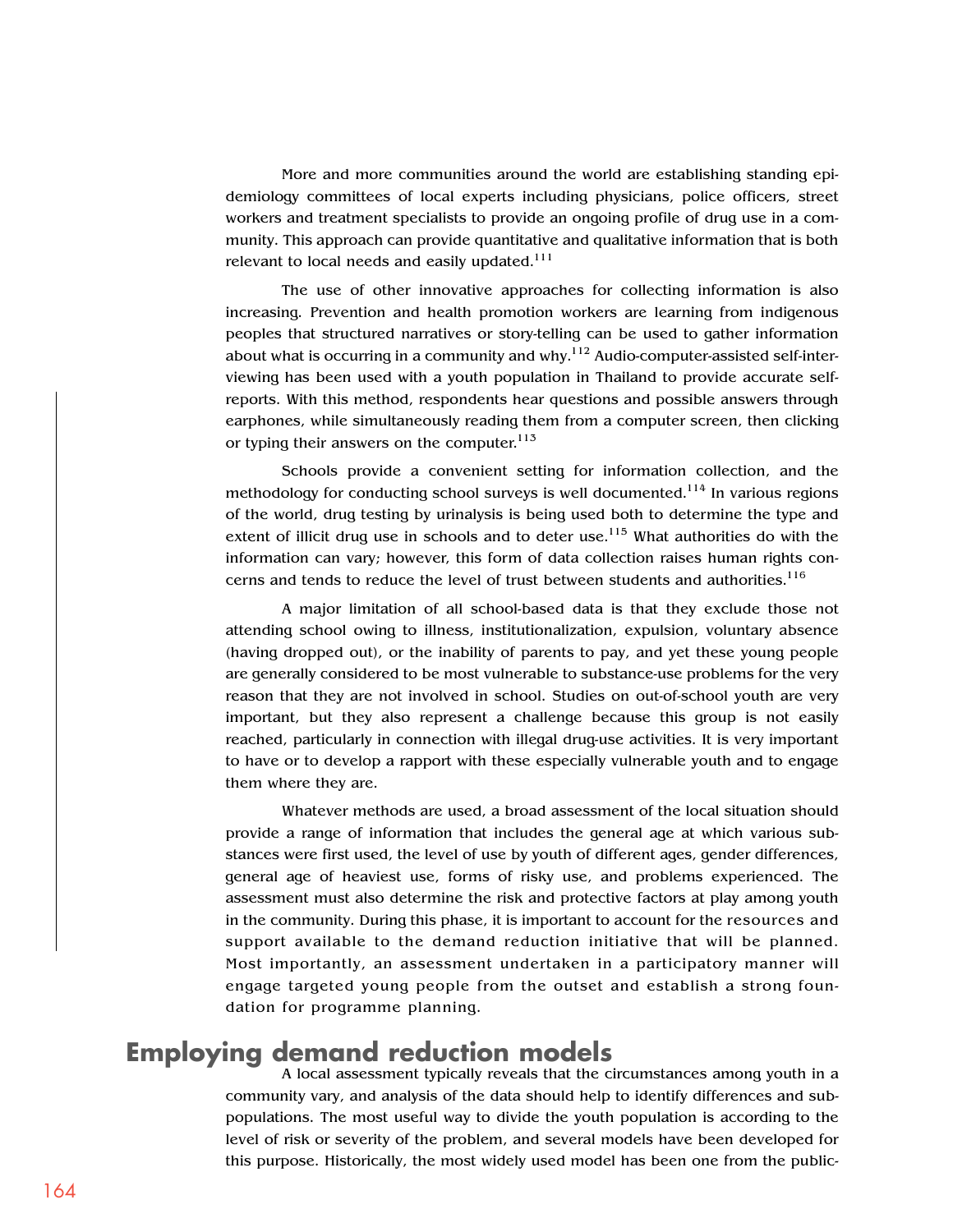More and more communities around the world are establishing standing epidemiology committees of local experts including physicians, police officers, street workers and treatment specialists to provide an ongoing profile of drug use in a community. This approach can provide quantitative and qualitative information that is both relevant to local needs and easily updated.<sup>111</sup>

The use of other innovative approaches for collecting information is also increasing. Prevention and health promotion workers are learning from indigenous peoples that structured narratives or story-telling can be used to gather information about what is occurring in a community and why. $112$  Audio-computer-assisted self-interviewing has been used with a youth population in Thailand to provide accurate selfreports. With this method, respondents hear questions and possible answers through earphones, while simultaneously reading them from a computer screen, then clicking or typing their answers on the computer.<sup>113</sup>

Schools provide a convenient setting for information collection, and the methodology for conducting school surveys is well documented.<sup>114</sup> In various regions of the world, drug testing by urinalysis is being used both to determine the type and extent of illicit drug use in schools and to deter use.<sup>115</sup> What authorities do with the information can vary; however, this form of data collection raises human rights concerns and tends to reduce the level of trust between students and authorities.<sup>116</sup>

A major limitation of all school-based data is that they exclude those not attending school owing to illness, institutionalization, expulsion, voluntary absence (having dropped out), or the inability of parents to pay, and yet these young people are generally considered to be most vulnerable to substance-use problems for the very reason that they are not involved in school. Studies on out-of-school youth are very important, but they also represent a challenge because this group is not easily reached, particularly in connection with illegal drug-use activities. It is very important to have or to develop a rapport with these especially vulnerable youth and to engage them where they are.

Whatever methods are used, a broad assessment of the local situation should provide a range of information that includes the general age at which various substances were first used, the level of use by youth of different ages, gender differences, general age of heaviest use, forms of risky use, and problems experienced. The assessment must also determine the risk and protective factors at play among youth in the community. During this phase, it is important to account for the resources and support available to the demand reduction initiative that will be planned. Most importantly, an assessment undertaken in a participatory manner will engage targeted young people from the outset and establish a strong foundation for programme planning.

## **Employing demand reduction models**

A local assessment typically reveals that the circumstances among youth in a community vary, and analysis of the data should help to identify differences and subpopulations. The most useful way to divide the youth population is according to the level of risk or severity of the problem, and several models have been developed for this purpose. Historically, the most widely used model has been one from the public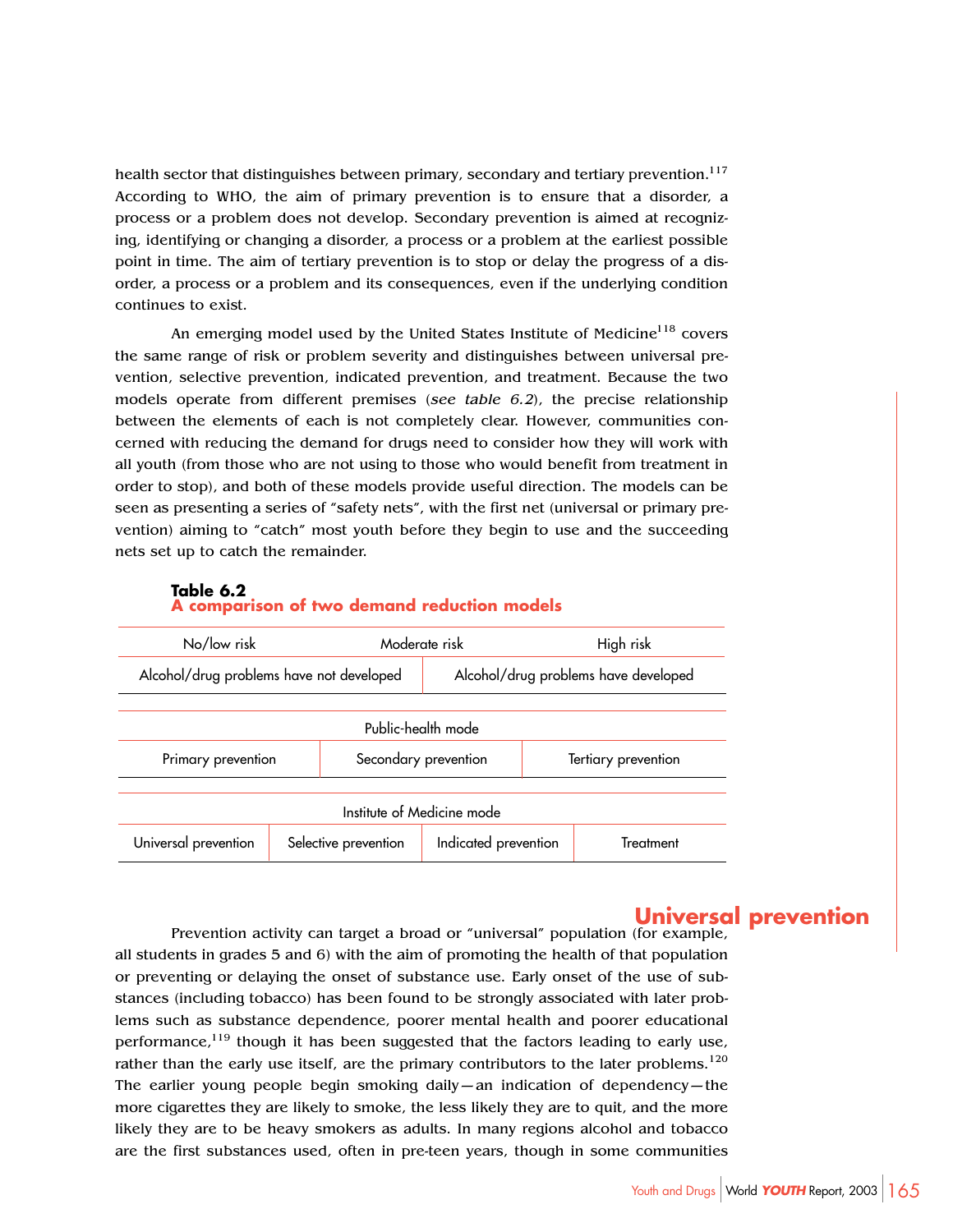health sector that distinguishes between primary, secondary and tertiary prevention.<sup>117</sup> According to WHO, the aim of primary prevention is to ensure that a disorder, a process or a problem does not develop. Secondary prevention is aimed at recognizing, identifying or changing a disorder, a process or a problem at the earliest possible point in time. The aim of tertiary prevention is to stop or delay the progress of a disorder, a process or a problem and its consequences, even if the underlying condition continues to exist.

An emerging model used by the United States Institute of Medicine<sup>118</sup> covers the same range of risk or problem severity and distinguishes between universal prevention, selective prevention, indicated prevention, and treatment. Because the two models operate from different premises (see table 6.2), the precise relationship between the elements of each is not completely clear. However, communities concerned with reducing the demand for drugs need to consider how they will work with all youth (from those who are not using to those who would benefit from treatment in order to stop), and both of these models provide useful direction. The models can be seen as presenting a series of "safety nets", with the first net (universal or primary prevention) aiming to "catch" most youth before they begin to use and the succeeding nets set up to catch the remainder.

#### **Table 6.2**



#### **A comparison of two demand reduction models**

#### **Universal prevention**

Prevention activity can target a broad or "universal" population (for example, all students in grades 5 and 6) with the aim of promoting the health of that population or preventing or delaying the onset of substance use. Early onset of the use of substances (including tobacco) has been found to be strongly associated with later problems such as substance dependence, poorer mental health and poorer educational performance, $119$  though it has been suggested that the factors leading to early use, rather than the early use itself, are the primary contributors to the later problems.<sup>120</sup> The earlier young people begin smoking daily—an indication of dependency—the more cigarettes they are likely to smoke, the less likely they are to quit, and the more likely they are to be heavy smokers as adults. In many regions alcohol and tobacco are the first substances used, often in pre-teen years, though in some communities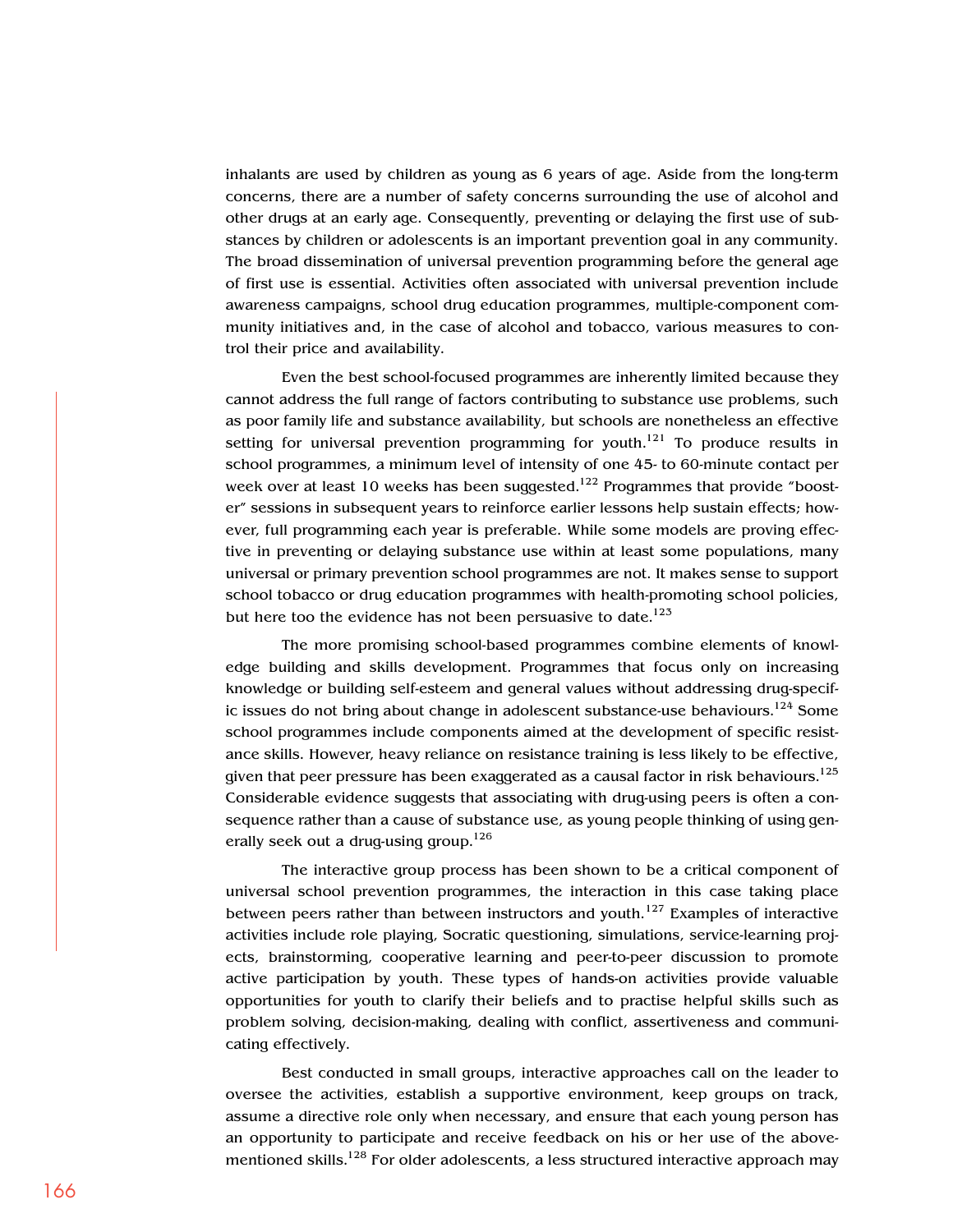inhalants are used by children as young as 6 years of age. Aside from the long-term concerns, there are a number of safety concerns surrounding the use of alcohol and other drugs at an early age. Consequently, preventing or delaying the first use of substances by children or adolescents is an important prevention goal in any community. The broad dissemination of universal prevention programming before the general age of first use is essential. Activities often associated with universal prevention include awareness campaigns, school drug education programmes, multiple-component community initiatives and, in the case of alcohol and tobacco, various measures to control their price and availability.

Even the best school-focused programmes are inherently limited because they cannot address the full range of factors contributing to substance use problems, such as poor family life and substance availability, but schools are nonetheless an effective setting for universal prevention programming for youth.<sup>121</sup> To produce results in school programmes, a minimum level of intensity of one 45- to 60-minute contact per week over at least 10 weeks has been suggested.<sup>122</sup> Programmes that provide "booster" sessions in subsequent years to reinforce earlier lessons help sustain effects; however, full programming each year is preferable. While some models are proving effective in preventing or delaying substance use within at least some populations, many universal or primary prevention school programmes are not. It makes sense to support school tobacco or drug education programmes with health-promoting school policies, but here too the evidence has not been persuasive to date.<sup>123</sup>

The more promising school-based programmes combine elements of knowledge building and skills development. Programmes that focus only on increasing knowledge or building self-esteem and general values without addressing drug-specific issues do not bring about change in adolescent substance-use behaviours.<sup>124</sup> Some school programmes include components aimed at the development of specific resistance skills. However, heavy reliance on resistance training is less likely to be effective, given that peer pressure has been exaggerated as a causal factor in risk behaviours.<sup>125</sup> Considerable evidence suggests that associating with drug-using peers is often a consequence rather than a cause of substance use, as young people thinking of using generally seek out a drug-using group.<sup>126</sup>

The interactive group process has been shown to be a critical component of universal school prevention programmes, the interaction in this case taking place between peers rather than between instructors and youth.<sup>127</sup> Examples of interactive activities include role playing, Socratic questioning, simulations, service-learning projects, brainstorming, cooperative learning and peer-to-peer discussion to promote active participation by youth. These types of hands-on activities provide valuable opportunities for youth to clarify their beliefs and to practise helpful skills such as problem solving, decision-making, dealing with conflict, assertiveness and communicating effectively.

Best conducted in small groups, interactive approaches call on the leader to oversee the activities, establish a supportive environment, keep groups on track, assume a directive role only when necessary, and ensure that each young person has an opportunity to participate and receive feedback on his or her use of the abovementioned skills.<sup>128</sup> For older adolescents, a less structured interactive approach may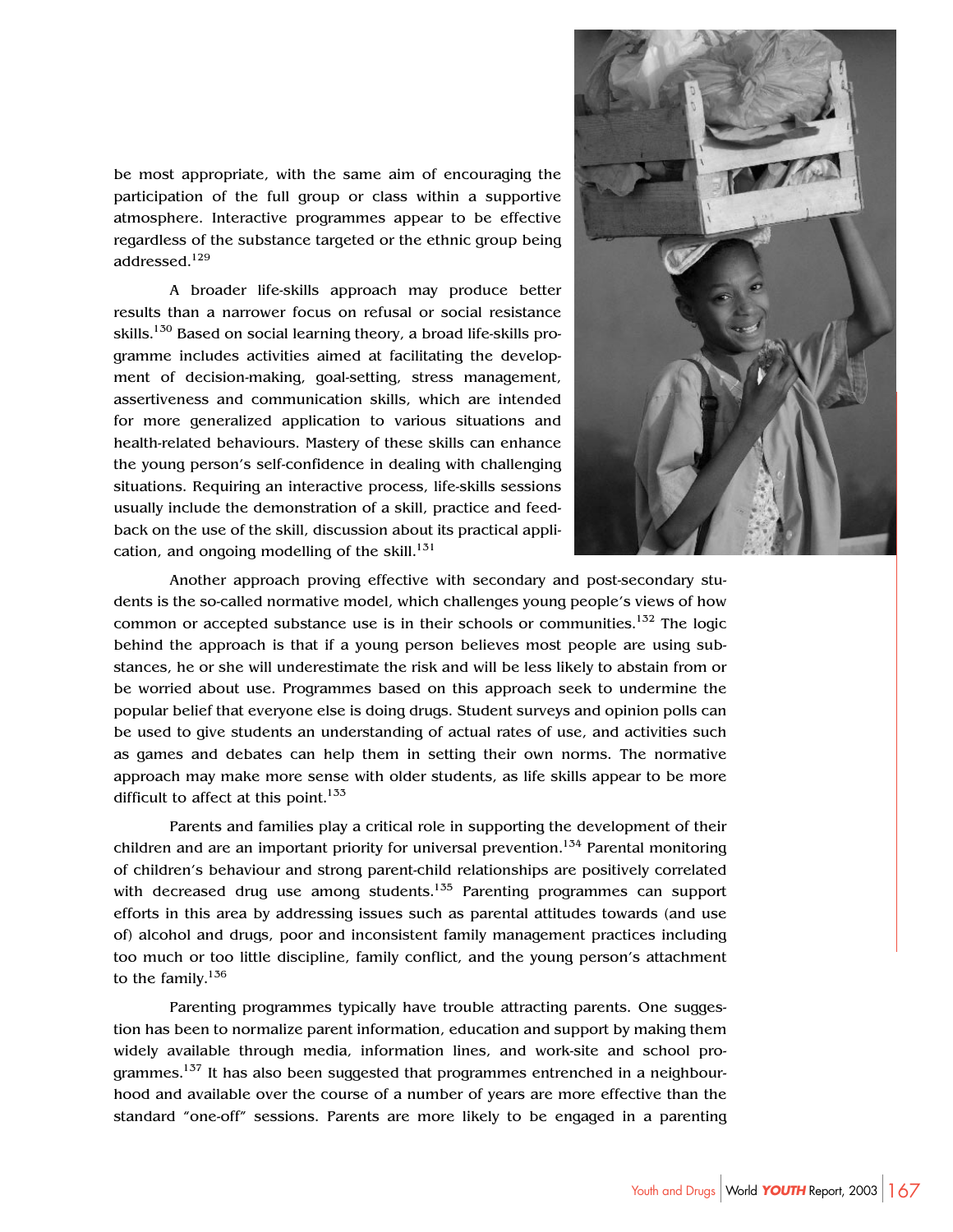be most appropriate, with the same aim of encouraging the participation of the full group or class within a supportive atmosphere. Interactive programmes appear to be effective regardless of the substance targeted or the ethnic group being addressed.129

A broader life-skills approach may produce better results than a narrower focus on refusal or social resistance skills.<sup>130</sup> Based on social learning theory, a broad life-skills programme includes activities aimed at facilitating the development of decision-making, goal-setting, stress management, assertiveness and communication skills, which are intended for more generalized application to various situations and health-related behaviours. Mastery of these skills can enhance the young person's self-confidence in dealing with challenging situations. Requiring an interactive process, life-skills sessions usually include the demonstration of a skill, practice and feedback on the use of the skill, discussion about its practical application, and ongoing modelling of the skill. $131$ 



Another approach proving effective with secondary and post-secondary students is the so-called normative model, which challenges young people's views of how common or accepted substance use is in their schools or communities.<sup>132</sup> The logic behind the approach is that if a young person believes most people are using substances, he or she will underestimate the risk and will be less likely to abstain from or be worried about use. Programmes based on this approach seek to undermine the popular belief that everyone else is doing drugs. Student surveys and opinion polls can be used to give students an understanding of actual rates of use, and activities such as games and debates can help them in setting their own norms. The normative approach may make more sense with older students, as life skills appear to be more difficult to affect at this point. $133$ 

Parents and families play a critical role in supporting the development of their children and are an important priority for universal prevention.<sup>134</sup> Parental monitoring of children's behaviour and strong parent-child relationships are positively correlated with decreased drug use among students.<sup>135</sup> Parenting programmes can support efforts in this area by addressing issues such as parental attitudes towards (and use of) alcohol and drugs, poor and inconsistent family management practices including too much or too little discipline, family conflict, and the young person's attachment to the family. $136$ 

Parenting programmes typically have trouble attracting parents. One suggestion has been to normalize parent information, education and support by making them widely available through media, information lines, and work-site and school programmes.<sup>137</sup> It has also been suggested that programmes entrenched in a neighbourhood and available over the course of a number of years are more effective than the standard "one-off" sessions. Parents are more likely to be engaged in a parenting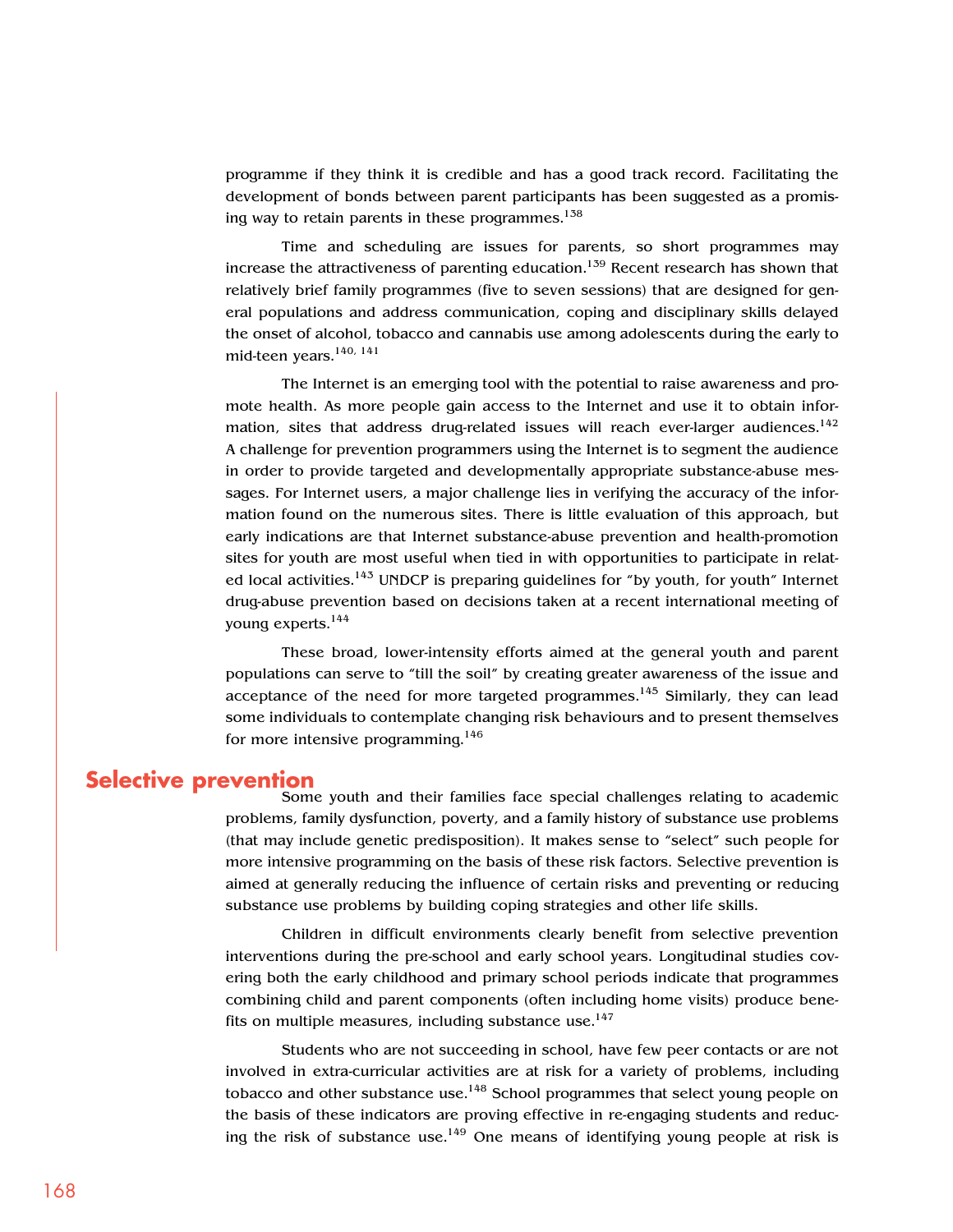programme if they think it is credible and has a good track record. Facilitating the development of bonds between parent participants has been suggested as a promising way to retain parents in these programmes. $138$ 

Time and scheduling are issues for parents, so short programmes may increase the attractiveness of parenting education.<sup>159</sup> Recent research has shown that relatively brief family programmes (five to seven sessions) that are designed for general populations and address communication, coping and disciplinary skills delayed the onset of alcohol, tobacco and cannabis use among adolescents during the early to mid-teen years.140, 141

The Internet is an emerging tool with the potential to raise awareness and promote health. As more people gain access to the Internet and use it to obtain information, sites that address drug-related issues will reach ever-larger audiences.<sup>142</sup> A challenge for prevention programmers using the Internet is to segment the audience in order to provide targeted and developmentally appropriate substance-abuse messages. For Internet users, a major challenge lies in verifying the accuracy of the information found on the numerous sites. There is little evaluation of this approach, but early indications are that Internet substance-abuse prevention and health-promotion sites for youth are most useful when tied in with opportunities to participate in related local activities.<sup>145</sup> UNDCP is preparing guidelines for "by youth, for youth" Internet drug-abuse prevention based on decisions taken at a recent international meeting of young experts.<sup>144</sup>

These broad, lower-intensity efforts aimed at the general youth and parent populations can serve to "till the soil" by creating greater awareness of the issue and acceptance of the need for more targeted programmes.<sup>145</sup> Similarly, they can lead some individuals to contemplate changing risk behaviours and to present themselves for more intensive programming.  $146$ 

#### **Selective prevention**

Some youth and their families face special challenges relating to academic problems, family dysfunction, poverty, and a family history of substance use problems (that may include genetic predisposition). It makes sense to "select" such people for more intensive programming on the basis of these risk factors. Selective prevention is aimed at generally reducing the influence of certain risks and preventing or reducing substance use problems by building coping strategies and other life skills.

Children in difficult environments clearly benefit from selective prevention interventions during the pre-school and early school years. Longitudinal studies covering both the early childhood and primary school periods indicate that programmes combining child and parent components (often including home visits) produce benefits on multiple measures, including substance use. $147$ 

Students who are not succeeding in school, have few peer contacts or are not involved in extra-curricular activities are at risk for a variety of problems, including tobacco and other substance use.<sup>148</sup> School programmes that select young people on the basis of these indicators are proving effective in re-engaging students and reducing the risk of substance use.<sup>149</sup> One means of identifying young people at risk is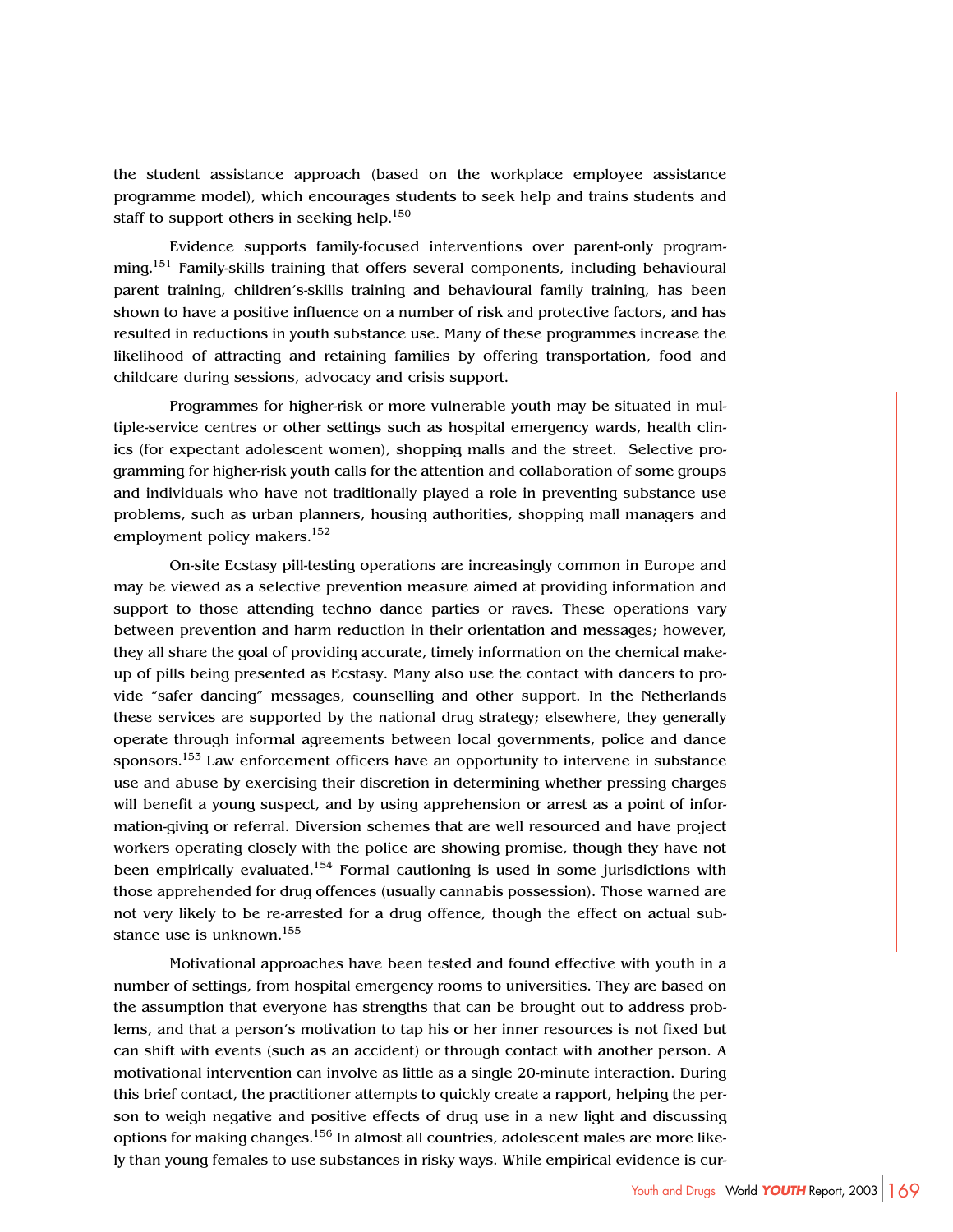the student assistance approach (based on the workplace employee assistance programme model), which encourages students to seek help and trains students and staff to support others in seeking help.<sup>150</sup>

Evidence supports family-focused interventions over parent-only programming.151 Family-skills training that offers several components, including behavioural parent training, children's-skills training and behavioural family training, has been shown to have a positive influence on a number of risk and protective factors, and has resulted in reductions in youth substance use. Many of these programmes increase the likelihood of attracting and retaining families by offering transportation, food and childcare during sessions, advocacy and crisis support.

Programmes for higher-risk or more vulnerable youth may be situated in multiple-service centres or other settings such as hospital emergency wards, health clinics (for expectant adolescent women), shopping malls and the street. Selective programming for higher-risk youth calls for the attention and collaboration of some groups and individuals who have not traditionally played a role in preventing substance use problems, such as urban planners, housing authorities, shopping mall managers and employment policy makers.<sup>152</sup>

On-site Ecstasy pill-testing operations are increasingly common in Europe and may be viewed as a selective prevention measure aimed at providing information and support to those attending techno dance parties or raves. These operations vary between prevention and harm reduction in their orientation and messages; however, they all share the goal of providing accurate, timely information on the chemical makeup of pills being presented as Ecstasy. Many also use the contact with dancers to provide "safer dancing" messages, counselling and other support. In the Netherlands these services are supported by the national drug strategy; elsewhere, they generally operate through informal agreements between local governments, police and dance sponsors.<sup>153</sup> Law enforcement officers have an opportunity to intervene in substance use and abuse by exercising their discretion in determining whether pressing charges will benefit a young suspect, and by using apprehension or arrest as a point of information-giving or referral. Diversion schemes that are well resourced and have project workers operating closely with the police are showing promise, though they have not been empirically evaluated.<sup>154</sup> Formal cautioning is used in some jurisdictions with those apprehended for drug offences (usually cannabis possession). Those warned are not very likely to be re-arrested for a drug offence, though the effect on actual substance use is unknown.<sup>155</sup>

Motivational approaches have been tested and found effective with youth in a number of settings, from hospital emergency rooms to universities. They are based on the assumption that everyone has strengths that can be brought out to address problems, and that a person's motivation to tap his or her inner resources is not fixed but can shift with events (such as an accident) or through contact with another person. A motivational intervention can involve as little as a single 20-minute interaction. During this brief contact, the practitioner attempts to quickly create a rapport, helping the person to weigh negative and positive effects of drug use in a new light and discussing options for making changes.156 In almost all countries, adolescent males are more likely than young females to use substances in risky ways. While empirical evidence is cur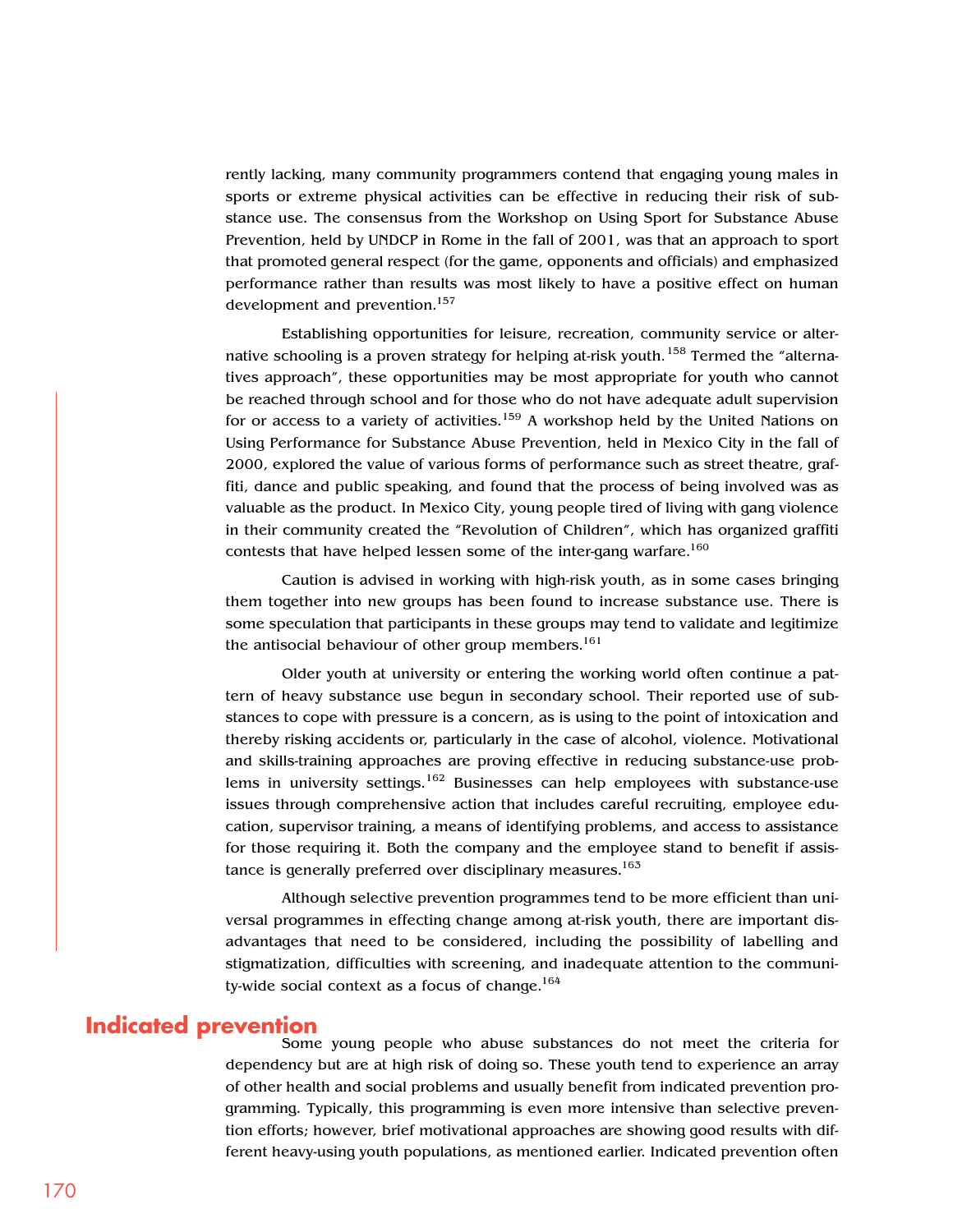rently lacking, many community programmers contend that engaging young males in sports or extreme physical activities can be effective in reducing their risk of substance use. The consensus from the Workshop on Using Sport for Substance Abuse Prevention, held by UNDCP in Rome in the fall of 2001, was that an approach to sport that promoted general respect (for the game, opponents and officials) and emphasized performance rather than results was most likely to have a positive effect on human development and prevention.<sup>157</sup>

Establishing opportunities for leisure, recreation, community service or alternative schooling is a proven strategy for helping at-risk youth.<sup>158</sup> Termed the "alternatives approach", these opportunities may be most appropriate for youth who cannot be reached through school and for those who do not have adequate adult supervision for or access to a variety of activities.<sup>159</sup> A workshop held by the United Nations on Using Performance for Substance Abuse Prevention, held in Mexico City in the fall of 2000, explored the value of various forms of performance such as street theatre, graffiti, dance and public speaking, and found that the process of being involved was as valuable as the product. In Mexico City, young people tired of living with gang violence in their community created the "Revolution of Children", which has organized graffiti contests that have helped lessen some of the inter-gang warfare.<sup>160</sup>

Caution is advised in working with high-risk youth, as in some cases bringing them together into new groups has been found to increase substance use. There is some speculation that participants in these groups may tend to validate and legitimize the antisocial behaviour of other group members.<sup>161</sup>

Older youth at university or entering the working world often continue a pattern of heavy substance use begun in secondary school. Their reported use of substances to cope with pressure is a concern, as is using to the point of intoxication and thereby risking accidents or, particularly in the case of alcohol, violence. Motivational and skills-training approaches are proving effective in reducing substance-use problems in university settings.<sup>162</sup> Businesses can help employees with substance-use issues through comprehensive action that includes careful recruiting, employee education, supervisor training, a means of identifying problems, and access to assistance for those requiring it. Both the company and the employee stand to benefit if assistance is generally preferred over disciplinary measures.<sup>163</sup>

Although selective prevention programmes tend to be more efficient than universal programmes in effecting change among at-risk youth, there are important disadvantages that need to be considered, including the possibility of labelling and stigmatization, difficulties with screening, and inadequate attention to the community-wide social context as a focus of change.<sup>164</sup>

#### **Indicated prevention**

Some young people who abuse substances do not meet the criteria for dependency but are at high risk of doing so. These youth tend to experience an array of other health and social problems and usually benefit from indicated prevention programming. Typically, this programming is even more intensive than selective prevention efforts; however, brief motivational approaches are showing good results with different heavy-using youth populations, as mentioned earlier. Indicated prevention often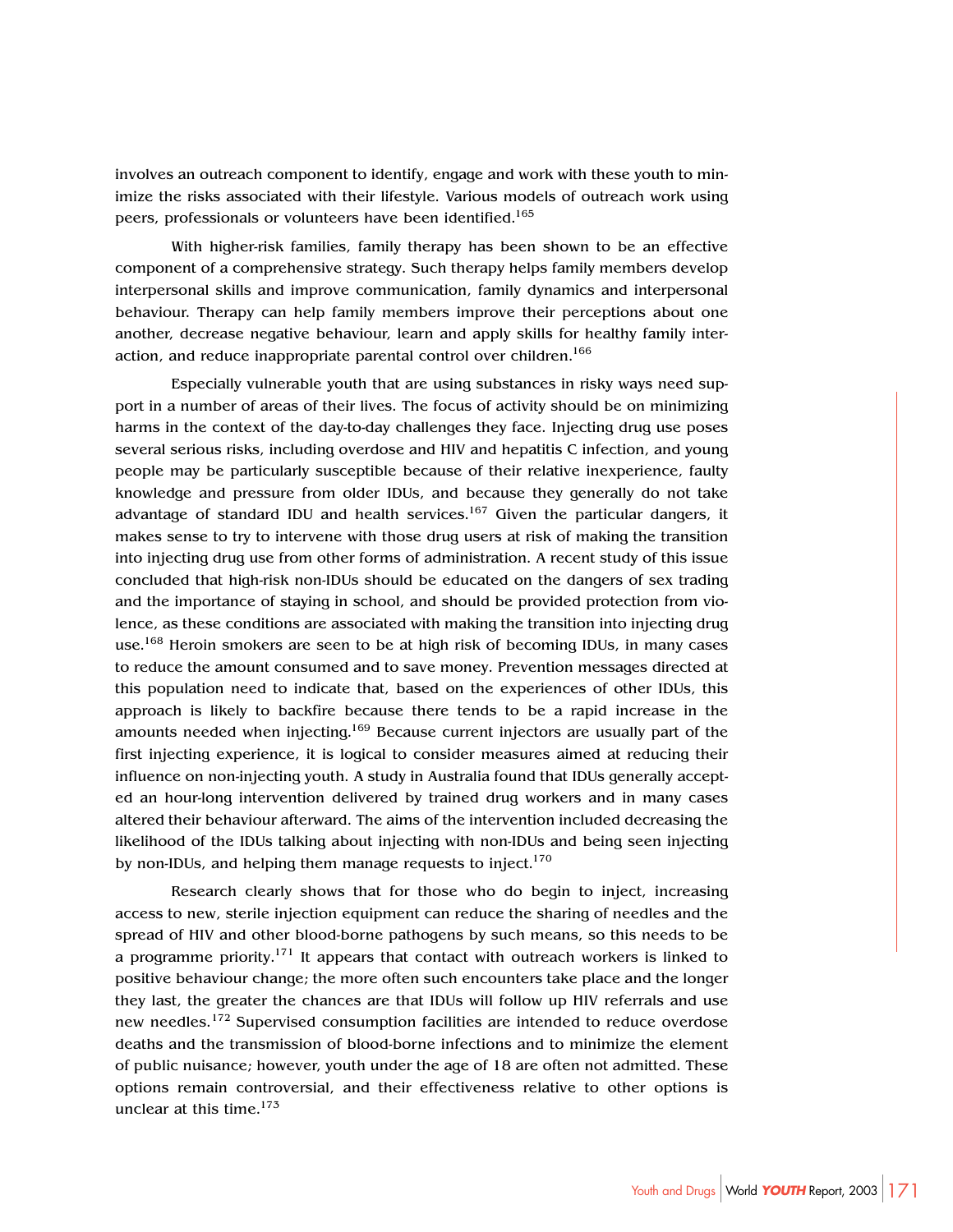involves an outreach component to identify, engage and work with these youth to minimize the risks associated with their lifestyle. Various models of outreach work using peers, professionals or volunteers have been identified.<sup>165</sup>

With higher-risk families, family therapy has been shown to be an effective component of a comprehensive strategy. Such therapy helps family members develop interpersonal skills and improve communication, family dynamics and interpersonal behaviour. Therapy can help family members improve their perceptions about one another, decrease negative behaviour, learn and apply skills for healthy family interaction, and reduce inappropriate parental control over children.<sup>166</sup>

Especially vulnerable youth that are using substances in risky ways need support in a number of areas of their lives. The focus of activity should be on minimizing harms in the context of the day-to-day challenges they face. Injecting drug use poses several serious risks, including overdose and HIV and hepatitis C infection, and young people may be particularly susceptible because of their relative inexperience, faulty knowledge and pressure from older IDUs, and because they generally do not take advantage of standard IDU and health services.<sup>167</sup> Given the particular dangers, it makes sense to try to intervene with those drug users at risk of making the transition into injecting drug use from other forms of administration. A recent study of this issue concluded that high-risk non-IDUs should be educated on the dangers of sex trading and the importance of staying in school, and should be provided protection from violence, as these conditions are associated with making the transition into injecting drug use.<sup>168</sup> Heroin smokers are seen to be at high risk of becoming IDUs, in many cases to reduce the amount consumed and to save money. Prevention messages directed at this population need to indicate that, based on the experiences of other IDUs, this approach is likely to backfire because there tends to be a rapid increase in the amounts needed when injecting.169 Because current injectors are usually part of the first injecting experience, it is logical to consider measures aimed at reducing their influence on non-injecting youth. A study in Australia found that IDUs generally accepted an hour-long intervention delivered by trained drug workers and in many cases altered their behaviour afterward. The aims of the intervention included decreasing the likelihood of the IDUs talking about injecting with non-IDUs and being seen injecting by non-IDUs, and helping them manage requests to inject.<sup>170</sup>

Research clearly shows that for those who do begin to inject, increasing access to new, sterile injection equipment can reduce the sharing of needles and the spread of HIV and other blood-borne pathogens by such means, so this needs to be a programme priority.<sup>171</sup> It appears that contact with outreach workers is linked to positive behaviour change; the more often such encounters take place and the longer they last, the greater the chances are that IDUs will follow up HIV referrals and use new needles.<sup>172</sup> Supervised consumption facilities are intended to reduce overdose deaths and the transmission of blood-borne infections and to minimize the element of public nuisance; however, youth under the age of 18 are often not admitted. These options remain controversial, and their effectiveness relative to other options is unclear at this time. $173$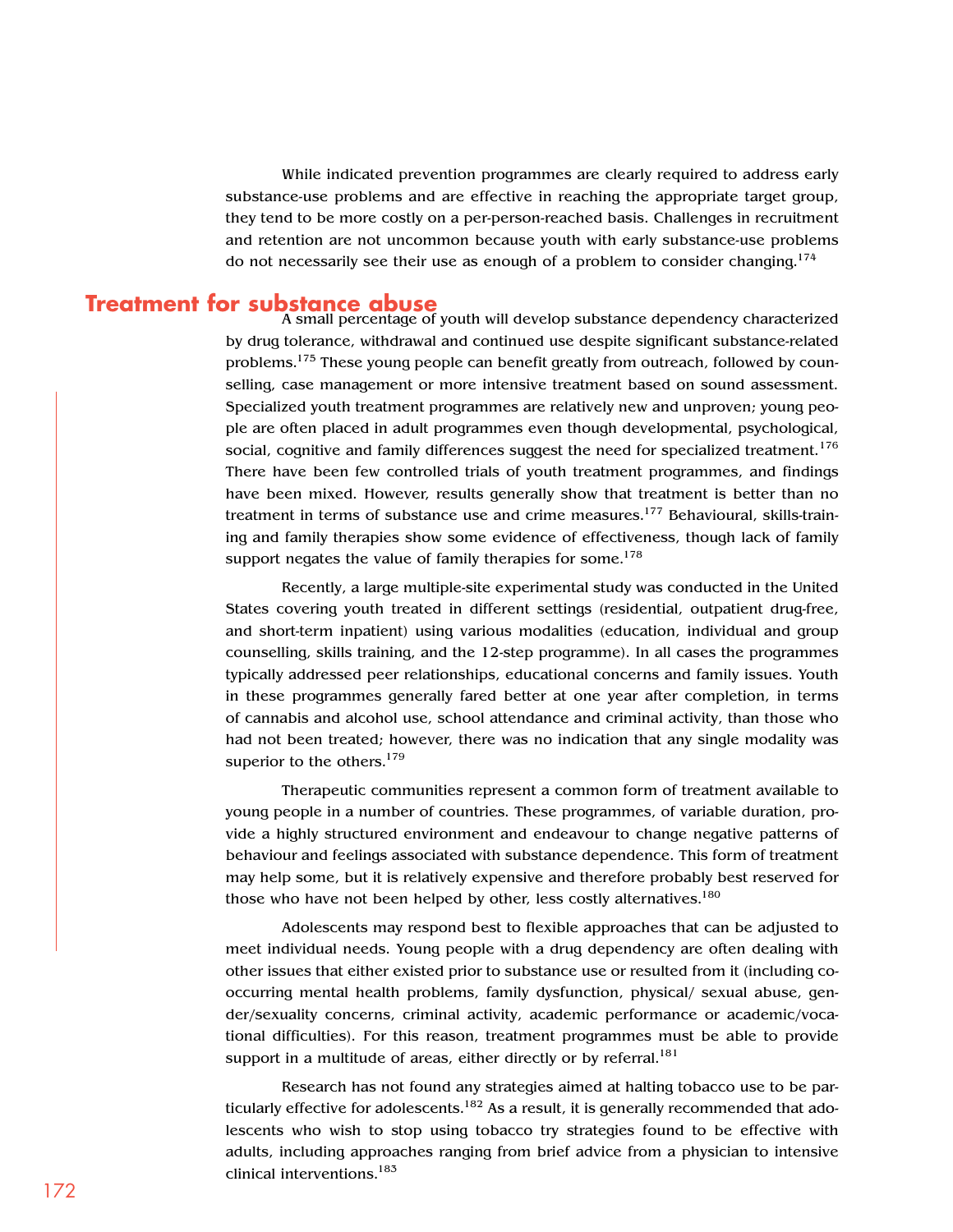While indicated prevention programmes are clearly required to address early substance-use problems and are effective in reaching the appropriate target group, they tend to be more costly on a per-person-reached basis. Challenges in recruitment and retention are not uncommon because youth with early substance-use problems do not necessarily see their use as enough of a problem to consider changing.<sup>174</sup>

**Treatment for substance abuse**<br>A small percentage of youth will develop substance dependency characterized by drug tolerance, withdrawal and continued use despite significant substance-related problems.<sup>175</sup> These young people can benefit greatly from outreach, followed by counselling, case management or more intensive treatment based on sound assessment. Specialized youth treatment programmes are relatively new and unproven; young people are often placed in adult programmes even though developmental, psychological, social, cognitive and family differences suggest the need for specialized treatment.<sup>176</sup> There have been few controlled trials of youth treatment programmes, and findings have been mixed. However, results generally show that treatment is better than no treatment in terms of substance use and crime measures.<sup>177</sup> Behavioural, skills-training and family therapies show some evidence of effectiveness, though lack of family support negates the value of family therapies for some.<sup>178</sup>

> Recently, a large multiple-site experimental study was conducted in the United States covering youth treated in different settings (residential, outpatient drug-free, and short-term inpatient) using various modalities (education, individual and group counselling, skills training, and the 12-step programme). In all cases the programmes typically addressed peer relationships, educational concerns and family issues. Youth in these programmes generally fared better at one year after completion, in terms of cannabis and alcohol use, school attendance and criminal activity, than those who had not been treated; however, there was no indication that any single modality was superior to the others.<sup>179</sup>

> Therapeutic communities represent a common form of treatment available to young people in a number of countries. These programmes, of variable duration, provide a highly structured environment and endeavour to change negative patterns of behaviour and feelings associated with substance dependence. This form of treatment may help some, but it is relatively expensive and therefore probably best reserved for those who have not been helped by other, less costly alternatives.<sup>180</sup>

> Adolescents may respond best to flexible approaches that can be adjusted to meet individual needs. Young people with a drug dependency are often dealing with other issues that either existed prior to substance use or resulted from it (including cooccurring mental health problems, family dysfunction, physical/ sexual abuse, gender/sexuality concerns, criminal activity, academic performance or academic/vocational difficulties). For this reason, treatment programmes must be able to provide support in a multitude of areas, either directly or by referral.<sup>181</sup>

> Research has not found any strategies aimed at halting tobacco use to be particularly effective for adolescents.<sup>182</sup> As a result, it is generally recommended that adolescents who wish to stop using tobacco try strategies found to be effective with adults, including approaches ranging from brief advice from a physician to intensive clinical interventions.183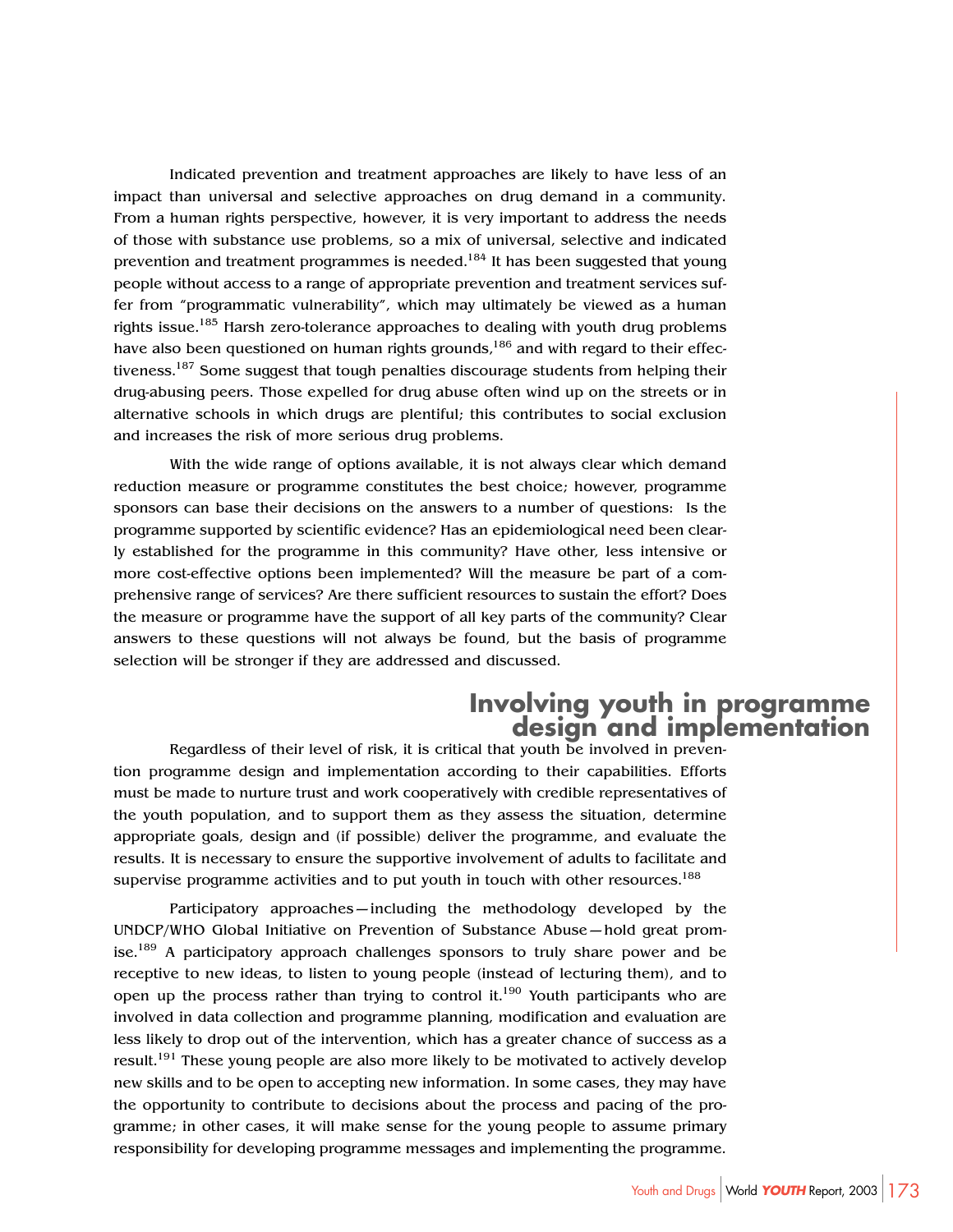Indicated prevention and treatment approaches are likely to have less of an impact than universal and selective approaches on drug demand in a community. From a human rights perspective, however, it is very important to address the needs of those with substance use problems, so a mix of universal, selective and indicated prevention and treatment programmes is needed.<sup>184</sup> It has been suggested that young people without access to a range of appropriate prevention and treatment services suffer from "programmatic vulnerability", which may ultimately be viewed as a human rights issue.<sup>185</sup> Harsh zero-tolerance approaches to dealing with youth drug problems have also been questioned on human rights grounds, <sup>186</sup> and with regard to their effectiveness.<sup>187</sup> Some suggest that tough penalties discourage students from helping their drug-abusing peers. Those expelled for drug abuse often wind up on the streets or in alternative schools in which drugs are plentiful; this contributes to social exclusion and increases the risk of more serious drug problems.

With the wide range of options available, it is not always clear which demand reduction measure or programme constitutes the best choice; however, programme sponsors can base their decisions on the answers to a number of questions: Is the programme supported by scientific evidence? Has an epidemiological need been clearly established for the programme in this community? Have other, less intensive or more cost-effective options been implemented? Will the measure be part of a comprehensive range of services? Are there sufficient resources to sustain the effort? Does the measure or programme have the support of all key parts of the community? Clear answers to these questions will not always be found, but the basis of programme selection will be stronger if they are addressed and discussed.

# **Involving youth in programme design and implementation**

Regardless of their level of risk, it is critical that youth be involved in prevention programme design and implementation according to their capabilities. Efforts must be made to nurture trust and work cooperatively with credible representatives of the youth population, and to support them as they assess the situation, determine appropriate goals, design and (if possible) deliver the programme, and evaluate the results. It is necessary to ensure the supportive involvement of adults to facilitate and supervise programme activities and to put youth in touch with other resources.<sup>188</sup>

Participatory approaches—including the methodology developed by the UNDCP/WHO Global Initiative on Prevention of Substance Abuse—hold great promise.<sup>189</sup> A participatory approach challenges sponsors to truly share power and be receptive to new ideas, to listen to young people (instead of lecturing them), and to open up the process rather than trying to control it.<sup>190</sup> Youth participants who are involved in data collection and programme planning, modification and evaluation are less likely to drop out of the intervention, which has a greater chance of success as a result.<sup>191</sup> These young people are also more likely to be motivated to actively develop new skills and to be open to accepting new information. In some cases, they may have the opportunity to contribute to decisions about the process and pacing of the programme; in other cases, it will make sense for the young people to assume primary responsibility for developing programme messages and implementing the programme.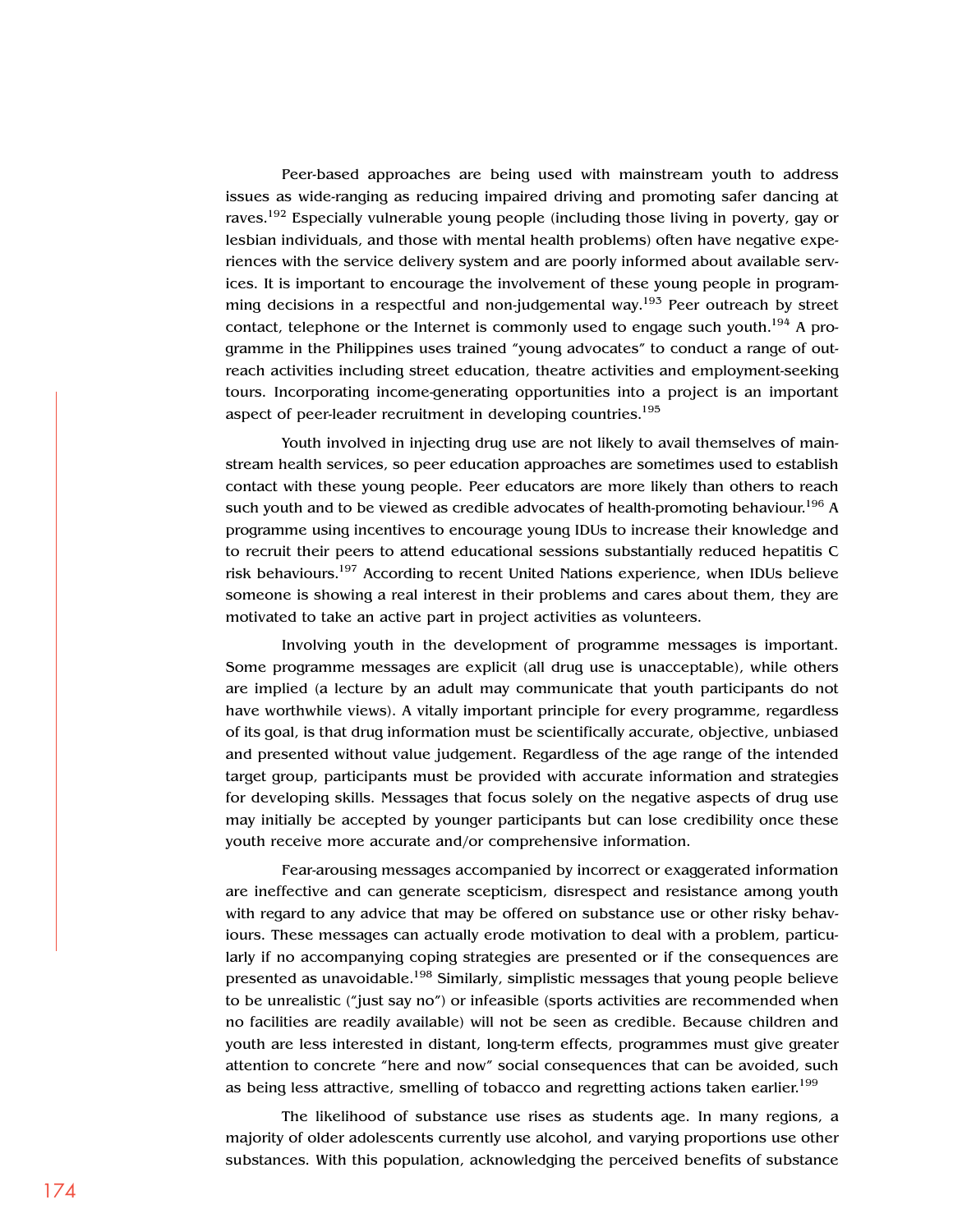Peer-based approaches are being used with mainstream youth to address issues as wide-ranging as reducing impaired driving and promoting safer dancing at raves.<sup>192</sup> Especially vulnerable young people (including those living in poverty, gay or lesbian individuals, and those with mental health problems) often have negative experiences with the service delivery system and are poorly informed about available services. It is important to encourage the involvement of these young people in programming decisions in a respectful and non-judgemental way.<sup>193</sup> Peer outreach by street contact, telephone or the Internet is commonly used to engage such youth.<sup>194</sup> A programme in the Philippines uses trained "young advocates" to conduct a range of outreach activities including street education, theatre activities and employment-seeking tours. Incorporating income-generating opportunities into a project is an important aspect of peer-leader recruitment in developing countries.<sup>195</sup>

Youth involved in injecting drug use are not likely to avail themselves of mainstream health services, so peer education approaches are sometimes used to establish contact with these young people. Peer educators are more likely than others to reach such youth and to be viewed as credible advocates of health-promoting behaviour.<sup>196</sup> A programme using incentives to encourage young IDUs to increase their knowledge and to recruit their peers to attend educational sessions substantially reduced hepatitis C risk behaviours.<sup>197</sup> According to recent United Nations experience, when IDUs believe someone is showing a real interest in their problems and cares about them, they are motivated to take an active part in project activities as volunteers.

Involving youth in the development of programme messages is important. Some programme messages are explicit (all drug use is unacceptable), while others are implied (a lecture by an adult may communicate that youth participants do not have worthwhile views). A vitally important principle for every programme, regardless of its goal, is that drug information must be scientifically accurate, objective, unbiased and presented without value judgement. Regardless of the age range of the intended target group, participants must be provided with accurate information and strategies for developing skills. Messages that focus solely on the negative aspects of drug use may initially be accepted by younger participants but can lose credibility once these youth receive more accurate and/or comprehensive information.

Fear-arousing messages accompanied by incorrect or exaggerated information are ineffective and can generate scepticism, disrespect and resistance among youth with regard to any advice that may be offered on substance use or other risky behaviours. These messages can actually erode motivation to deal with a problem, particularly if no accompanying coping strategies are presented or if the consequences are presented as unavoidable.198 Similarly, simplistic messages that young people believe to be unrealistic ("just say no") or infeasible (sports activities are recommended when no facilities are readily available) will not be seen as credible. Because children and youth are less interested in distant, long-term effects, programmes must give greater attention to concrete "here and now" social consequences that can be avoided, such as being less attractive, smelling of tobacco and regretting actions taken earlier.<sup>199</sup>

The likelihood of substance use rises as students age. In many regions, a majority of older adolescents currently use alcohol, and varying proportions use other substances. With this population, acknowledging the perceived benefits of substance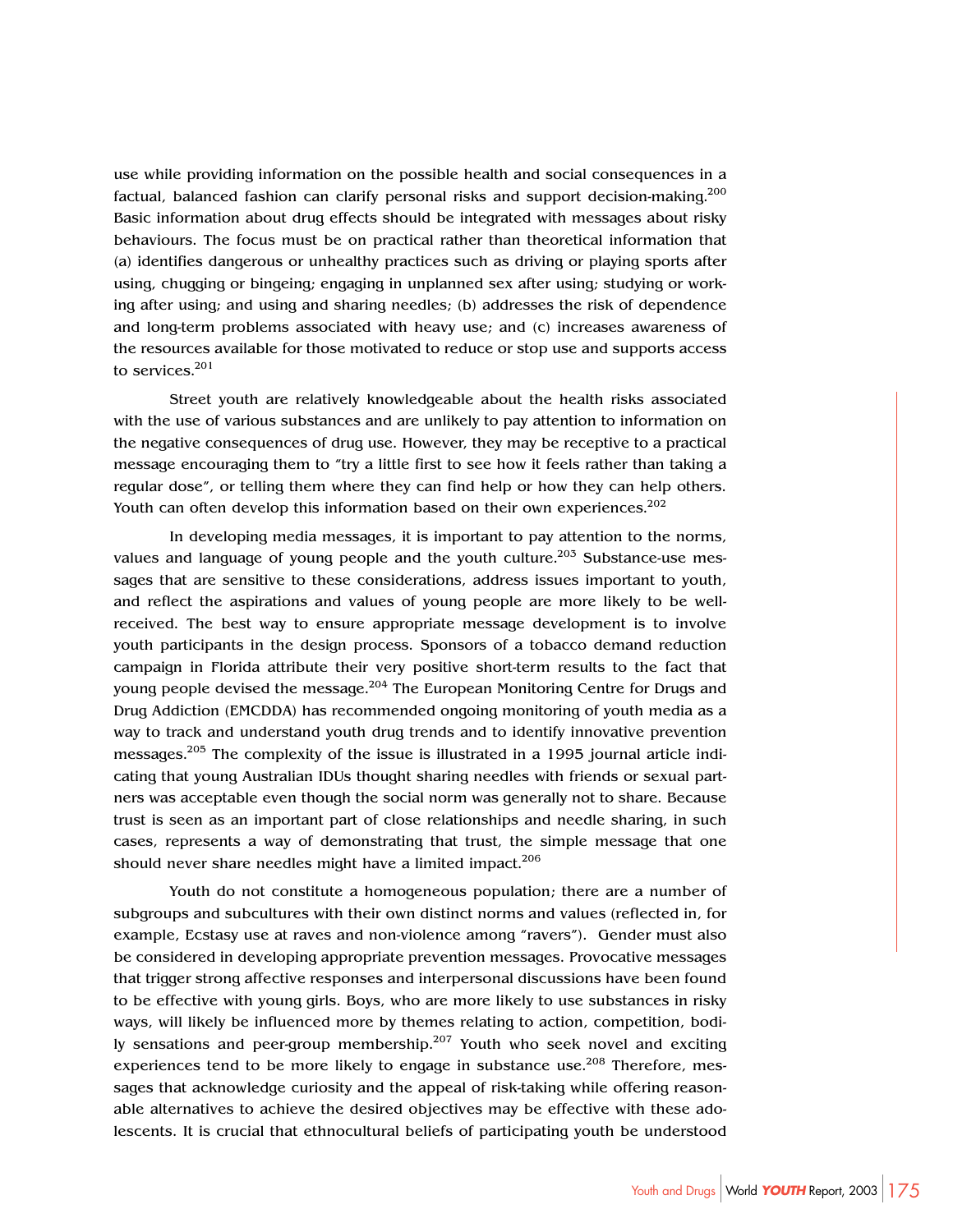use while providing information on the possible health and social consequences in a factual, balanced fashion can clarify personal risks and support decision-making.<sup>200</sup> Basic information about drug effects should be integrated with messages about risky behaviours. The focus must be on practical rather than theoretical information that (a) identifies dangerous or unhealthy practices such as driving or playing sports after using, chugging or bingeing; engaging in unplanned sex after using; studying or working after using; and using and sharing needles; (b) addresses the risk of dependence and long-term problems associated with heavy use; and (c) increases awareness of the resources available for those motivated to reduce or stop use and supports access to services.<sup>201</sup>

Street youth are relatively knowledgeable about the health risks associated with the use of various substances and are unlikely to pay attention to information on the negative consequences of drug use. However, they may be receptive to a practical message encouraging them to "try a little first to see how it feels rather than taking a regular dose", or telling them where they can find help or how they can help others. Youth can often develop this information based on their own experiences.<sup>202</sup>

In developing media messages, it is important to pay attention to the norms, values and language of young people and the youth culture.<sup>203</sup> Substance-use messages that are sensitive to these considerations, address issues important to youth, and reflect the aspirations and values of young people are more likely to be wellreceived. The best way to ensure appropriate message development is to involve youth participants in the design process. Sponsors of a tobacco demand reduction campaign in Florida attribute their very positive short-term results to the fact that young people devised the message.<sup>204</sup> The European Monitoring Centre for Drugs and Drug Addiction (EMCDDA) has recommended ongoing monitoring of youth media as a way to track and understand youth drug trends and to identify innovative prevention messages.<sup>205</sup> The complexity of the issue is illustrated in a 1995 journal article indicating that young Australian IDUs thought sharing needles with friends or sexual partners was acceptable even though the social norm was generally not to share. Because trust is seen as an important part of close relationships and needle sharing, in such cases, represents a way of demonstrating that trust, the simple message that one should never share needles might have a limited impact.<sup>206</sup>

Youth do not constitute a homogeneous population; there are a number of subgroups and subcultures with their own distinct norms and values (reflected in, for example, Ecstasy use at raves and non-violence among "ravers"). Gender must also be considered in developing appropriate prevention messages. Provocative messages that trigger strong affective responses and interpersonal discussions have been found to be effective with young girls. Boys, who are more likely to use substances in risky ways, will likely be influenced more by themes relating to action, competition, bodily sensations and peer-group membership.<sup>207</sup> Youth who seek novel and exciting experiences tend to be more likely to engage in substance use.<sup>208</sup> Therefore, messages that acknowledge curiosity and the appeal of risk-taking while offering reasonable alternatives to achieve the desired objectives may be effective with these adolescents. It is crucial that ethnocultural beliefs of participating youth be understood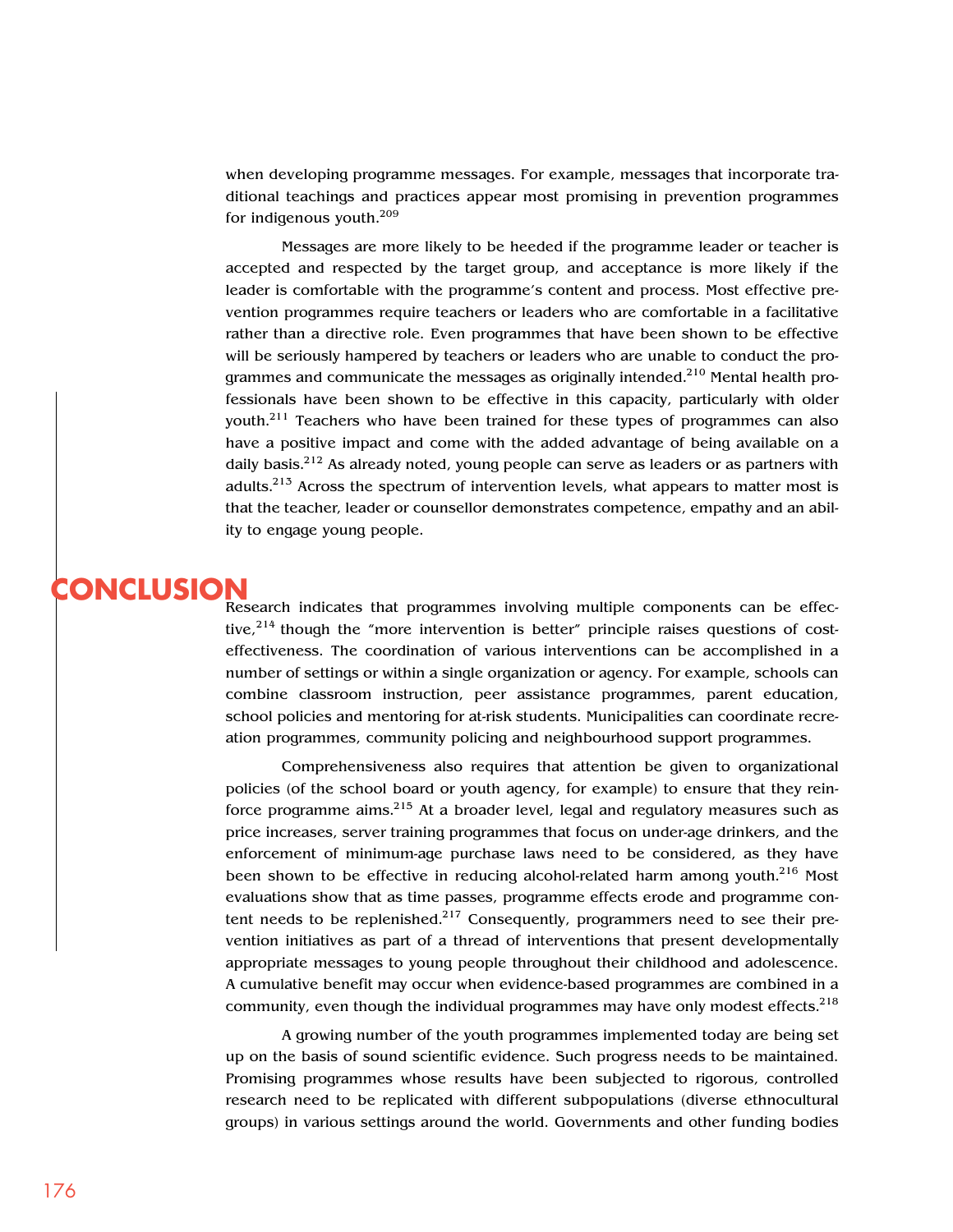when developing programme messages. For example, messages that incorporate traditional teachings and practices appear most promising in prevention programmes for indigenous youth.<sup>209</sup>

Messages are more likely to be heeded if the programme leader or teacher is accepted and respected by the target group, and acceptance is more likely if the leader is comfortable with the programme's content and process. Most effective prevention programmes require teachers or leaders who are comfortable in a facilitative rather than a directive role. Even programmes that have been shown to be effective will be seriously hampered by teachers or leaders who are unable to conduct the programmes and communicate the messages as originally intended.<sup>210</sup> Mental health professionals have been shown to be effective in this capacity, particularly with older youth.<sup>211</sup> Teachers who have been trained for these types of programmes can also have a positive impact and come with the added advantage of being available on a daily basis.<sup>212</sup> As already noted, young people can serve as leaders or as partners with adults.<sup>213</sup> Across the spectrum of intervention levels, what appears to matter most is that the teacher, leader or counsellor demonstrates competence, empathy and an ability to engage young people.

# **CONCLUSION**

Research indicates that programmes involving multiple components can be effective,<sup>214</sup> though the "more intervention is better" principle raises questions of costeffectiveness. The coordination of various interventions can be accomplished in a number of settings or within a single organization or agency. For example, schools can combine classroom instruction, peer assistance programmes, parent education, school policies and mentoring for at-risk students. Municipalities can coordinate recreation programmes, community policing and neighbourhood support programmes.

Comprehensiveness also requires that attention be given to organizational policies (of the school board or youth agency, for example) to ensure that they reinforce programme aims. $215$  At a broader level, legal and regulatory measures such as price increases, server training programmes that focus on under-age drinkers, and the enforcement of minimum-age purchase laws need to be considered, as they have been shown to be effective in reducing alcohol-related harm among youth.<sup>216</sup> Most evaluations show that as time passes, programme effects erode and programme content needs to be replenished.<sup>217</sup> Consequently, programmers need to see their prevention initiatives as part of a thread of interventions that present developmentally appropriate messages to young people throughout their childhood and adolescence. A cumulative benefit may occur when evidence-based programmes are combined in a community, even though the individual programmes may have only modest effects.<sup>218</sup>

A growing number of the youth programmes implemented today are being set up on the basis of sound scientific evidence. Such progress needs to be maintained. Promising programmes whose results have been subjected to rigorous, controlled research need to be replicated with different subpopulations (diverse ethnocultural groups) in various settings around the world. Governments and other funding bodies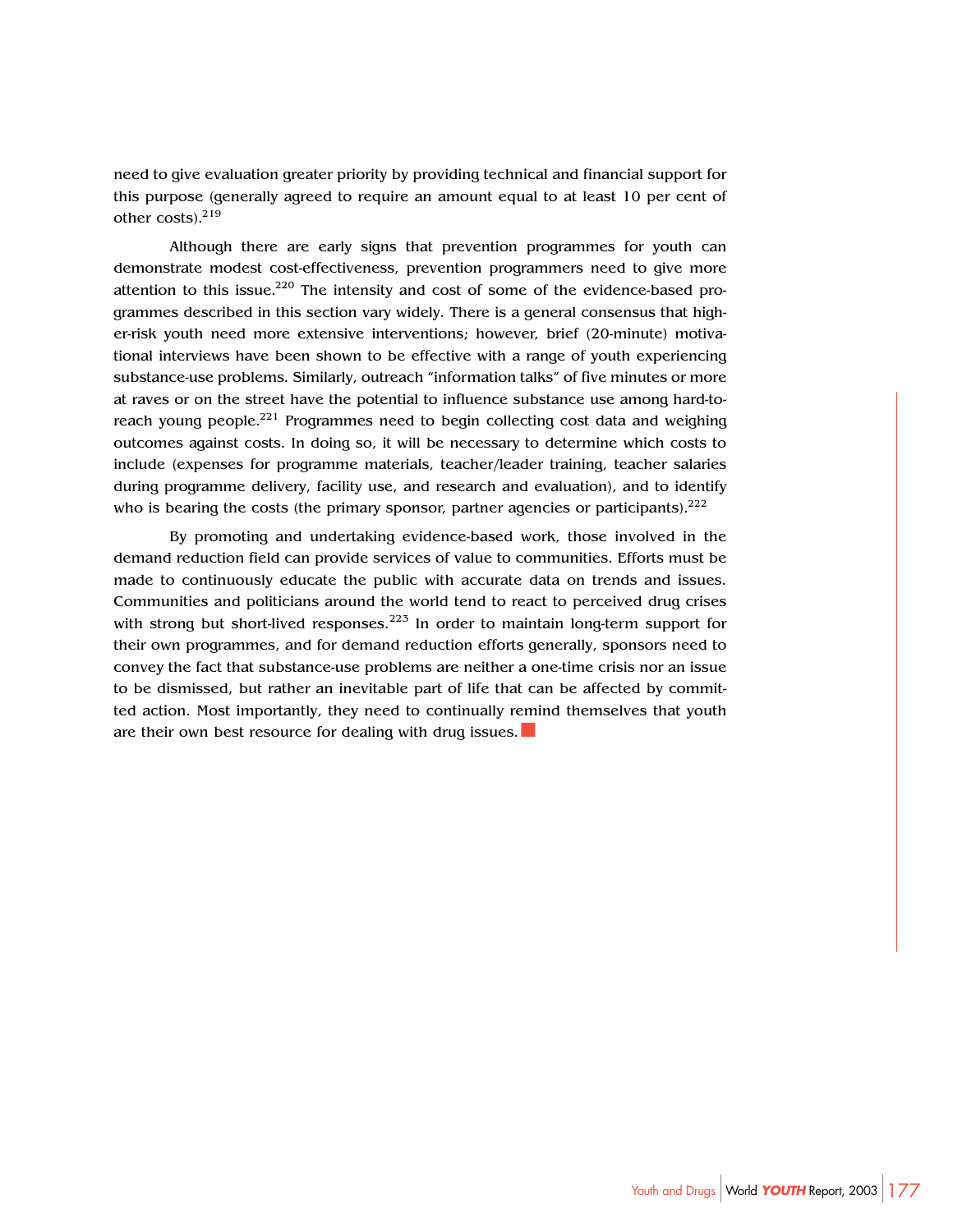need to give evaluation greater priority by providing technical and financial support for this purpose (generally agreed to require an amount equal to at least 10 per cent of other costs).<sup>219</sup>

Although there are early signs that prevention programmes for youth can demonstrate modest cost-effectiveness, prevention programmers need to give more attention to this issue.<sup>220</sup> The intensity and cost of some of the evidence-based programmes described in this section vary widely. There is a general consensus that higher-risk youth need more extensive interventions; however, brief (20-minute) motivational interviews have been shown to be effective with a range of youth experiencing substance-use problems. Similarly, outreach "information talks" of five minutes or more at raves or on the street have the potential to influence substance use among hard-toreach young people.<sup>221</sup> Programmes need to begin collecting cost data and weighing outcomes against costs. In doing so, it will be necessary to determine which costs to include (expenses for programme materials, teacher/leader training, teacher salaries during programme delivery, facility use, and research and evaluation), and to identify who is bearing the costs (the primary sponsor, partner agencies or participants).  $2^{22}$ 

By promoting and undertaking evidence-based work, those involved in the demand reduction field can provide services of value to communities. Efforts must be made to continuously educate the public with accurate data on trends and issues. Communities and politicians around the world tend to react to perceived drug crises with strong but short-lived responses.<sup>223</sup> In order to maintain long-term support for their own programmes, and for demand reduction efforts generally, sponsors need to convey the fact that substance-use problems are neither a one-time crisis nor an issue to be dismissed, but rather an inevitable part of life that can be affected by committed action. Most importantly, they need to continually remind themselves that youth are their own best resource for dealing with drug issues.■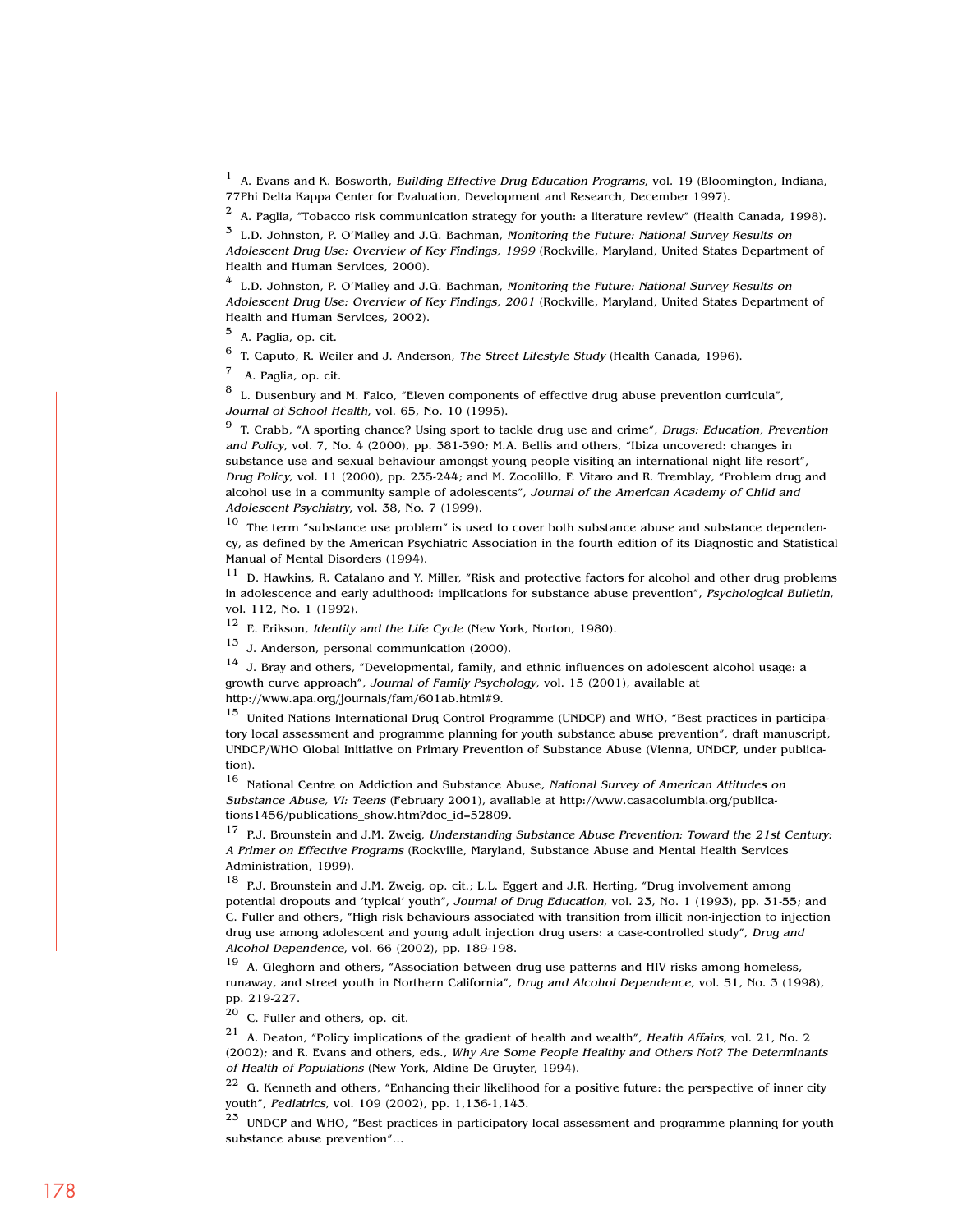$4$  L.D. Johnston, P. O'Malley and J.G. Bachman, Monitoring the Future: National Survey Results on Adolescent Drug Use: Overview of Key Findings, 2001 (Rockville, Maryland, United States Department of Health and Human Services, 2002).

<sup>5</sup> A. Paglia, op. cit.

<sup>6</sup> T. Caputo, R. Weiler and J. Anderson, *The Street Lifestyle Study* (Health Canada, 1996).

A. Paglia, op. cit.

 $8$  L. Dusenbury and M. Falco, "Eleven components of effective drug abuse prevention curricula", Journal of School Health, vol. 65, No. 10 (1995).

 $9$  T. Crabb, "A sporting chance? Using sport to tackle drug use and crime", Drugs: Education, Prevention and Policy, vol. 7, No. 4 (2000), pp. 381-390; M.A. Bellis and others, "Ibiza uncovered: changes in substance use and sexual behaviour amongst young people visiting an international night life resort", Drug Policy, vol. 11 (2000), pp. 235-244; and M. Zocolillo, F. Vitaro and R. Tremblay, "Problem drug and alcohol use in a community sample of adolescents", Journal of the American Academy of Child and Adolescent Psychiatry, vol. 38, No. 7 (1999).

 $10$  The term "substance use problem" is used to cover both substance abuse and substance dependency, as defined by the American Psychiatric Association in the fourth edition of its Diagnostic and Statistical Manual of Mental Disorders (1994).

 $11$  D. Hawkins, R. Catalano and Y. Miller, "Risk and protective factors for alcohol and other drug problems in adolescence and early adulthood: implications for substance abuse prevention", Psychological Bulletin, vol. 112, No. 1 (1992).

<sup>12</sup> E. Erikson, Identity and the Life Cycle (New York, Norton, 1980).

<sup>13</sup> J. Anderson, personal communication (2000).

 $14$  J. Bray and others, "Developmental, family, and ethnic influences on adolescent alcohol usage: a growth curve approach", Journal of Family Psychology, vol. 15 (2001), available at http://www.apa.org/journals/fam/601ab.html#9.

<sup>15</sup> United Nations International Drug Control Programme (UNDCP) and WHO, "Best practices in participatory local assessment and programme planning for youth substance abuse prevention", draft manuscript, UNDCP/WHO Global Initiative on Primary Prevention of Substance Abuse (Vienna, UNDCP, under publication).

<sup>16</sup> National Centre on Addiction and Substance Abuse, National Survey of American Attitudes on Substance Abuse, VI: Teens (February 2001), available at http://www.casacolumbia.org/publications1456/publications\_show.htm?doc\_id=52809.

 $17$  P.J. Brounstein and J.M. Zweig, Understanding Substance Abuse Prevention: Toward the 21st Century: A Primer on Effective Programs (Rockville, Maryland, Substance Abuse and Mental Health Services Administration, 1999).

<sup>18</sup> P.J. Brounstein and J.M. Zweig, op. cit.; L.L. Eggert and J.R. Herting, "Drug involvement among potential dropouts and 'typical' youth", Journal of Drug Education, vol. 23, No. 1 (1993), pp. 31-55; and C. Fuller and others, "High risk behaviours associated with transition from illicit non-injection to injection drug use among adolescent and young adult injection drug users: a case-controlled study", Drug and Alcohol Dependence, vol. 66 (2002), pp. 189-198.<br> $^{19}$  A. Glosborn and others "Association between

A. Gleghorn and others, "Association between drug use patterns and HIV risks among homeless, runaway, and street youth in Northern California", Drug and Alcohol Dependence, vol. 51, No. 3 (1998), pp. 219-227.

 $20$  C. Fuller and others, op. cit.

<sup>21</sup> A. Deaton, "Policy implications of the gradient of health and wealth", Health Affairs, vol. 21, No. 2 (2002); and R. Evans and others, eds., Why Are Some People Healthy and Others Not? The Determinants of Health of Populations (New York, Aldine De Gruyter, 1994).

 $22$  G. Kenneth and others, "Enhancing their likelihood for a positive future: the perspective of inner city youth", Pediatrics, vol. 109 (2002), pp. 1,136-1,143.

<sup>23</sup> UNDCP and WHO, "Best practices in participatory local assessment and programme planning for youth substance abuse prevention"…

<sup>1</sup> A. Evans and K. Bosworth, Building Effective Drug Education Programs, vol. 19 (Bloomington, Indiana, 77Phi Delta Kappa Center for Evaluation, Development and Research, December 1997).

 $2$  A. Paglia, "Tobacco risk communication strategy for youth: a literature review" (Health Canada, 1998).

 $3$  L.D. Johnston, P. O'Malley and J.G. Bachman, Monitoring the Future: National Survey Results on Adolescent Drug Use: Overview of Key Findings, 1999 (Rockville, Maryland, United States Department of Health and Human Services, 2000).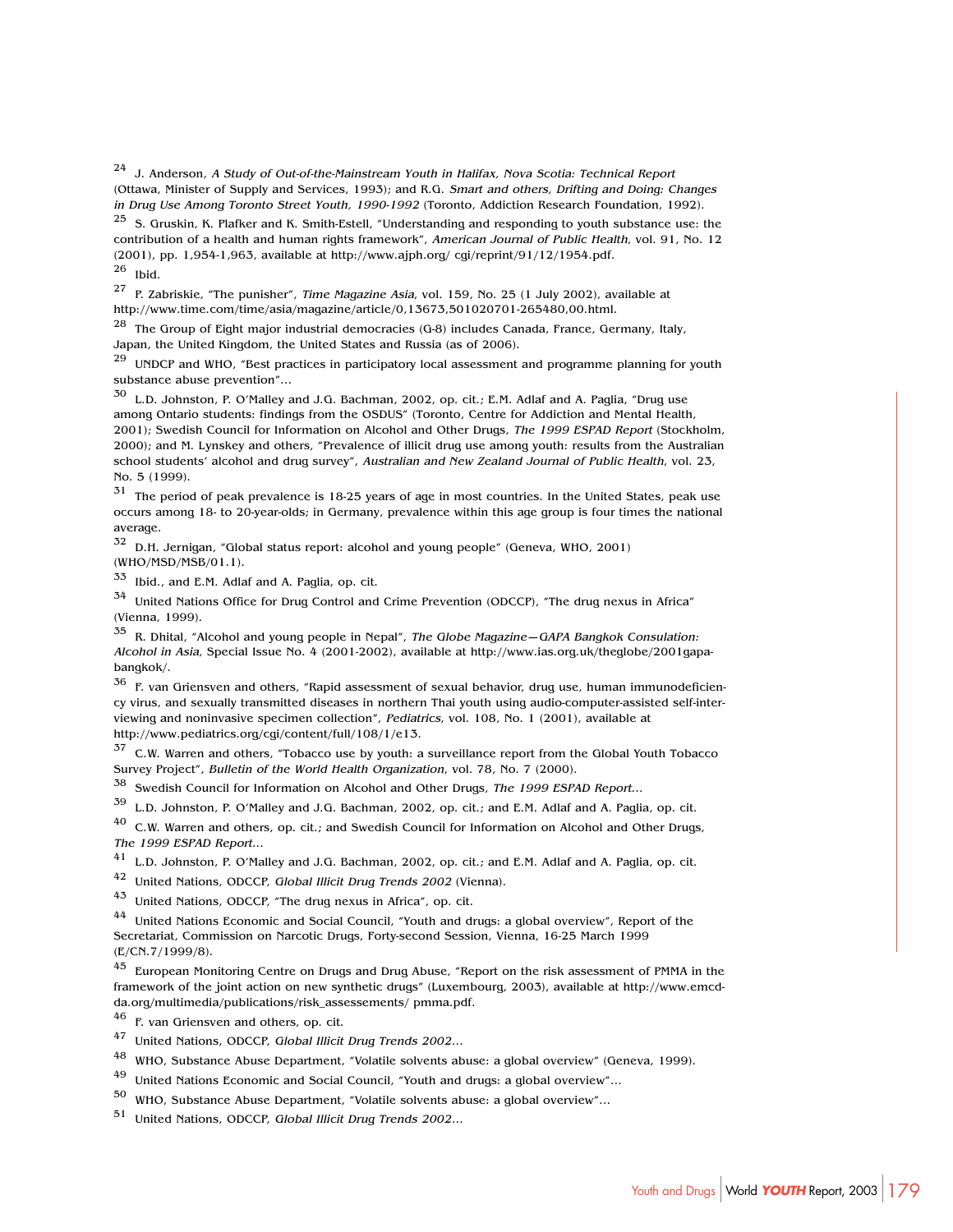<sup>24</sup> J. Anderson, A Study of Out-of-the-Mainstream Youth in Halifax, Nova Scotia: Technical Report (Ottawa, Minister of Supply and Services, 1993); and R.G. Smart and others, Drifting and Doing: Changes in Drug Use Among Toronto Street Youth, 1990-1992 (Toronto, Addiction Research Foundation, 1992).

 $25$  S. Gruskin, K. Plafker and K. Smith-Estell, "Understanding and responding to youth substance use: the contribution of a health and human rights framework", American Journal of Public Health, vol. 91, No. 12  $(2001)$ , pp. 1,954-1,963, available at http://www.ajph.org/ cgi/reprint/91/12/1954.pdf.

 $26$  Ibid.

<sup>27</sup> P. Zabriskie, "The punisher", Time Magazine Asia, vol. 159, No. 25 (1 July 2002), available at http://www.time.com/time/asia/magazine/article/0,13673,501020701-265480,00.html.

 $28$  The Group of Eight major industrial democracies (G-8) includes Canada, France, Germany, Italy, Japan, the United Kingdom, the United States and Russia (as of 2006).

 $29$  UNDCP and WHO, "Best practices in participatory local assessment and programme planning for youth substance abuse prevention"…

<sup>30</sup> L.D. Johnston, P. O'Malley and J.G. Bachman, 2002, op. cit.; E.M. Adlaf and A. Paglia, "Drug use among Ontario students: findings from the OSDUS" (Toronto, Centre for Addiction and Mental Health, 2001); Swedish Council for Information on Alcohol and Other Drugs, The 1999 ESPAD Report (Stockholm, 2000); and M. Lynskey and others, "Prevalence of illicit drug use among youth: results from the Australian school students' alcohol and drug survey", Australian and New Zealand Journal of Public Health, vol. 23, No. 5 (1999).

<sup>31</sup> The period of peak prevalence is 18-25 years of age in most countries. In the United States, peak use occurs among 18- to 20-year-olds; in Germany, prevalence within this age group is four times the national average.

<sup>32</sup> D.H. Jernigan, "Global status report: alcohol and young people" (Geneva, WHO, 2001) (WHO/MSD/MSB/01.1).

 $33$  Ibid., and E.M. Adlaf and A. Paglia, op. cit.

<sup>34</sup> United Nations Office for Drug Control and Crime Prevention (ODCCP), "The drug nexus in Africa" (Vienna, 1999).

<sup>35</sup> R. Dhital, "Alcohol and young people in Nepal", The Globe Magazine—GAPA Bangkok Consulation: Alcohol in Asia, Special Issue No. 4 (2001-2002), available at http://www.ias.org.uk/theglobe/2001gapabangkok/.

 $36$  F. van Griensven and others, "Rapid assessment of sexual behavior, drug use, human immunodeficiency virus, and sexually transmitted diseases in northern Thai youth using audio-computer-assisted self-interviewing and noninvasive specimen collection", Pediatrics, vol. 108, No. 1 (2001), available at http://www.pediatrics.org/cgi/content/full/108/1/e13.

 $37$  C.W. Warren and others, "Tobacco use by youth: a surveillance report from the Global Youth Tobacco Survey Project", Bulletin of the World Health Organization, vol. 78, No. 7 (2000).

<sup>38</sup> Swedish Council for Information on Alcohol and Other Drugs, The 1999 ESPAD Report...

<sup>39</sup> L.D. Johnston, P. O'Malley and J.G. Bachman, 2002, op. cit.; and E.M. Adlaf and A. Paglia, op. cit.

<sup>40</sup> C.W. Warren and others, op. cit.; and Swedish Council for Information on Alcohol and Other Drugs, The 1999 ESPAD Report...

 $^{41}$  L.D. Johnston, P. O'Malley and J.G. Bachman, 2002, op. cit.; and E.M. Adlaf and A. Paglia, op. cit.

<sup>42</sup> United Nations, ODCCP, Global Illicit Drug Trends 2002 (Vienna).

<sup>43</sup> United Nations, ODCCP, "The drug nexus in Africa", op. cit.

<sup>44</sup> United Nations Economic and Social Council, "Youth and drugs: a global overview", Report of the Secretariat, Commission on Narcotic Drugs, Forty-second Session, Vienna, 16-25 March 1999 (E/CN.7/1999/8).

45 European Monitoring Centre on Drugs and Drug Abuse, "Report on the risk assessment of PMMA in the framework of the joint action on new synthetic drugs" (Luxembourg, 2003), available at http://www.emcdda.org/multimedia/publications/risk\_assessements/ pmma.pdf.

<sup>46</sup> F. van Griensven and others, op. cit.

<sup>47</sup> United Nations, ODCCP, Global Illicit Drug Trends 2002…

<sup>48</sup> WHO, Substance Abuse Department, "Volatile solvents abuse: a global overview" (Geneva, 1999).

United Nations Economic and Social Council, "Youth and drugs: a global overview"...

<sup>50</sup> WHO, Substance Abuse Department, "Volatile solvents abuse: a global overview"…

<sup>51</sup> United Nations, ODCCP, Global Illicit Drug Trends 2002…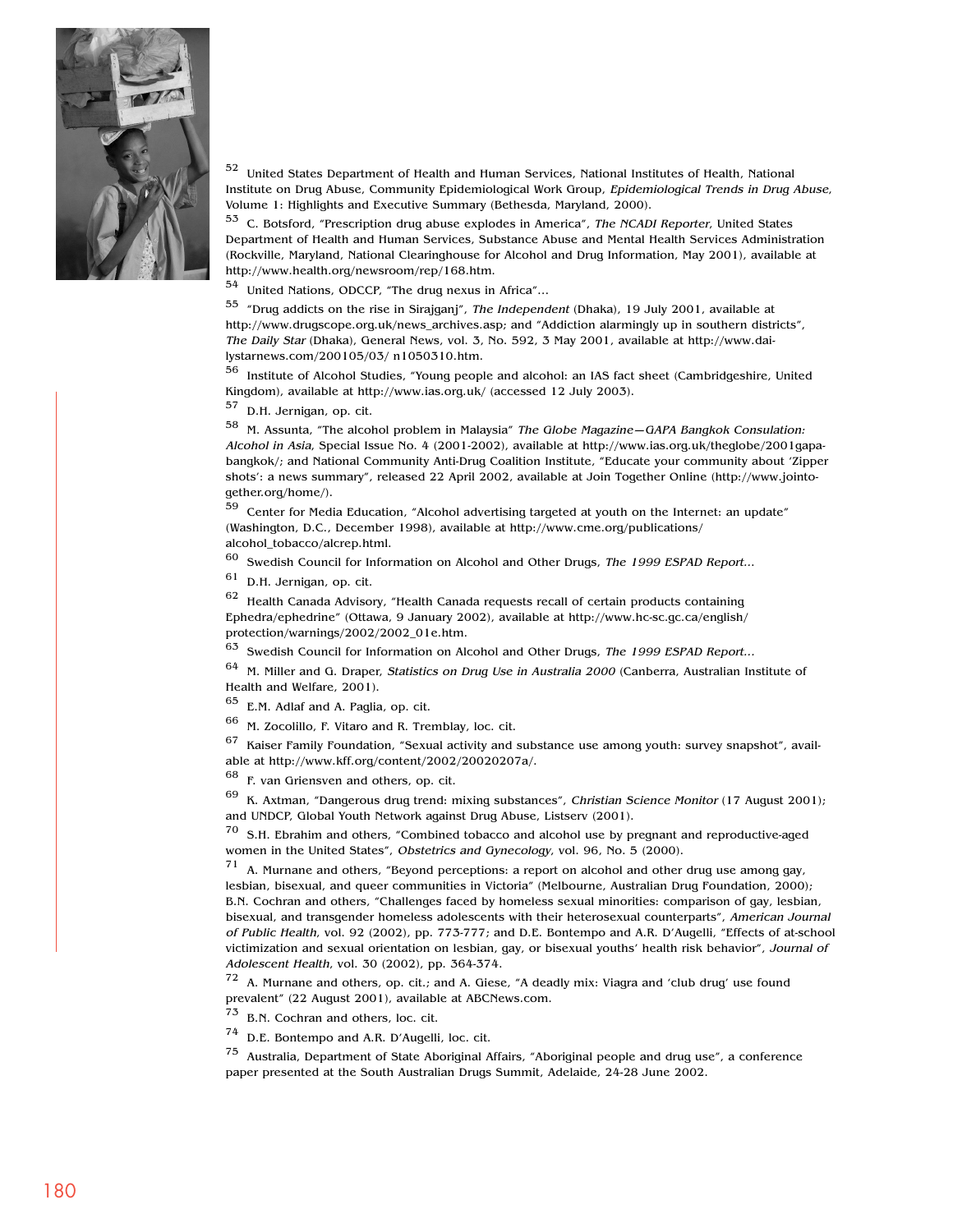

<sup>52</sup> United States Department of Health and Human Services, National Institutes of Health, National Institute on Drug Abuse, Community Epidemiological Work Group, Epidemiological Trends in Drug Abuse, Volume 1: Highlights and Executive Summary (Bethesda, Maryland, 2000).

<sup>53</sup> C. Botsford, "Prescription drug abuse explodes in America", The NCADI Reporter, United States Department of Health and Human Services, Substance Abuse and Mental Health Services Administration (Rockville, Maryland, National Clearinghouse for Alcohol and Drug Information, May 2001), available at http://www.health.org/newsroom/rep/168.htm.

<sup>54</sup> United Nations, ODCCP, "The drug nexus in Africa"…

<sup>55</sup> "Drug addicts on the rise in Sirajganj", The Independent (Dhaka), 19 July 2001, available at http://www.drugscope.org.uk/news\_archives.asp; and "Addiction alarmingly up in southern districts", The Daily Star (Dhaka), General News, vol. 3, No. 592, 3 May 2001, available at http://www.dailystarnews.com/200105/03/ n1050310.htm.

<sup>56</sup> Institute of Alcohol Studies, "Young people and alcohol: an IAS fact sheet (Cambridgeshire, United Kingdom), available at http://www.ias.org.uk/ (accessed 12 July 2003).

<sup>57</sup> D.H. Jernigan, op. cit.

<sup>58</sup> M. Assunta, "The alcohol problem in Malaysia" The Globe Magazine—GAPA Bangkok Consulation: Alcohol in Asia, Special Issue No. 4 (2001-2002), available at http://www.ias.org.uk/theglobe/2001gapabangkok/; and National Community Anti-Drug Coalition Institute, "Educate your community about 'Zipper shots': a news summary", released 22 April 2002, available at Join Together Online (http://www.jointogether.org/home/).

<sup>59</sup> Center for Media Education, "Alcohol advertising targeted at youth on the Internet: an update" (Washington, D.C., December 1998), available at http://www.cme.org/publications/ alcohol\_tobacco/alcrep.html.

 $60$  Swedish Council for Information on Alcohol and Other Drugs, The 1999 ESPAD Report...

<sup>61</sup> D.H. Jernigan, op. cit.

 $62$  Health Canada Advisory, "Health Canada requests recall of certain products containing Ephedra/ephedrine" (Ottawa, 9 January 2002), available at http://www.hc-sc.gc.ca/english/ protection/warnings/2002/2002\_01e.htm.

<sup>63</sup> Swedish Council for Information on Alcohol and Other Drugs, The 1999 ESPAD Report...

 $64$  M. Miller and G. Draper, Statistics on Drug Use in Australia 2000 (Canberra, Australian Institute of Health and Welfare, 2001).

<sup>65</sup> E.M. Adlaf and A. Paglia, op. cit.

 $66$  M. Zocolillo, F. Vitaro and R. Tremblay, loc. cit.<br> $67$  Keiser Family Foundation. "Sexual activity and

Kaiser Family Foundation, "Sexual activity and substance use among youth: survey snapshot", available at http://www.kff.org/content/2002/20020207a/.

<sup>68</sup> F. van Griensven and others, op. cit.

 $69$  K. Axtman, "Dangerous drug trend: mixing substances", Christian Science Monitor (17 August 2001); and UNDCP, Global Youth Network against Drug Abuse, Listserv (2001).

 $70\;$  S.H. Ebrahim and others, "Combined tobacco and alcohol use by pregnant and reproductive-aged women in the United States", Obstetrics and Gynecology, vol. 96, No. 5 (2000).

 $71$  A. Murnane and others, "Beyond perceptions: a report on alcohol and other drug use among gay, lesbian, bisexual, and queer communities in Victoria" (Melbourne, Australian Drug Foundation, 2000); B.N. Cochran and others, "Challenges faced by homeless sexual minorities: comparison of gay, lesbian, bisexual, and transgender homeless adolescents with their heterosexual counterparts", American Journal of Public Health, vol. 92 (2002), pp. 773-777; and D.E. Bontempo and A.R. D'Augelli, "Effects of at-school victimization and sexual orientation on lesbian, gay, or bisexual youths' health risk behavior", Journal of Adolescent Health, vol. 30 (2002), pp. 364-374.

 $72$  A. Murnane and others, op. cit.; and A. Giese, "A deadly mix: Viagra and 'club drug' use found prevalent" (22 August 2001), available at ABCNews.com.

<sup>73</sup> B.N. Cochran and others, loc. cit.

<sup>74</sup> D.E. Bontempo and A.R. D'Augelli, loc. cit.

<sup>75</sup> Australia, Department of State Aboriginal Affairs, "Aboriginal people and drug use", a conference paper presented at the South Australian Drugs Summit, Adelaide, 24-28 June 2002.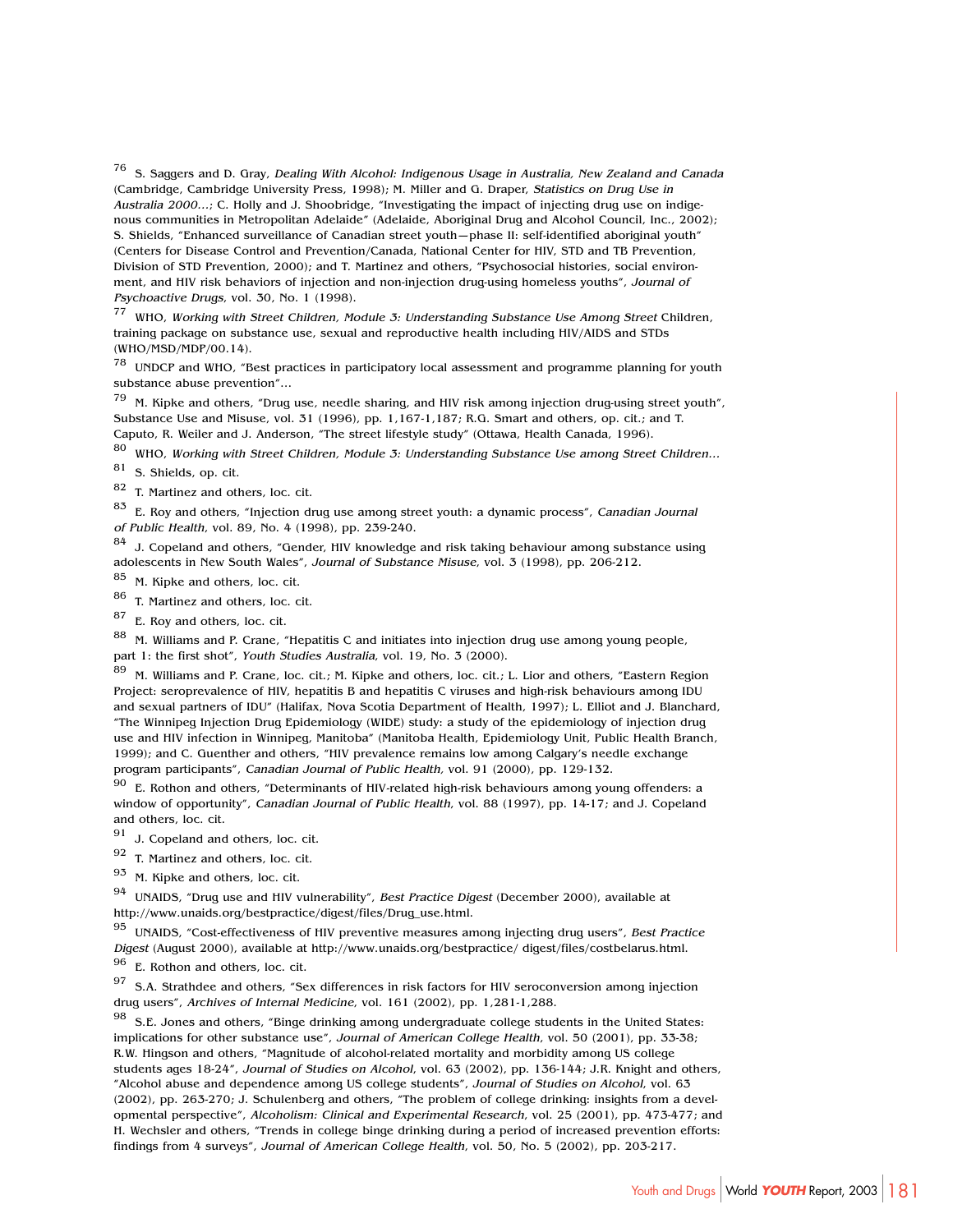<sup>76</sup> S. Saggers and D. Gray, Dealing With Alcohol: Indigenous Usage in Australia, New Zealand and Canada (Cambridge, Cambridge University Press, 1998); M. Miller and G. Draper, Statistics on Drug Use in Australia 2000…; C. Holly and J. Shoobridge, "Investigating the impact of injecting drug use on indigenous communities in Metropolitan Adelaide" (Adelaide, Aboriginal Drug and Alcohol Council, Inc., 2002); S. Shields, "Enhanced surveillance of Canadian street youth—phase II: self-identified aboriginal youth" (Centers for Disease Control and Prevention/Canada, National Center for HIV, STD and TB Prevention, Division of STD Prevention, 2000); and T. Martinez and others, "Psychosocial histories, social environment, and HIV risk behaviors of injection and non-injection drug-using homeless youths", Journal of Psychoactive Drugs, vol. 30, No. 1 (1998).

<sup>77</sup> WHO, Working with Street Children, Module 3: Understanding Substance Use Among Street Children, training package on substance use, sexual and reproductive health including HIV/AIDS and STDs (WHO/MSD/MDP/00.14).

<sup>78</sup> UNDCP and WHO, "Best practices in participatory local assessment and programme planning for youth substance abuse prevention"…

 $79$  M. Kipke and others, "Drug use, needle sharing, and HIV risk among injection drug-using street youth", Substance Use and Misuse, vol. 31 (1996), pp. 1,167-1,187; R.G. Smart and others, op. cit.; and T. Caputo, R. Weiler and J. Anderson, "The street lifestyle study" (Ottawa, Health Canada, 1996).

 $80$  WHO, Working with Street Children, Module 3: Understanding Substance Use among Street Children...

<sup>81</sup> S. Shields, op. cit.

<sup>82</sup> T. Martinez and others, loc. cit.

 $83$  E. Roy and others, "Injection drug use among street youth: a dynamic process", Canadian Journal of Public Health, vol. 89, No. 4 (1998), pp. 239-240.

 $84$  J. Copeland and others, "Gender, HIV knowledge and risk taking behaviour among substance using adolescents in New South Wales", Journal of Substance Misuse, vol. 3 (1998), pp. 206-212.

<sup>85</sup> M. Kipke and others, loc. cit.

<sup>86</sup> T. Martinez and others, loc. cit.

<sup>87</sup> E. Roy and others, loc. cit.

88 M. Williams and P. Crane, "Hepatitis C and initiates into injection drug use among young people, part 1: the first shot", Youth Studies Australia, vol. 19, No. 3 (2000).

89 M. Williams and P. Crane, loc. cit.; M. Kipke and others, loc. cit.; L. Lior and others, "Eastern Region Project: seroprevalence of HIV, hepatitis B and hepatitis C viruses and high-risk behaviours among IDU and sexual partners of IDU" (Halifax, Nova Scotia Department of Health, 1997); L. Elliot and J. Blanchard, "The Winnipeg Injection Drug Epidemiology (WIDE) study: a study of the epidemiology of injection drug use and HIV infection in Winnipeg, Manitoba" (Manitoba Health, Epidemiology Unit, Public Health Branch, 1999); and C. Guenther and others, "HIV prevalence remains low among Calgary's needle exchange program participants", Canadian Journal of Public Health, vol. 91 (2000), pp. 129-132.

 $90$  E. Rothon and others, "Determinants of HIV-related high-risk behaviours among young offenders: a window of opportunity", Canadian Journal of Public Health, vol. 88 (1997), pp. 14-17; and J. Copeland and others, loc. cit.

<sup>91</sup> J. Copeland and others, loc. cit.

<sup>92</sup> T. Martinez and others, loc. cit.

<sup>93</sup> M. Kipke and others, loc. cit.

 $94$  UNAIDS, "Drug use and HIV vulnerability", Best Practice Digest (December 2000), available at http://www.unaids.org/bestpractice/digest/files/Drug\_use.html.

 $95$  UNAIDS, "Cost-effectiveness of HIV preventive measures among injecting drug users", Best Practice Digest (August 2000), available at http://www.unaids.org/bestpractice/ digest/files/costbelarus.html.

<sup>96</sup> E. Rothon and others, loc. cit.

97 S.A. Strathdee and others, "Sex differences in risk factors for HIV seroconversion among injection drug users", Archives of Internal Medicine, vol. 161 (2002), pp. 1,281-1,288.

98 S.E. Jones and others, "Binge drinking among undergraduate college students in the United States: implications for other substance use", Journal of American College Health, vol. 50 (2001), pp. 33-38; R.W. Hingson and others, "Magnitude of alcohol-related mortality and morbidity among US college students ages 18-24", Journal of Studies on Alcohol, vol. 63 (2002), pp. 136-144; J.R. Knight and others, "Alcohol abuse and dependence among US college students", Journal of Studies on Alcohol, vol. 63 (2002), pp. 263-270; J. Schulenberg and others, "The problem of college drinking: insights from a developmental perspective", Alcoholism: Clinical and Experimental Research, vol. 25 (2001), pp. 473-477; and H. Wechsler and others, "Trends in college binge drinking during a period of increased prevention efforts: findings from 4 surveys", Journal of American College Health, vol. 50, No. 5 (2002), pp. 203-217.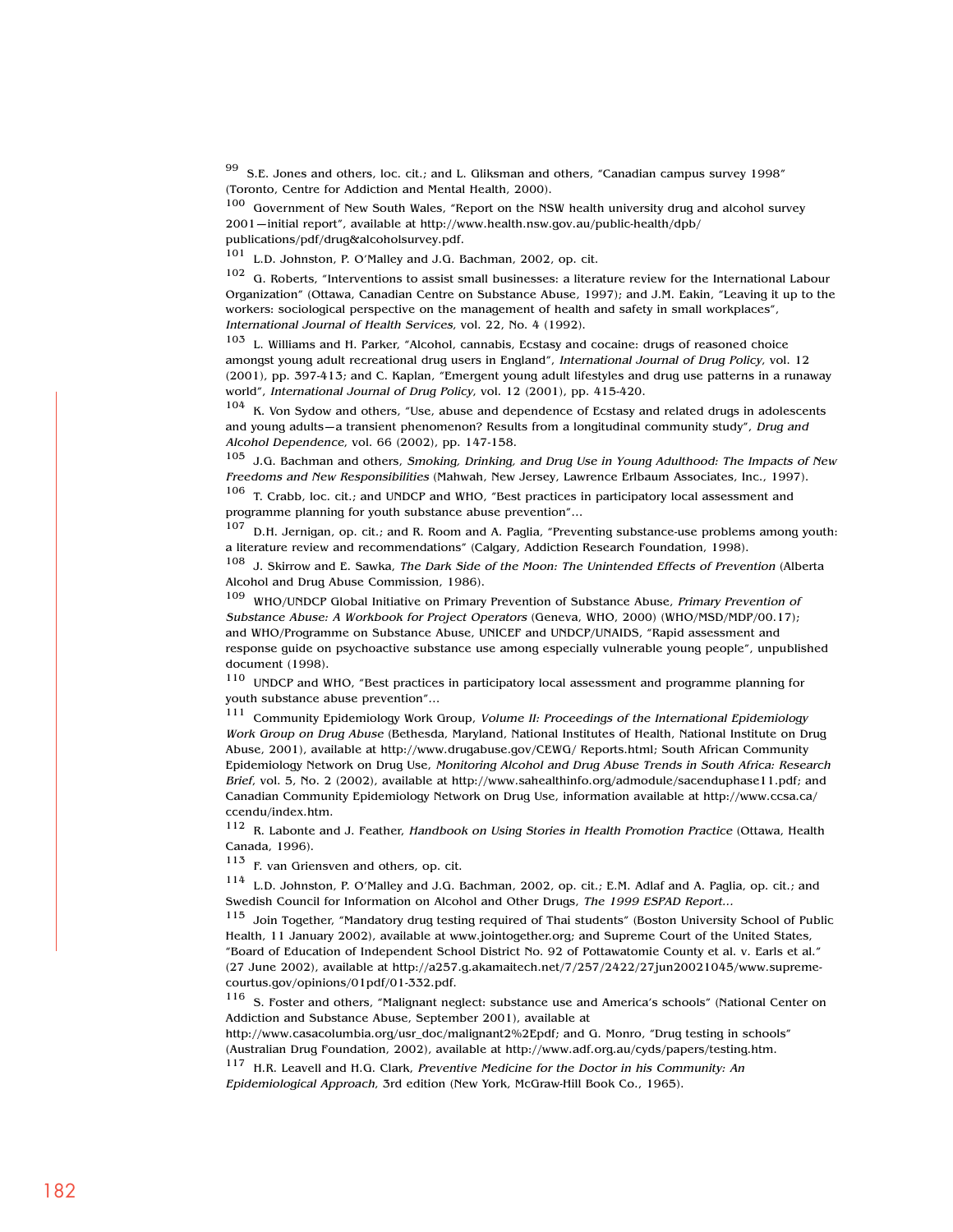99 S.E. Jones and others, loc. cit.; and L. Gliksman and others, "Canadian campus survey 1998" (Toronto, Centre for Addiction and Mental Health, 2000).

<sup>100</sup> Government of New South Wales, "Report on the NSW health university drug and alcohol survey 2001—initial report", available at http://www.health.nsw.gov.au/public-health/dpb/ publications/pdf/drug&alcoholsurvey.pdf.

<sup>101</sup> L.D. Johnston, P. O'Malley and J.G. Bachman, 2002, op. cit.

<sup>102</sup> G. Roberts, "Interventions to assist small businesses: a literature review for the International Labour Organization" (Ottawa, Canadian Centre on Substance Abuse, 1997); and J.M. Eakin, "Leaving it up to the workers: sociological perspective on the management of health and safety in small workplaces", International Journal of Health Services, vol. 22, No. 4 (1992).

<sup>103</sup> L. Williams and H. Parker, "Alcohol, cannabis, Ecstasy and cocaine: drugs of reasoned choice amongst young adult recreational drug users in England", International Journal of Drug Policy, vol. 12 (2001), pp. 397-413; and C. Kaplan, "Emergent young adult lifestyles and drug use patterns in a runaway world", International Journal of Drug Policy, vol. 12 (2001), pp. 415-420.

104 K. Von Sydow and others, "Use, abuse and dependence of Ecstasy and related drugs in adolescents and young adults—a transient phenomenon? Results from a longitudinal community study", Drug and Alcohol Dependence, vol. 66 (2002), pp. 147-158.

 $105$  J.G. Bachman and others, Smoking, Drinking, and Drug Use in Young Adulthood: The Impacts of New Freedoms and New Responsibilities (Mahwah, New Jersey, Lawrence Erlbaum Associates, Inc., 1997).

<sup>106</sup> T. Crabb, loc. cit.; and UNDCP and WHO, "Best practices in participatory local assessment and programme planning for youth substance abuse prevention"…

<sup>107</sup> D.H. Jernigan, op. cit.; and R. Room and A. Paglia, "Preventing substance-use problems among youth: a literature review and recommendations" (Calgary, Addiction Research Foundation, 1998).

108 J. Skirrow and E. Sawka, The Dark Side of the Moon: The Unintended Effects of Prevention (Alberta Alcohol and Drug Abuse Commission, 1986).

109 WHO/UNDCP Global Initiative on Primary Prevention of Substance Abuse, Primary Prevention of Substance Abuse: A Workbook for Project Operators (Geneva, WHO, 2000) (WHO/MSD/MDP/00.17); and WHO/Programme on Substance Abuse, UNICEF and UNDCP/UNAIDS, "Rapid assessment and response guide on psychoactive substance use among especially vulnerable young people", unpublished document (1998).

<sup>110</sup> UNDCP and WHO, "Best practices in participatory local assessment and programme planning for youth substance abuse prevention"…

<sup>111</sup> Community Epidemiology Work Group, Volume II: Proceedings of the International Epidemiology Work Group on Drug Abuse (Bethesda, Maryland, National Institutes of Health, National Institute on Drug Abuse, 2001), available at http://www.drugabuse.gov/CEWG/ Reports.html; South African Community Epidemiology Network on Drug Use, Monitoring Alcohol and Drug Abuse Trends in South Africa: Research Brief, vol. 5, No. 2 (2002), available at http://www.sahealthinfo.org/admodule/sacenduphase11.pdf; and Canadian Community Epidemiology Network on Drug Use, information available at http://www.ccsa.ca/ ccendu/index.htm.

<sup>112</sup> R. Labonte and J. Feather, Handbook on Using Stories in Health Promotion Practice (Ottawa, Health Canada, 1996).

<sup>113</sup> F. van Griensven and others, op. cit.

<sup>114</sup> L.D. Johnston, P. O'Malley and J.G. Bachman, 2002, op. cit.; E.M. Adlaf and A. Paglia, op. cit.; and Swedish Council for Information on Alcohol and Other Drugs, The 1999 ESPAD Report...

<sup>115</sup> Join Together, "Mandatory drug testing required of Thai students" (Boston University School of Public Health, 11 January 2002), available at www.jointogether.org; and Supreme Court of the United States, "Board of Education of Independent School District No. 92 of Pottawatomie County et al. v. Earls et al." (27 June 2002), available at http://a257.g.akamaitech.net/7/257/2422/27jun20021045/www.supremecourtus.gov/opinions/01pdf/01-332.pdf.

<sup>116</sup> S. Foster and others, "Malignant neglect: substance use and America's schools" (National Center on Addiction and Substance Abuse, September 2001), available at

http://www.casacolumbia.org/usr\_doc/malignant2%2Epdf; and G. Monro, "Drug testing in schools" (Australian Drug Foundation, 2002), available at http://www.adf.org.au/cyds/papers/testing.htm.

<sup>117</sup> H.R. Leavell and H.G. Clark, Preventive Medicine for the Doctor in his Community: An Epidemiological Approach, 3rd edition (New York, McGraw-Hill Book Co., 1965).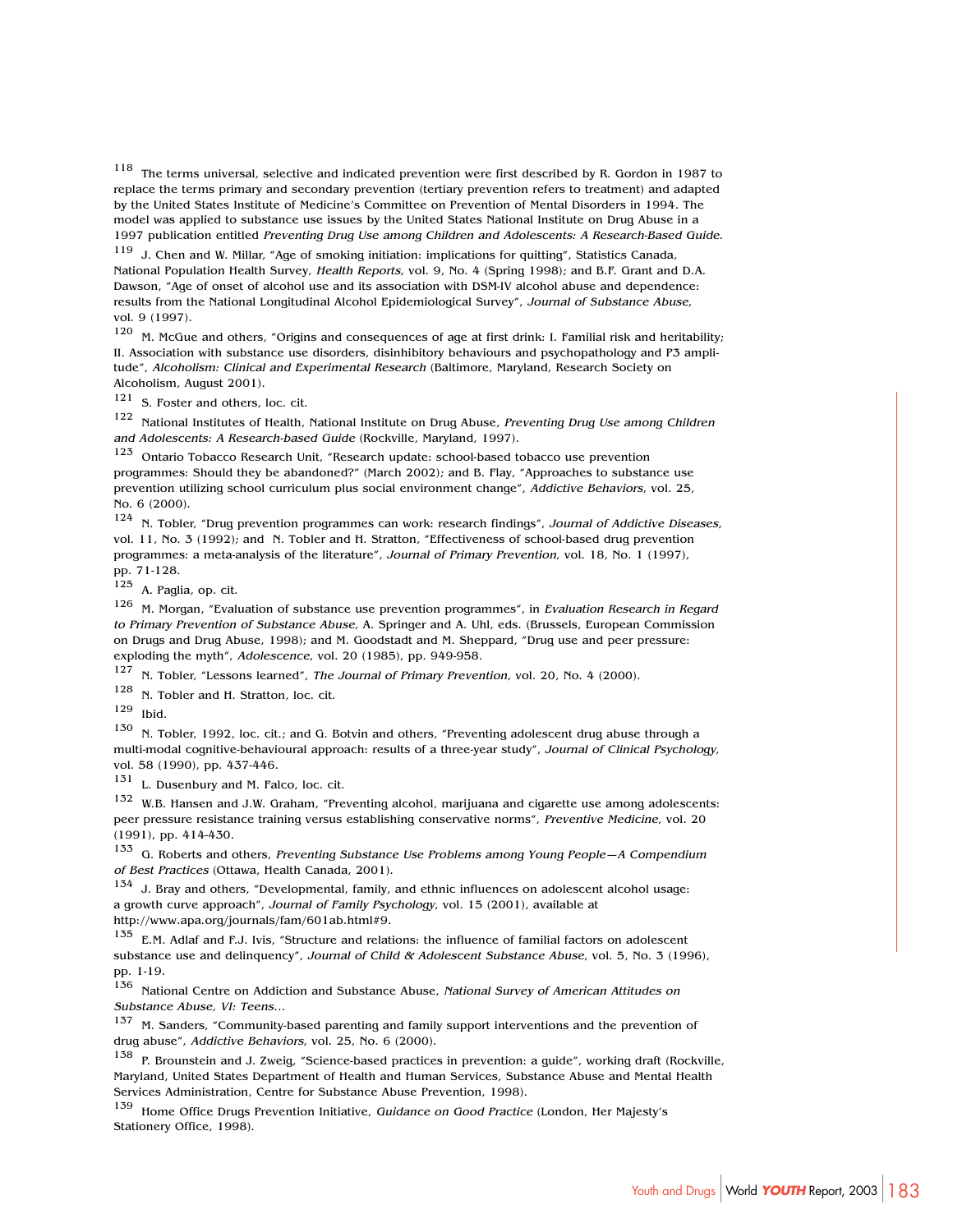<sup>118</sup> The terms universal, selective and indicated prevention were first described by R. Gordon in 1987 to replace the terms primary and secondary prevention (tertiary prevention refers to treatment) and adapted by the United States Institute of Medicine's Committee on Prevention of Mental Disorders in 1994. The model was applied to substance use issues by the United States National Institute on Drug Abuse in a 1997 publication entitled Preventing Drug Use among Children and Adolescents: A Research-Based Guide.

<sup>119</sup> J. Chen and W. Millar, "Age of smoking initiation: implications for quitting", Statistics Canada, National Population Health Survey, Health Reports, vol. 9, No. 4 (Spring 1998); and B.F. Grant and D.A. Dawson, "Age of onset of alcohol use and its association with DSM-IV alcohol abuse and dependence: results from the National Longitudinal Alcohol Epidemiological Survey", Journal of Substance Abuse, vol. 9 (1997).

 $120$  M. McGue and others, "Origins and consequences of age at first drink: I. Familial risk and heritability; II. Association with substance use disorders, disinhibitory behaviours and psychopathology and P3 amplitude", Alcoholism: Clinical and Experimental Research (Baltimore, Maryland, Research Society on Alcoholism, August 2001).

<sup>121</sup> S. Foster and others, loc. cit.

<sup>122</sup> National Institutes of Health, National Institute on Drug Abuse, Preventing Drug Use among Children and Adolescents: A Research-based Guide (Rockville, Maryland, 1997).<br>123 Ostario Tebases Pesearch Unit "Research undate: school-based to

Ontario Tobacco Research Unit, "Research update: school-based tobacco use prevention programmes: Should they be abandoned?" (March 2002); and B. Flay, "Approaches to substance use prevention utilizing school curriculum plus social environment change", Addictive Behaviors, vol. 25, No. 6 (2000).

124 N. Tobler, "Drug prevention programmes can work: research findings", Journal of Addictive Diseases, vol. 11, No. 3 (1992); and N. Tobler and H. Stratton, "Effectiveness of school-based drug prevention programmes: a meta-analysis of the literature", Journal of Primary Prevention, vol. 18, No. 1 (1997), pp. 71-128.

<sup>125</sup> A. Paglia, op. cit.

<sup>126</sup> M. Morgan, "Evaluation of substance use prevention programmes", in Evaluation Research in Regard to Primary Prevention of Substance Abuse, A. Springer and A. Uhl, eds. (Brussels, European Commission on Drugs and Drug Abuse, 1998); and M. Goodstadt and M. Sheppard, "Drug use and peer pressure: exploding the myth", Adolescence, vol. 20 (1985), pp. 949-958.

<sup>127</sup> N. Tobler, "Lessons learned", The Journal of Primary Prevention, vol. 20, No. 4 (2000).

<sup>128</sup> N. Tobler and H. Stratton, loc. cit.

<sup>129</sup> Ibid.

130 N. Tobler, 1992, loc. cit.; and G. Botvin and others, "Preventing adolescent drug abuse through a multi-modal cognitive-behavioural approach: results of a three-year study", Journal of Clinical Psychology, vol. 58 (1990), pp. 437-446.

<sup>131</sup> L. Dusenbury and M. Falco, loc. cit.

<sup>132</sup> W.B. Hansen and J.W. Graham, "Preventing alcohol, marijuana and cigarette use among adolescents: peer pressure resistance training versus establishing conservative norms", Preventive Medicine, vol. 20 (1991), pp. 414-430.

<sup>133</sup> G. Roberts and others, Preventing Substance Use Problems among Young People–A Compendium of Best Practices (Ottawa, Health Canada, 2001).

<sup>134</sup> J. Bray and others, "Developmental, family, and ethnic influences on adolescent alcohol usage: a growth curve approach", Journal of Family Psychology, vol. 15 (2001), available at http://www.apa.org/journals/fam/601ab.html#9.

<sup>135</sup> E.M. Adlaf and F.J. Ivis, "Structure and relations: the influence of familial factors on adolescent substance use and delinquency", Journal of Child & Adolescent Substance Abuse, vol. 5, No. 3 (1996), pp. 1-19.

<sup>136</sup> National Centre on Addiction and Substance Abuse, National Survey of American Attitudes on Substance Abuse, VI: Teens…

<sup>137</sup> M. Sanders, "Community-based parenting and family support interventions and the prevention of drug abuse", Addictive Behaviors, vol. 25, No. 6 (2000).

<sup>138</sup> P. Brounstein and J. Zweig, "Science-based practices in prevention: a guide", working draft (Rockville, Maryland, United States Department of Health and Human Services, Substance Abuse and Mental Health Services Administration, Centre for Substance Abuse Prevention, 1998).

<sup>139</sup> Home Office Drugs Prevention Initiative, Guidance on Good Practice (London, Her Majesty's Stationery Office, 1998).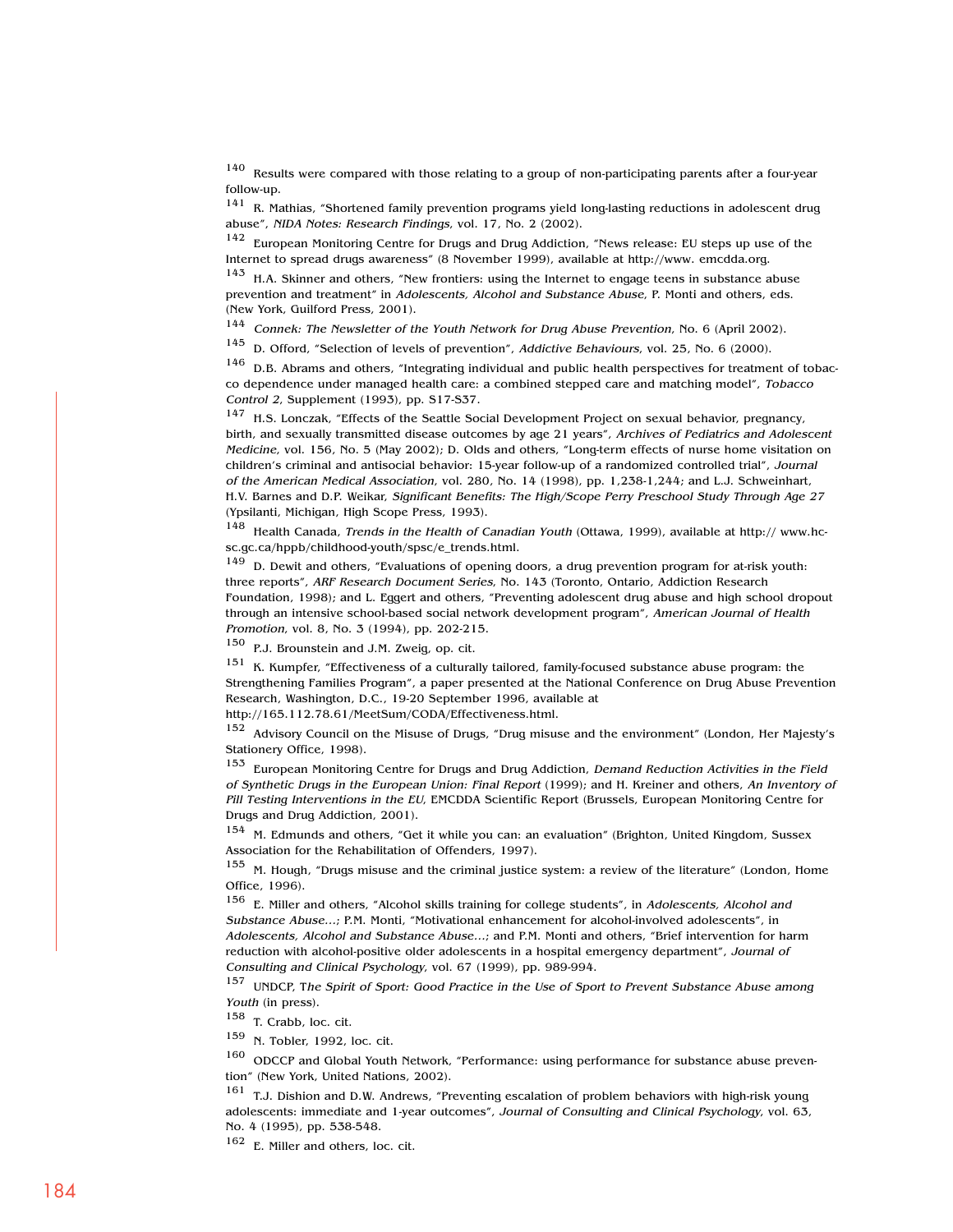<sup>140</sup> Results were compared with those relating to a group of non-participating parents after a four-year follow-up.

<sup>141</sup> R. Mathias, "Shortened family prevention programs yield long-lasting reductions in adolescent drug abuse", NIDA Notes: Research Findings, vol. 17, No. 2 (2002).

<sup>142</sup> European Monitoring Centre for Drugs and Drug Addiction, "News release: EU steps up use of the Internet to spread drugs awareness" (8 November 1999), available at http://www. emcdda.org.

 $143$  H.A. Skinner and others, "New frontiers: using the Internet to engage teens in substance abuse prevention and treatment" in Adolescents, Alcohol and Substance Abuse, P. Monti and others, eds. (New York, Guilford Press, 2001).

<sup>144</sup> Connek: The Newsletter of the Youth Network for Drug Abuse Prevention, No. 6 (April 2002).

<sup>145</sup> D. Offord, "Selection of levels of prevention", Addictive Behaviours, vol. 25, No. 6 (2000).

 $146$  D.B. Abrams and others, "Integrating individual and public health perspectives for treatment of tobacco dependence under managed health care: a combined stepped care and matching model", Tobacco Control 2, Supplement (1993), pp. S17-S37.

<sup>147</sup> H.S. Lonczak, "Effects of the Seattle Social Development Project on sexual behavior, pregnancy, birth, and sexually transmitted disease outcomes by age 21 years", Archives of Pediatrics and Adolescent Medicine, vol. 156, No. 5 (May 2002); D. Olds and others, "Long-term effects of nurse home visitation on children's criminal and antisocial behavior: 15-year follow-up of a randomized controlled trial", Journal of the American Medical Association, vol. 280, No. 14 (1998), pp. 1,238-1,244; and L.J. Schweinhart, H.V. Barnes and D.P. Weikar, Significant Benefits: The High/Scope Perry Preschool Study Through Age 27 (Ypsilanti, Michigan, High Scope Press, 1993).

<sup>148</sup> Health Canada, Trends in the Health of Canadian Youth (Ottawa, 1999), available at http:// www.hcsc.gc.ca/hppb/childhood-youth/spsc/e\_trends.html.

<sup>149</sup> D. Dewit and others, "Evaluations of opening doors, a drug prevention program for at-risk youth: three reports", ARF Research Document Series, No. 143 (Toronto, Ontario, Addiction Research Foundation, 1998); and L. Eggert and others, "Preventing adolescent drug abuse and high school dropout through an intensive school-based social network development program", American Journal of Health Promotion, vol. 8, No. 3 (1994), pp. 202-215.

<sup>150</sup> P.J. Brounstein and J.M. Zweig, op. cit.

<sup>151</sup> K. Kumpfer, "Effectiveness of a culturally tailored, family-focused substance abuse program: the Strengthening Families Program", a paper presented at the National Conference on Drug Abuse Prevention Research, Washington, D.C., 19-20 September 1996, available at http://165.112.78.61/MeetSum/CODA/Effectiveness.html.

<sup>152</sup> Advisory Council on the Misuse of Drugs, "Drug misuse and the environment" (London, Her Majesty's Stationery Office, 1998).

<sup>153</sup> European Monitoring Centre for Drugs and Drug Addiction, Demand Reduction Activities in the Field of Synthetic Drugs in the European Union: Final Report (1999); and H. Kreiner and others, An Inventory of Pill Testing Interventions in the EU, EMCDDA Scientific Report (Brussels, European Monitoring Centre for Drugs and Drug Addiction, 2001).

<sup>154</sup> M. Edmunds and others, "Get it while you can: an evaluation" (Brighton, United Kingdom, Sussex Association for the Rehabilitation of Offenders, 1997).

<sup>155</sup> M. Hough, "Drugs misuse and the criminal justice system: a review of the literature" (London, Home Office, 1996).

<sup>156</sup> E. Miller and others, "Alcohol skills training for college students", in Adolescents, Alcohol and Substance Abuse…; P.M. Monti, "Motivational enhancement for alcohol-involved adolescents", in Adolescents, Alcohol and Substance Abuse…; and P.M. Monti and others, "Brief intervention for harm reduction with alcohol-positive older adolescents in a hospital emergency department", Journal of Consulting and Clinical Psychology, vol. 67 (1999), pp. 989-994.

<sup>157</sup> UNDCP, The Spirit of Sport: Good Practice in the Use of Sport to Prevent Substance Abuse among Youth (in press).

<sup>158</sup> T. Crabb, loc. cit.

<sup>159</sup> N. Tobler, 1992, loc. cit.

<sup>160</sup> ODCCP and Global Youth Network, "Performance: using performance for substance abuse prevention" (New York, United Nations, 2002).

 $161$  T.J. Dishion and D.W. Andrews, "Preventing escalation of problem behaviors with high-risk young adolescents: immediate and 1-year outcomes", Journal of Consulting and Clinical Psychology, vol. 63, No. 4 (1995), pp. 538-548.

<sup>162</sup> E. Miller and others, loc. cit.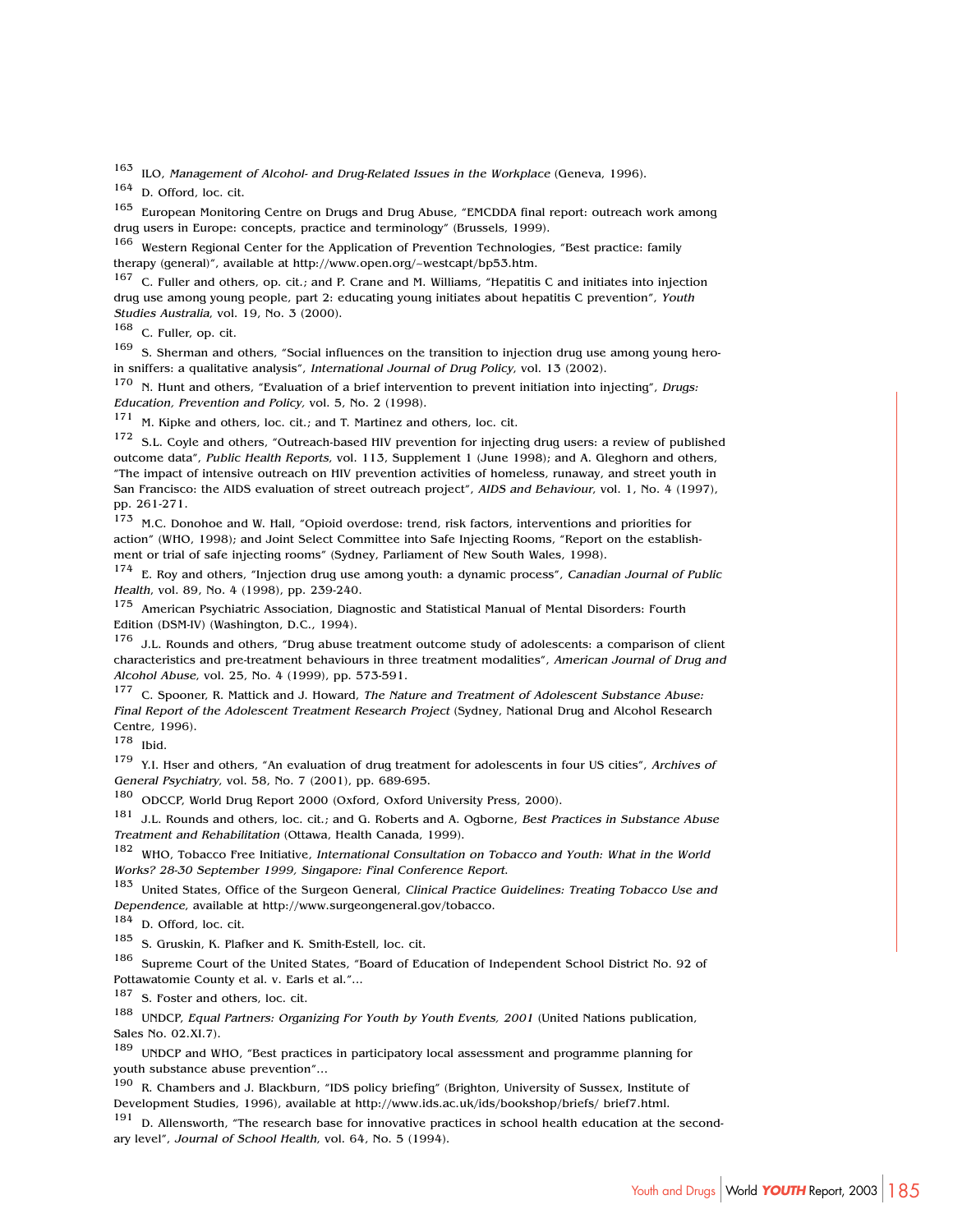<sup>163</sup> ILO, Management of Alcohol- and Drug-Related Issues in the Workplace (Geneva, 1996).

<sup>164</sup> D. Offord, loc. cit.

<sup>165</sup> European Monitoring Centre on Drugs and Drug Abuse, "EMCDDA final report: outreach work among drug users in Europe: concepts, practice and terminology" (Brussels, 1999).

<sup>166</sup> Western Regional Center for the Application of Prevention Technologies, "Best practice: family therapy (general)", available at http://www.open.org/~westcapt/bp53.htm.

<sup>167</sup> C. Fuller and others, op. cit.; and P. Crane and M. Williams, "Hepatitis C and initiates into injection drug use among young people, part 2: educating young initiates about hepatitis C prevention", Youth Studies Australia, vol. 19, No. 3 (2000).

<sup>168</sup> C. Fuller, op. cit.

<sup>169</sup> S. Sherman and others, "Social influences on the transition to injection drug use among young heroin sniffers: a qualitative analysis", International Journal of Drug Policy, vol. 13 (2002).

<sup>170</sup> N. Hunt and others, "Evaluation of a brief intervention to prevent initiation into injecting", Drugs: Education, Prevention and Policy, vol. 5, No. 2 (1998).

171 M. Kipke and others, loc. cit.; and T. Martinez and others, loc. cit.

<sup>172</sup> S.L. Covle and others, "Outreach-based HIV prevention for injecting drug users: a review of published outcome data", Public Health Reports, vol. 113, Supplement 1 (June 1998); and A. Gleghorn and others, "The impact of intensive outreach on HIV prevention activities of homeless, runaway, and street youth in San Francisco: the AIDS evaluation of street outreach project", AIDS and Behaviour, vol. 1, No. 4 (1997), pp. 261-271.

<sup>173</sup> M.C. Donohoe and W. Hall, "Opioid overdose: trend, risk factors, interventions and priorities for action" (WHO, 1998); and Joint Select Committee into Safe Injecting Rooms, "Report on the establishment or trial of safe injecting rooms" (Sydney, Parliament of New South Wales, 1998).

174 E. Roy and others, "Injection drug use among youth: a dynamic process", Canadian Journal of Public Health, vol. 89, No. 4 (1998), pp. 239-240.

<sup>175</sup> American Psychiatric Association, Diagnostic and Statistical Manual of Mental Disorders: Fourth Edition (DSM-IV) (Washington, D.C., 1994).

 $176$  J.L. Rounds and others, "Drug abuse treatment outcome study of adolescents: a comparison of client characteristics and pre-treatment behaviours in three treatment modalities", American Journal of Drug and Alcohol Abuse, vol. 25, No. 4 (1999), pp. 573-591.

<sup>177</sup> C. Spooner, R. Mattick and J. Howard, The Nature and Treatment of Adolescent Substance Abuse: Final Report of the Adolescent Treatment Research Project (Sydney, National Drug and Alcohol Research Centre, 1996).

<sup>178</sup> Ibid.

179 Y.I. Hser and others, "An evaluation of drug treatment for adolescents in four US cities", Archives of General Psychiatry, vol. 58, No. 7 (2001), pp. 689-695.

<sup>180</sup> ODCCP, World Drug Report 2000 (Oxford, Oxford University Press, 2000).

181 J.L. Rounds and others, loc. cit.; and G. Roberts and A. Ogborne, Best Practices in Substance Abuse Treatment and Rehabilitation (Ottawa, Health Canada, 1999).

<sup>182</sup> WHO, Tobacco Free Initiative, International Consultation on Tobacco and Youth: What in the World Works? 28-30 September 1999, Singapore: Final Conference Report.

<sup>183</sup> United States, Office of the Surgeon General, Clinical Practice Guidelines: Treating Tobacco Use and Dependence, available at http://www.surgeongeneral.gov/tobacco.

<sup>184</sup> D. Offord, loc. cit.

<sup>185</sup> S. Gruskin, K. Plafker and K. Smith-Estell, loc. cit.

186 Supreme Court of the United States, "Board of Education of Independent School District No. 92 of Pottawatomie County et al. v. Earls et al."...

187 S. Foster and others, loc. cit.

188 UNDCP, Equal Partners: Organizing For Youth by Youth Events, 2001 (United Nations publication, Sales No. 02.XI.7).

<sup>189</sup> UNDCP and WHO, "Best practices in participatory local assessment and programme planning for youth substance abuse prevention"…

<sup>190</sup> R. Chambers and J. Blackburn, "IDS policy briefing" (Brighton, University of Sussex, Institute of Development Studies, 1996), available at http://www.ids.ac.uk/ids/bookshop/briefs/ brief7.html.

<sup>191</sup> D. Allensworth, "The research base for innovative practices in school health education at the secondary level", Journal of School Health, vol. 64, No. 5 (1994).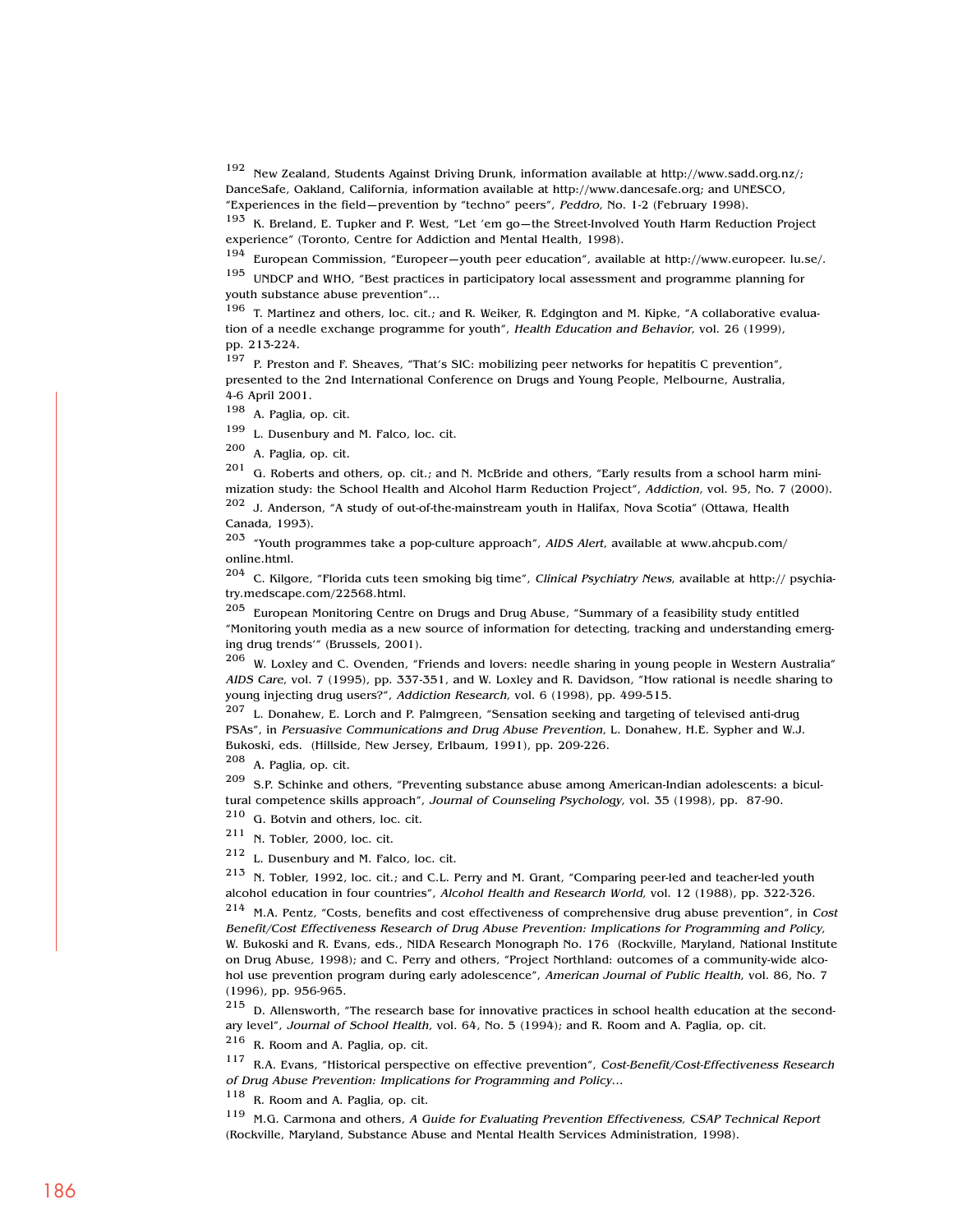<sup>192</sup> New Zealand, Students Against Driving Drunk, information available at http://www.sadd.org.nz/; DanceSafe, Oakland, California, information available at http://www.dancesafe.org; and UNESCO, "Experiences in the field—prevention by "techno" peers", Peddro, No. 1-2 (February 1998).

<sup>193</sup> K. Breland, E. Tupker and P. West, "Let 'em go—the Street-Involved Youth Harm Reduction Project experience" (Toronto, Centre for Addiction and Mental Health, 1998).

<sup>194</sup> European Commission, "Europeer—youth peer education", available at http://www.europeer. lu.se/.

<sup>195</sup> UNDCP and WHO, "Best practices in participatory local assessment and programme planning for youth substance abuse prevention"…

<sup>196</sup> T. Martinez and others, loc. cit.; and R. Weiker, R. Edgington and M. Kipke, "A collaborative evaluation of a needle exchange programme for youth", Health Education and Behavior, vol. 26 (1999), pp. 213-224.

<sup>197</sup> P. Preston and F. Sheaves, "That's SIC: mobilizing peer networks for hepatitis C prevention", presented to the 2nd International Conference on Drugs and Young People, Melbourne, Australia, 4-6 April 2001.

<sup>198</sup> A. Paglia, op. cit.

<sup>199</sup> L. Dusenbury and M. Falco, loc. cit.

<sup>200</sup> A. Paglia, op. cit.

<sup>201</sup> G. Roberts and others, op. cit.; and N. McBride and others, "Early results from a school harm minimization study: the School Health and Alcohol Harm Reduction Project", Addiction, vol. 95, No. 7 (2000).

<sup>202</sup> J. Anderson, "A study of out-of-the-mainstream youth in Halifax, Nova Scotia" (Ottawa, Health Canada, 1993).

 $203$  "Youth programmes take a pop-culture approach", AIDS Alert, available at www.ahcpub.com/ online.html.

 $204$  C. Kilgore, "Florida cuts teen smoking big time", Clinical Psychiatry News, available at http:// psychiatry.medscape.com/22568.html.

<sup>205</sup> European Monitoring Centre on Drugs and Drug Abuse, "Summary of a feasibility study entitled "Monitoring youth media as a new source of information for detecting, tracking and understanding emerging drug trends'" (Brussels, 2001).

<sup>206</sup> W. Loxley and C. Ovenden, "Friends and lovers: needle sharing in young people in Western Australia" AIDS Care, vol. 7 (1995), pp. 337-351, and W. Loxley and R. Davidson, "How rational is needle sharing to young injecting drug users?", Addiction Research, vol. 6 (1998), pp. 499-515.

<sup>207</sup> L. Donahew, E. Lorch and P. Palmgreen, "Sensation seeking and targeting of televised anti-drug PSAs", in Persuasive Communications and Drug Abuse Prevention, L. Donahew, H.E. Sypher and W.J. Bukoski, eds. (Hillside, New Jersey, Erlbaum, 1991), pp. 209-226.

<sup>208</sup> A. Paglia, op. cit.

 $209$  S.P. Schinke and others, "Preventing substance abuse among American-Indian adolescents: a bicultural competence skills approach", Journal of Counseling Psychology, vol. 35 (1998), pp. 87-90.

 $^{210}$  G. Botvin and others, loc. cit.<br> $^{211}$  N. Tables 2000, last sit

N. Tobler, 2000, loc. cit.

<sup>212</sup> L. Dusenbury and M. Falco, loc. cit.

 $213$  N. Tobler, 1992, loc. cit.; and C.L. Perry and M. Grant, "Comparing peer-led and teacher-led youth alcohol education in four countries", Alcohol Health and Research World, vol. 12 (1988), pp. 322-326.

<sup>214</sup> M.A. Pentz, "Costs, benefits and cost effectiveness of comprehensive drug abuse prevention", in Cost Benefit/Cost Effectiveness Research of Drug Abuse Prevention: Implications for Programming and Policy, W. Bukoski and R. Evans, eds., NIDA Research Monograph No. 176 (Rockville, Maryland, National Institute on Drug Abuse, 1998); and C. Perry and others, "Project Northland: outcomes of a community-wide alcohol use prevention program during early adolescence", American Journal of Public Health, vol. 86, No. 7 (1996), pp. 956-965.

<sup>215</sup> D. Allensworth, "The research base for innovative practices in school health education at the secondary level", Journal of School Health, vol. 64, No. 5 (1994); and R. Room and A. Paglia, op. cit.

<sup>216</sup> R. Room and A. Paglia, op. cit.

<sup>117</sup> R.A. Evans, "Historical perspective on effective prevention", Cost-Benefit/Cost-Effectiveness Research of Drug Abuse Prevention: Implications for Programming and Policy…

<sup>118</sup> R. Room and A. Paglia, op. cit.

<sup>119</sup> M.G. Carmona and others, A Guide for Evaluating Prevention Effectiveness, CSAP Technical Report (Rockville, Maryland, Substance Abuse and Mental Health Services Administration, 1998).